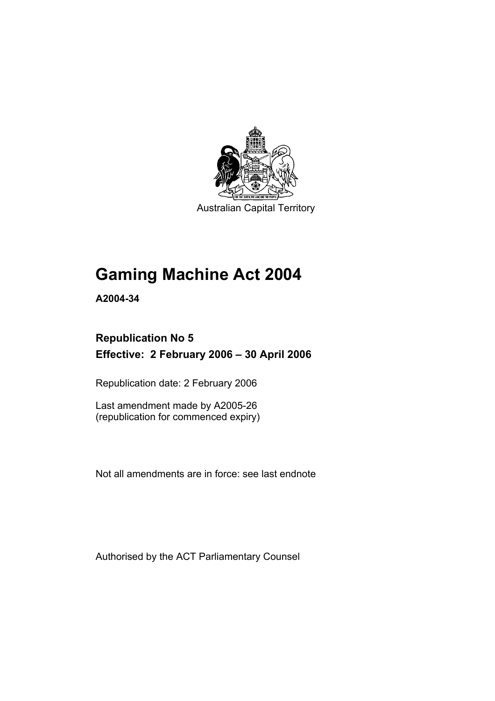

Australian Capital Territory

# **Gaming Machine Act 2004**

**A2004-34** 

# **Republication No 5 Effective: 2 February 2006 – 30 April 2006**

Republication date: 2 February 2006

Last amendment made by A2005-26 (republication for commenced expiry)

Not all amendments are in force: see last endnote

Authorised by the ACT Parliamentary Counsel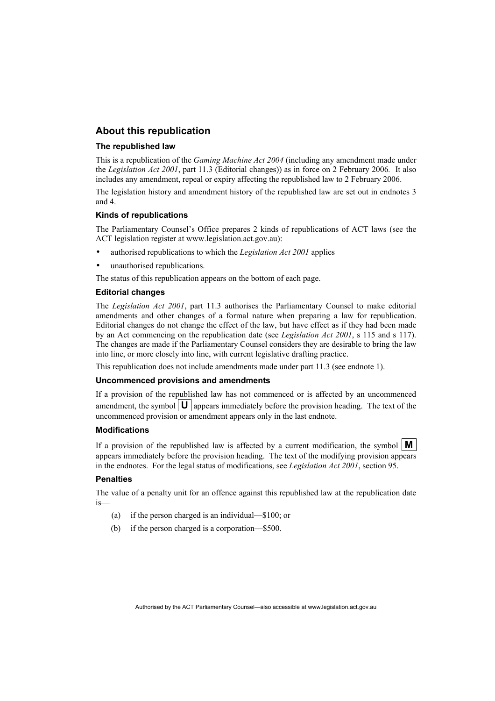### **About this republication**

#### **The republished law**

This is a republication of the *Gaming Machine Act 2004* (including any amendment made under the *Legislation Act 2001*, part 11.3 (Editorial changes)) as in force on 2 February 2006*.* It also includes any amendment, repeal or expiry affecting the republished law to 2 February 2006.

The legislation history and amendment history of the republished law are set out in endnotes 3 and 4.

#### **Kinds of republications**

The Parliamentary Counsel's Office prepares 2 kinds of republications of ACT laws (see the ACT legislation register at www.legislation.act.gov.au):

- authorised republications to which the *Legislation Act 2001* applies
- unauthorised republications.

The status of this republication appears on the bottom of each page.

#### **Editorial changes**

The *Legislation Act 2001*, part 11.3 authorises the Parliamentary Counsel to make editorial amendments and other changes of a formal nature when preparing a law for republication. Editorial changes do not change the effect of the law, but have effect as if they had been made by an Act commencing on the republication date (see *Legislation Act 2001*, s 115 and s 117). The changes are made if the Parliamentary Counsel considers they are desirable to bring the law into line, or more closely into line, with current legislative drafting practice.

This republication does not include amendments made under part 11.3 (see endnote 1).

#### **Uncommenced provisions and amendments**

If a provision of the republished law has not commenced or is affected by an uncommenced amendment, the symbol  $\mathbf{U}$  appears immediately before the provision heading. The text of the uncommenced provision or amendment appears only in the last endnote.

#### **Modifications**

If a provision of the republished law is affected by a current modification, the symbol  $\mathbf{M}$ appears immediately before the provision heading. The text of the modifying provision appears in the endnotes. For the legal status of modifications, see *Legislation Act 2001*, section 95.

#### **Penalties**

The value of a penalty unit for an offence against this republished law at the republication date is—

- (a) if the person charged is an individual—\$100; or
- (b) if the person charged is a corporation—\$500.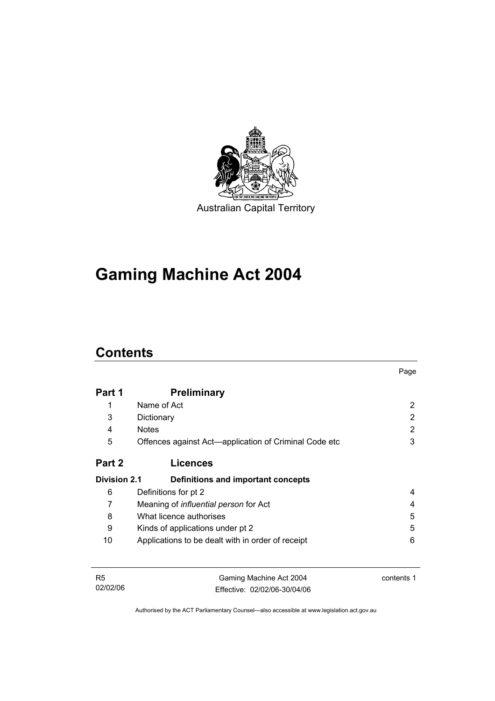

**Gaming Machine Act 2004** 

# **Contents**

|                     |                                                       | Page |
|---------------------|-------------------------------------------------------|------|
| Part 1              | <b>Preliminary</b>                                    |      |
| 1                   | Name of Act                                           | 2    |
| 3                   | Dictionary                                            | 2    |
| 4                   | <b>Notes</b>                                          | 2    |
| 5                   | Offences against Act—application of Criminal Code etc | 3    |
| Part 2              | <b>Licences</b>                                       |      |
| <b>Division 2.1</b> | Definitions and important concepts                    |      |
| 6                   | Definitions for pt 2                                  | 4    |
| 7                   | Meaning of <i>influential person</i> for Act          | 4    |
| 8                   | What licence authorises                               | 5    |
| 9                   | Kinds of applications under pt 2                      | 5    |
| 10                  | Applications to be dealt with in order of receipt     | 6    |
|                     |                                                       |      |
|                     |                                                       |      |

| - R5     | Gaming Machine Act 2004      | contents 1 |
|----------|------------------------------|------------|
| 02/02/06 | Effective: 02/02/06-30/04/06 |            |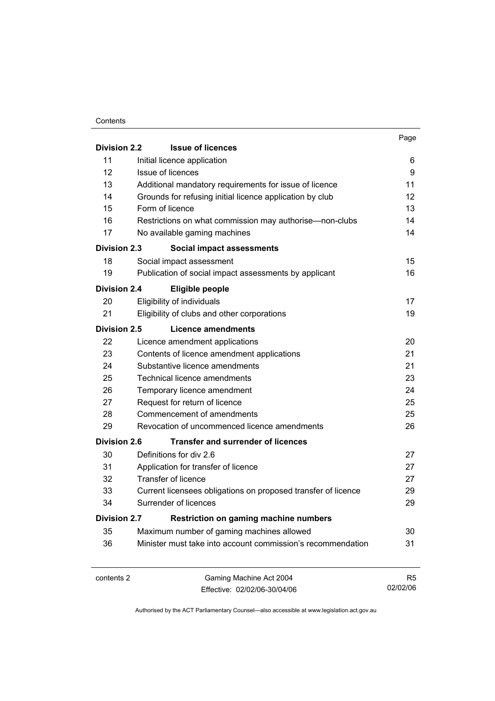#### **Contents**

|                     |                                                               | Page              |
|---------------------|---------------------------------------------------------------|-------------------|
| <b>Division 2.2</b> | <b>Issue of licences</b>                                      |                   |
| 11                  | Initial licence application                                   | 6                 |
| 12                  | <b>Issue of licences</b>                                      | 9                 |
| 13                  | Additional mandatory requirements for issue of licence        | 11                |
| 14                  | Grounds for refusing initial licence application by club      | $12 \overline{ }$ |
| 15                  | Form of licence                                               | 13                |
| 16                  | Restrictions on what commission may authorise—non-clubs       | 14                |
| 17                  | No available gaming machines                                  | 14                |
| <b>Division 2.3</b> | Social impact assessments                                     |                   |
| 18                  | Social impact assessment                                      | 15                |
| 19                  | Publication of social impact assessments by applicant         | 16                |
| <b>Division 2.4</b> | Eligible people                                               |                   |
| 20                  | Eligibility of individuals                                    | 17                |
| 21                  | Eligibility of clubs and other corporations                   | 19                |
| Division 2.5        | Licence amendments                                            |                   |
| 22                  | Licence amendment applications                                | 20                |
| 23                  | Contents of licence amendment applications                    | 21                |
| 24                  | Substantive licence amendments                                | 21                |
| 25                  | Technical licence amendments                                  | 23                |
| 26                  | Temporary licence amendment                                   | 24                |
| 27                  | Request for return of licence                                 | 25                |
| 28                  | Commencement of amendments                                    | 25                |
| 29                  | Revocation of uncommenced licence amendments                  | 26                |
| <b>Division 2.6</b> | <b>Transfer and surrender of licences</b>                     |                   |
| 30                  | Definitions for div 2.6                                       | 27                |
| 31                  | Application for transfer of licence                           | 27                |
| 32                  | <b>Transfer of licence</b>                                    | 27                |
| 33                  | Current licensees obligations on proposed transfer of licence | 29                |
| 34                  | Surrender of licences                                         | 29                |
| <b>Division 2.7</b> | <b>Restriction on gaming machine numbers</b>                  |                   |
| 35                  | Maximum number of gaming machines allowed                     | 30                |
| 36                  | Minister must take into account commission's recommendation   | 31                |
|                     |                                                               |                   |
|                     |                                                               |                   |

contents 2 Gaming Machine Act 2004 Effective: 02/02/06-30/04/06

R5 02/02/06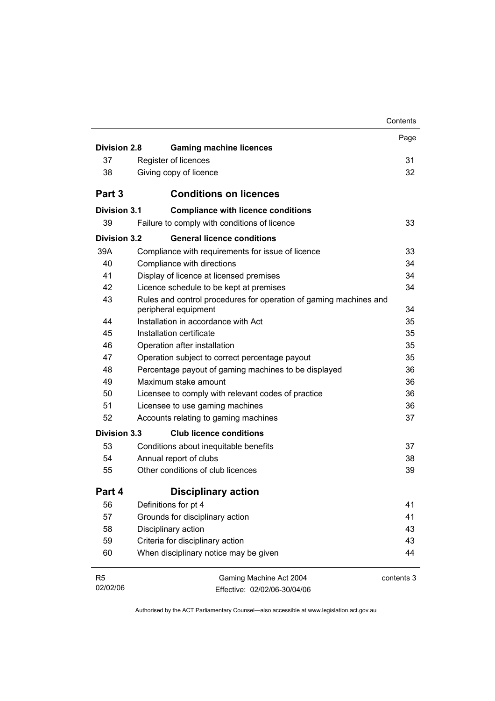|                     |                                                                                           | Contents   |
|---------------------|-------------------------------------------------------------------------------------------|------------|
|                     |                                                                                           | Page       |
| <b>Division 2.8</b> | <b>Gaming machine licences</b>                                                            |            |
| 37                  | Register of licences                                                                      | 31         |
| 38                  | Giving copy of licence                                                                    | 32         |
| Part 3              | <b>Conditions on licences</b>                                                             |            |
| Division 3.1        | <b>Compliance with licence conditions</b>                                                 |            |
| 39                  | Failure to comply with conditions of licence                                              | 33         |
| Division 3.2        | <b>General licence conditions</b>                                                         |            |
| 39A                 | Compliance with requirements for issue of licence                                         | 33         |
| 40                  | Compliance with directions                                                                | 34         |
| 41                  | Display of licence at licensed premises                                                   | 34         |
| 42                  | Licence schedule to be kept at premises                                                   | 34         |
| 43                  | Rules and control procedures for operation of gaming machines and<br>peripheral equipment | 34         |
| 44                  | Installation in accordance with Act                                                       | 35         |
| 45                  | Installation certificate                                                                  | 35         |
| 46                  | Operation after installation                                                              | 35         |
| 47                  | Operation subject to correct percentage payout                                            | 35         |
| 48                  | Percentage payout of gaming machines to be displayed                                      | 36         |
| 49                  | Maximum stake amount                                                                      | 36         |
| 50                  | Licensee to comply with relevant codes of practice                                        | 36         |
| 51                  | Licensee to use gaming machines                                                           | 36         |
| 52                  | Accounts relating to gaming machines                                                      | 37         |
| Division 3.3        | <b>Club licence conditions</b>                                                            |            |
| 53                  | Conditions about inequitable benefits                                                     | 37         |
| 54                  | Annual report of clubs                                                                    | 38         |
| 55                  | Other conditions of club licences                                                         | 39         |
| Part 4              | <b>Disciplinary action</b>                                                                |            |
| 56                  | Definitions for pt 4                                                                      | 41         |
| 57                  | Grounds for disciplinary action                                                           | 41         |
| 58                  | Disciplinary action                                                                       | 43         |
| 59                  | Criteria for disciplinary action                                                          | 43         |
| 60                  | When disciplinary notice may be given                                                     | 44         |
| R5<br>02/02/06      | Gaming Machine Act 2004<br>Effective: 02/02/06-30/04/06                                   | contents 3 |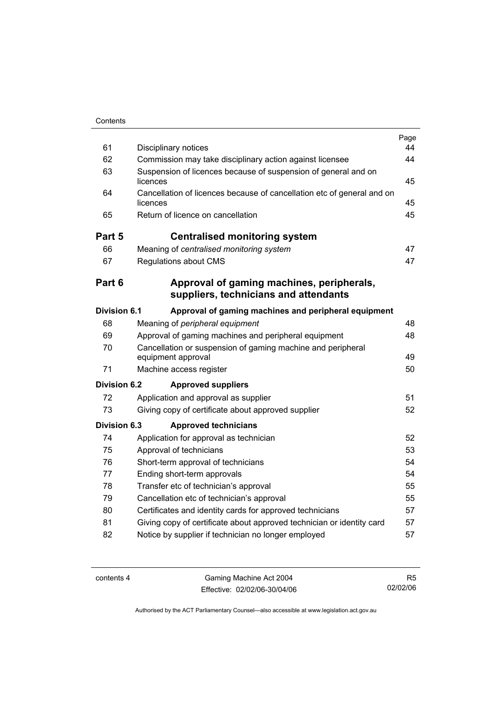| 61                  | Disciplinary notices                                                               | Page<br>44 |
|---------------------|------------------------------------------------------------------------------------|------------|
| 62                  | Commission may take disciplinary action against licensee                           | 44         |
| 63                  | Suspension of licences because of suspension of general and on<br>licences         | 45         |
| 64                  | Cancellation of licences because of cancellation etc of general and on<br>licences | 45         |
| 65                  | Return of licence on cancellation                                                  | 45         |
| Part 5              | <b>Centralised monitoring system</b>                                               |            |
| 66                  | Meaning of centralised monitoring system                                           | 47         |
| 67                  | Regulations about CMS                                                              | 47         |
| Part 6              | Approval of gaming machines, peripherals,<br>suppliers, technicians and attendants |            |
| <b>Division 6.1</b> | Approval of gaming machines and peripheral equipment                               |            |
| 68                  | Meaning of peripheral equipment                                                    | 48         |
| 69                  | Approval of gaming machines and peripheral equipment                               | 48         |
| 70                  | Cancellation or suspension of gaming machine and peripheral<br>equipment approval  | 49         |
| 71                  | Machine access register                                                            | 50         |
| <b>Division 6.2</b> | <b>Approved suppliers</b>                                                          |            |
| 72                  | Application and approval as supplier                                               | 51         |
| 73                  | Giving copy of certificate about approved supplier                                 | 52         |
| Division 6.3        | <b>Approved technicians</b>                                                        |            |
| 74                  | Application for approval as technician                                             | 52         |
| 75                  | Approval of technicians                                                            | 53         |
| 76                  | Short-term approval of technicians                                                 | 54         |
| 77                  | Ending short-term approvals                                                        | 54         |
| 78                  | Transfer etc of technician's approval                                              | 55         |
| 79                  | Cancellation etc of technician's approval                                          | 55         |
| 80                  | Certificates and identity cards for approved technicians                           | 57         |
| 81                  | Giving copy of certificate about approved technician or identity card              | 57         |
| 82                  | Notice by supplier if technician no longer employed                                | 57         |

contents 4 Gaming Machine Act 2004 Effective: 02/02/06-30/04/06

R5 02/02/06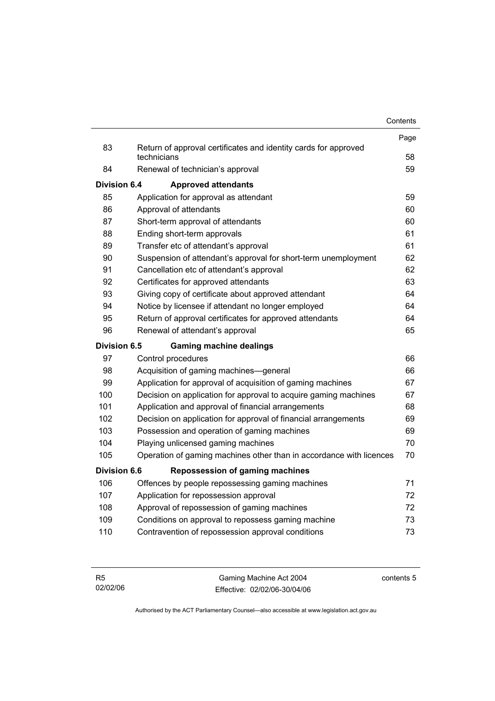|              |                                                                                | Contents |
|--------------|--------------------------------------------------------------------------------|----------|
|              |                                                                                | Page     |
| 83           | Return of approval certificates and identity cards for approved<br>technicians | 58       |
| 84           | Renewal of technician's approval                                               | 59       |
| Division 6.4 | <b>Approved attendants</b>                                                     |          |
| 85           | Application for approval as attendant                                          | 59       |
| 86           | Approval of attendants                                                         | 60       |
| 87           | Short-term approval of attendants                                              | 60       |
| 88           | Ending short-term approvals                                                    | 61       |
| 89           | Transfer etc of attendant's approval                                           | 61       |
| 90           | Suspension of attendant's approval for short-term unemployment                 | 62       |
| 91           | Cancellation etc of attendant's approval                                       | 62       |
| 92           | Certificates for approved attendants                                           | 63       |
| 93           | Giving copy of certificate about approved attendant                            | 64       |
| 94           | Notice by licensee if attendant no longer employed                             | 64       |
| 95           | Return of approval certificates for approved attendants                        | 64       |
| 96           | Renewal of attendant's approval                                                | 65       |
| Division 6.5 | <b>Gaming machine dealings</b>                                                 |          |
| 97           | Control procedures                                                             | 66       |
| 98           | Acquisition of gaming machines-general                                         | 66       |
| 99           | Application for approval of acquisition of gaming machines                     | 67       |
| 100          | Decision on application for approval to acquire gaming machines                | 67       |
| 101          | Application and approval of financial arrangements                             | 68       |
| 102          | Decision on application for approval of financial arrangements                 | 69       |
| 103          | Possession and operation of gaming machines                                    | 69       |
| 104          | Playing unlicensed gaming machines                                             | 70       |
| 105          | Operation of gaming machines other than in accordance with licences            | 70       |
| Division 6.6 | <b>Repossession of gaming machines</b>                                         |          |
| 106          | Offences by people repossessing gaming machines                                | 71       |
| 107          | Application for repossession approval                                          | 72       |
| 108          | Approval of repossession of gaming machines                                    | 72       |
| 109          | Conditions on approval to repossess gaming machine                             | 73       |
| 110          | Contravention of repossession approval conditions                              | 73       |

| - R5     | Gaming Machine Act 2004      | contents 5 |
|----------|------------------------------|------------|
| 02/02/06 | Effective: 02/02/06-30/04/06 |            |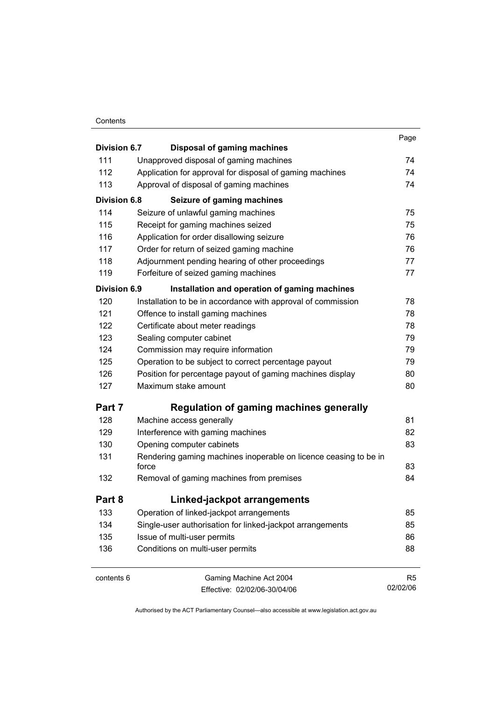#### **Contents**

|                     |                                                                  | Page |
|---------------------|------------------------------------------------------------------|------|
| <b>Division 6.7</b> | <b>Disposal of gaming machines</b>                               |      |
| 111                 | Unapproved disposal of gaming machines                           | 74   |
| 112                 | Application for approval for disposal of gaming machines         | 74   |
| 113                 | Approval of disposal of gaming machines                          | 74   |
| <b>Division 6.8</b> | Seizure of gaming machines                                       |      |
| 114                 | Seizure of unlawful gaming machines                              | 75   |
| 115                 | Receipt for gaming machines seized                               | 75   |
| 116                 | Application for order disallowing seizure                        | 76   |
| 117                 | Order for return of seized gaming machine                        | 76   |
| 118                 | Adjournment pending hearing of other proceedings                 | 77   |
| 119                 | Forfeiture of seized gaming machines                             | 77   |
| <b>Division 6.9</b> | Installation and operation of gaming machines                    |      |
| 120                 | Installation to be in accordance with approval of commission     | 78   |
| 121                 | Offence to install gaming machines                               | 78   |
| 122                 | Certificate about meter readings                                 | 78   |
| 123                 | Sealing computer cabinet                                         | 79   |
| 124                 | Commission may require information                               | 79   |
| 125                 | Operation to be subject to correct percentage payout             | 79   |
| 126                 | Position for percentage payout of gaming machines display        | 80   |
| 127                 | Maximum stake amount                                             | 80   |
| Part 7              | <b>Regulation of gaming machines generally</b>                   |      |
| 128                 | Machine access generally                                         | 81   |
| 129                 | Interference with gaming machines                                | 82   |
| 130                 | Opening computer cabinets                                        | 83   |
| 131                 | Rendering gaming machines inoperable on licence ceasing to be in |      |
|                     | force                                                            | 83   |
| 132                 | Removal of gaming machines from premises                         | 84   |
| Part 8              | Linked-jackpot arrangements                                      |      |
| 133                 | Operation of linked-jackpot arrangements                         | 85   |
| 134                 | Single-user authorisation for linked-jackpot arrangements        | 85   |
| 135                 | Issue of multi-user permits                                      | 86   |
| 136                 | Conditions on multi-user permits                                 | 88   |
|                     |                                                                  |      |

contents 6 Gaming Machine Act 2004 Effective: 02/02/06-30/04/06

R5 02/02/06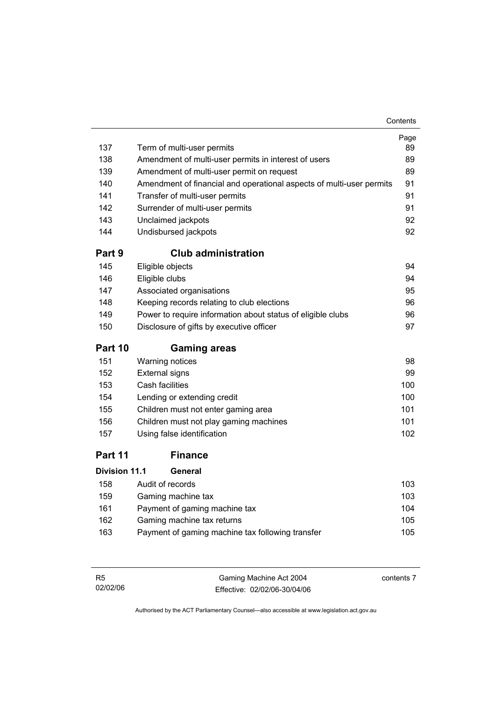| 137                  | Term of multi-user permits                                           | Page<br>89 |
|----------------------|----------------------------------------------------------------------|------------|
| 138                  | Amendment of multi-user permits in interest of users                 | 89         |
| 139                  | Amendment of multi-user permit on request                            | 89         |
| 140                  | Amendment of financial and operational aspects of multi-user permits | 91         |
| 141                  | Transfer of multi-user permits                                       | 91         |
| 142                  | Surrender of multi-user permits                                      | 91         |
| 143                  | Unclaimed jackpots                                                   | 92         |
| 144                  | Undisbursed jackpots                                                 | 92         |
| Part 9               | <b>Club administration</b>                                           |            |
| 145                  | Eligible objects                                                     | 94         |
| 146                  | Eligible clubs                                                       | 94         |
| 147                  | Associated organisations                                             | 95         |
| 148                  | Keeping records relating to club elections                           | 96         |
| 149                  | Power to require information about status of eligible clubs          | 96         |
| 150                  | Disclosure of gifts by executive officer                             | 97         |
| Part 10              | <b>Gaming areas</b>                                                  |            |
| 151                  | Warning notices                                                      | 98         |
| 152                  | <b>External signs</b>                                                | 99         |
| 153                  | Cash facilities                                                      | 100        |
| 154                  | Lending or extending credit                                          | 100        |
| 155                  | Children must not enter gaming area                                  | 101        |
| 156                  | Children must not play gaming machines                               | 101        |
| 157                  | Using false identification                                           | 102        |
| Part 11              | <b>Finance</b>                                                       |            |
| <b>Division 11.1</b> | General                                                              |            |

| 158 | Audit of records                                 | 103 |
|-----|--------------------------------------------------|-----|
| 159 | Gaming machine tax                               | 103 |
| 161 | Payment of gaming machine tax                    | 104 |
| 162 | Gaming machine tax returns                       | 105 |
| 163 | Payment of gaming machine tax following transfer | 105 |
|     |                                                  |     |

| - R5     | Gaming Machine Act 2004      | contents 7 |
|----------|------------------------------|------------|
| 02/02/06 | Effective: 02/02/06-30/04/06 |            |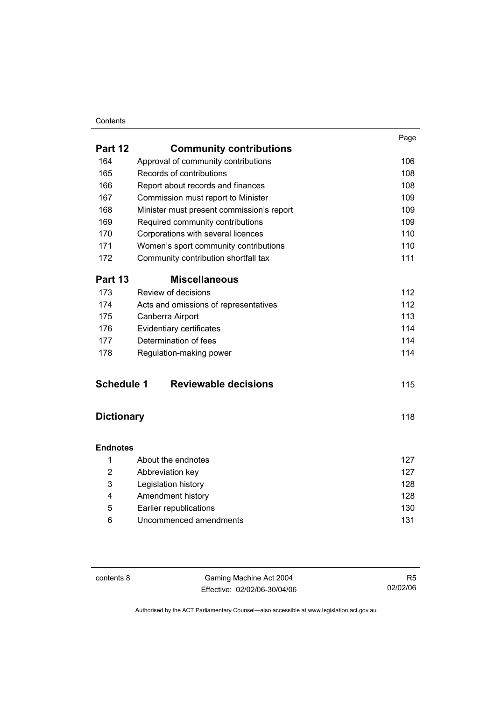#### **Contents**

|                   |                                           | Page |
|-------------------|-------------------------------------------|------|
| Part 12           | <b>Community contributions</b>            |      |
| 164               | Approval of community contributions       | 106  |
| 165               | Records of contributions                  | 108  |
| 166               | Report about records and finances         | 108  |
| 167               | Commission must report to Minister        | 109  |
| 168               | Minister must present commission's report | 109  |
| 169               | Required community contributions          | 109  |
| 170               | Corporations with several licences        | 110  |
| 171               | Women's sport community contributions     | 110  |
| 172               | Community contribution shortfall tax      | 111  |
| Part 13           | <b>Miscellaneous</b>                      |      |
| 173               | Review of decisions                       | 112  |
| 174               | Acts and omissions of representatives     | 112  |
| 175               | Canberra Airport                          | 113  |
| 176               | Evidentiary certificates                  | 114  |
| 177               | Determination of fees                     | 114  |
| 178               | Regulation-making power                   | 114  |
| <b>Schedule 1</b> | <b>Reviewable decisions</b>               | 115  |
| <b>Dictionary</b> |                                           | 118  |
| <b>Endnotes</b>   |                                           |      |
| 1                 | About the endnotes                        | 127  |
| $\overline{2}$    | Abbreviation key                          | 127  |
| 3                 | Legislation history                       | 128  |
|                   |                                           |      |

| Amendment history      | 128 |
|------------------------|-----|
| Earlier republications | 130 |
| Uncommenced amendments | 131 |

contents 8 Gaming Machine Act 2004 Effective: 02/02/06-30/04/06

R5 02/02/06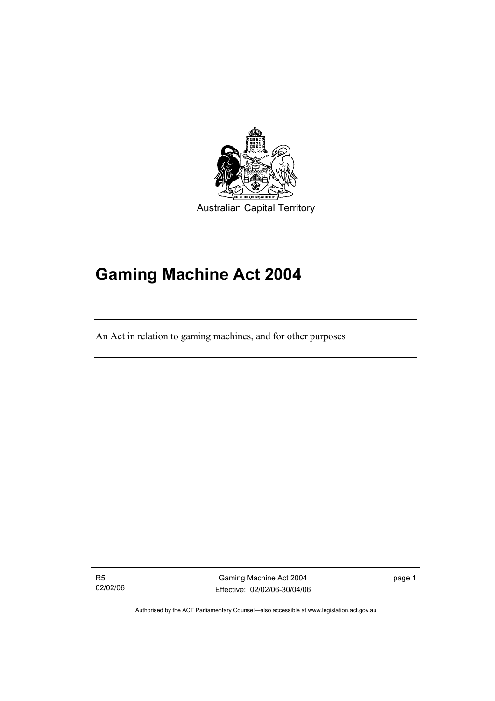

# **Gaming Machine Act 2004**

An Act in relation to gaming machines, and for other purposes

R5 02/02/06

I

Gaming Machine Act 2004 Effective: 02/02/06-30/04/06 page 1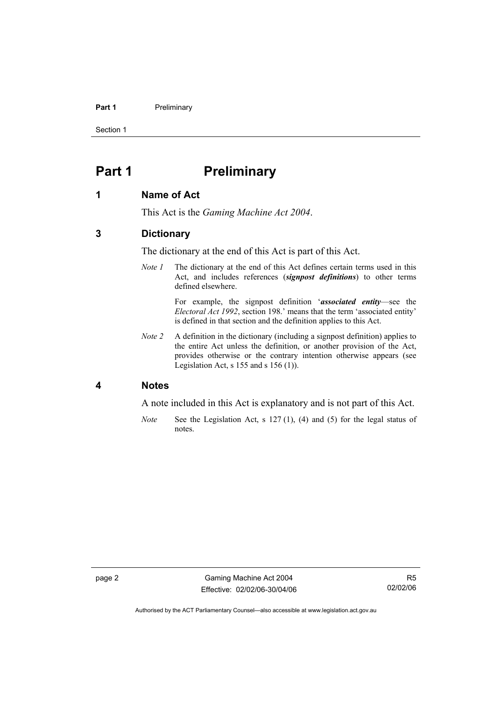#### **Part 1** Preliminary

Section 1

# **Part 1** Preliminary

#### **1 Name of Act**

This Act is the *Gaming Machine Act 2004*.

# **3 Dictionary**

The dictionary at the end of this Act is part of this Act.

*Note 1* The dictionary at the end of this Act defines certain terms used in this Act, and includes references (*signpost definitions*) to other terms defined elsewhere.

> For example, the signpost definition '*associated entity*—see the *Electoral Act 1992*, section 198.' means that the term 'associated entity' is defined in that section and the definition applies to this Act.

*Note 2* A definition in the dictionary (including a signpost definition) applies to the entire Act unless the definition, or another provision of the Act, provides otherwise or the contrary intention otherwise appears (see Legislation Act, s  $155$  and s  $156$  (1)).

#### **4 Notes**

A note included in this Act is explanatory and is not part of this Act.

*Note* See the Legislation Act, s 127 (1), (4) and (5) for the legal status of notes.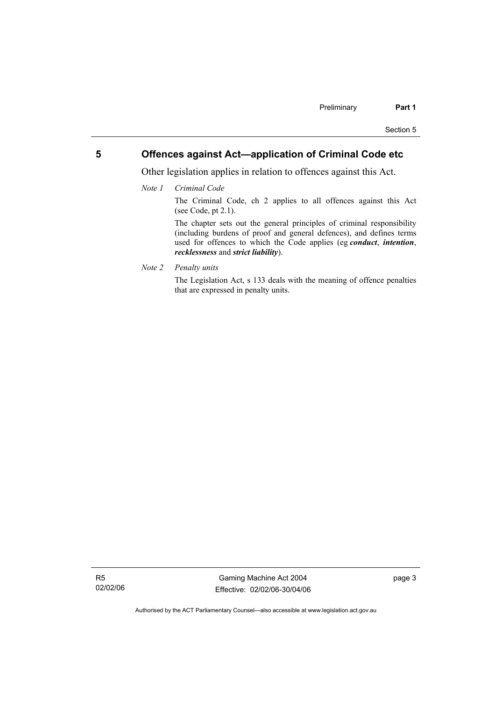# **5 Offences against Act—application of Criminal Code etc**

Other legislation applies in relation to offences against this Act.

*Note 1 Criminal Code*

The Criminal Code, ch 2 applies to all offences against this Act (see Code, pt 2.1).

The chapter sets out the general principles of criminal responsibility (including burdens of proof and general defences), and defines terms used for offences to which the Code applies (eg *conduct*, *intention*, *recklessness* and *strict liability*).

*Note 2 Penalty units* 

The Legislation Act, s 133 deals with the meaning of offence penalties that are expressed in penalty units.

R5 02/02/06

Gaming Machine Act 2004 Effective: 02/02/06-30/04/06 page 3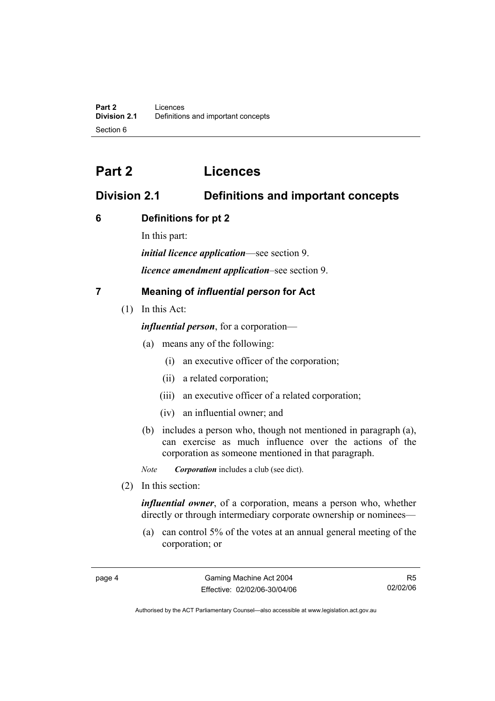# **Part 2 Licences**

# **Division 2.1 Definitions and important concepts**

# **6 Definitions for pt 2**

In this part:

*initial licence application*—see section 9.

*licence amendment application*–see section 9.

# **7 Meaning of** *influential person* **for Act**

(1) In this Act:

*influential person*, for a corporation—

- (a) means any of the following:
	- (i) an executive officer of the corporation;
	- (ii) a related corporation;
	- (iii) an executive officer of a related corporation;
	- (iv) an influential owner; and
- (b) includes a person who, though not mentioned in paragraph (a), can exercise as much influence over the actions of the corporation as someone mentioned in that paragraph.

*Note Corporation* includes a club (see dict).

(2) In this section:

*influential owner*, of a corporation, means a person who, whether directly or through intermediary corporate ownership or nominees—

 (a) can control 5% of the votes at an annual general meeting of the corporation; or

R5 02/02/06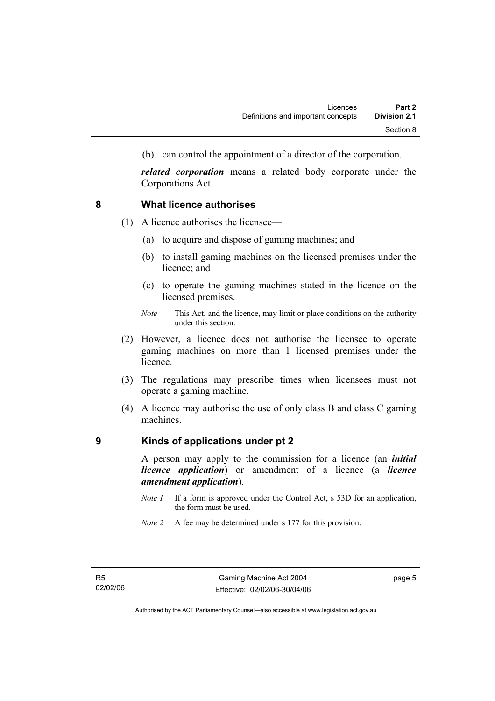(b) can control the appointment of a director of the corporation.

*related corporation* means a related body corporate under the Corporations Act.

#### **8 What licence authorises**

- (1) A licence authorises the licensee—
	- (a) to acquire and dispose of gaming machines; and
	- (b) to install gaming machines on the licensed premises under the licence; and
	- (c) to operate the gaming machines stated in the licence on the licensed premises.
	- *Note* This Act, and the licence, may limit or place conditions on the authority under this section.
- (2) However, a licence does not authorise the licensee to operate gaming machines on more than 1 licensed premises under the licence.
- (3) The regulations may prescribe times when licensees must not operate a gaming machine.
- (4) A licence may authorise the use of only class B and class C gaming machines.

#### **9 Kinds of applications under pt 2**

A person may apply to the commission for a licence (an *initial licence application*) or amendment of a licence (a *licence amendment application*).

- *Note 1* If a form is approved under the Control Act, s 53D for an application, the form must be used.
- *Note 2* A fee may be determined under s 177 for this provision.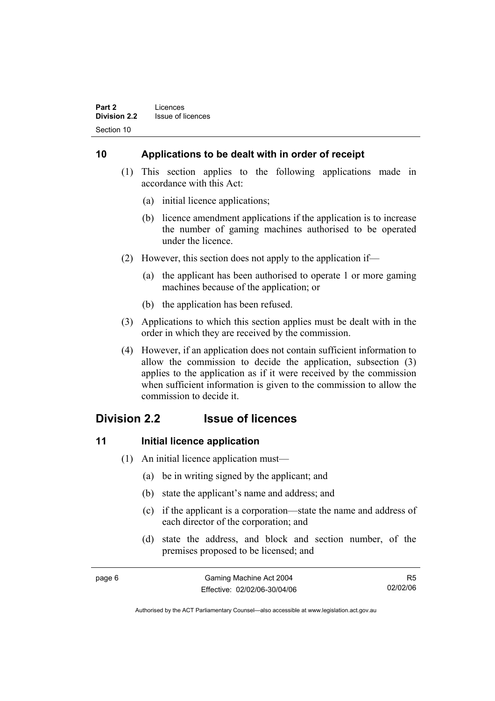# **10 Applications to be dealt with in order of receipt**

- (1) This section applies to the following applications made in accordance with this Act:
	- (a) initial licence applications;
	- (b) licence amendment applications if the application is to increase the number of gaming machines authorised to be operated under the licence.
- (2) However, this section does not apply to the application if—
	- (a) the applicant has been authorised to operate 1 or more gaming machines because of the application; or
	- (b) the application has been refused.
- (3) Applications to which this section applies must be dealt with in the order in which they are received by the commission.
- (4) However, if an application does not contain sufficient information to allow the commission to decide the application, subsection (3) applies to the application as if it were received by the commission when sufficient information is given to the commission to allow the commission to decide it.

# **Division 2.2 Issue of licences**

# **11** Initial licence application

- (1) An initial licence application must—
	- (a) be in writing signed by the applicant; and
	- (b) state the applicant's name and address; and
	- (c) if the applicant is a corporation—state the name and address of each director of the corporation; and
	- (d) state the address, and block and section number, of the premises proposed to be licensed; and

|--|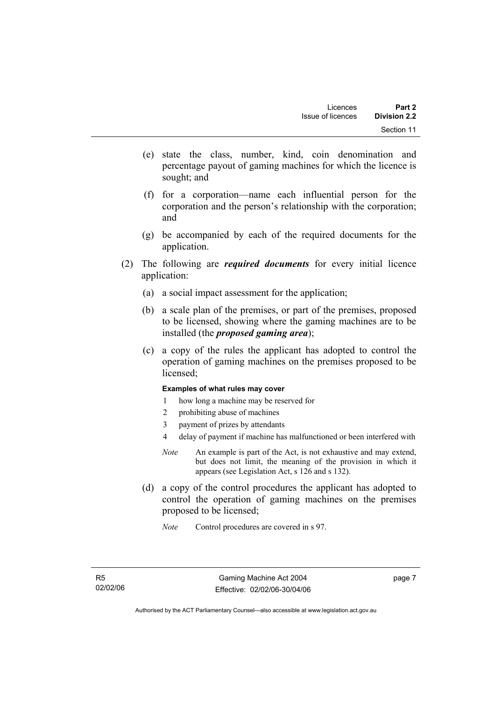- (e) state the class, number, kind, coin denomination and percentage payout of gaming machines for which the licence is sought; and
- (f) for a corporation—name each influential person for the corporation and the person's relationship with the corporation; and
- (g) be accompanied by each of the required documents for the application.
- (2) The following are *required documents* for every initial licence application:
	- (a) a social impact assessment for the application;
	- (b) a scale plan of the premises, or part of the premises, proposed to be licensed, showing where the gaming machines are to be installed (the *proposed gaming area*);
	- (c) a copy of the rules the applicant has adopted to control the operation of gaming machines on the premises proposed to be licensed;

#### **Examples of what rules may cover**

- 1 how long a machine may be reserved for
- 2 prohibiting abuse of machines
- 3 payment of prizes by attendants
- 4 delay of payment if machine has malfunctioned or been interfered with
- *Note* An example is part of the Act, is not exhaustive and may extend, but does not limit, the meaning of the provision in which it appears (see Legislation Act, s 126 and s 132).
- (d) a copy of the control procedures the applicant has adopted to control the operation of gaming machines on the premises proposed to be licensed;
	- *Note* Control procedures are covered in s 97.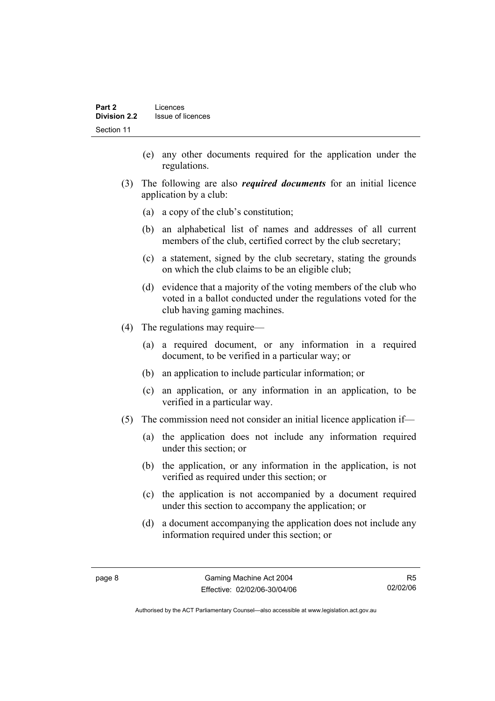- (e) any other documents required for the application under the regulations.
- (3) The following are also *required documents* for an initial licence application by a club:
	- (a) a copy of the club's constitution;
	- (b) an alphabetical list of names and addresses of all current members of the club, certified correct by the club secretary;
	- (c) a statement, signed by the club secretary, stating the grounds on which the club claims to be an eligible club;
	- (d) evidence that a majority of the voting members of the club who voted in a ballot conducted under the regulations voted for the club having gaming machines.
- (4) The regulations may require—
	- (a) a required document, or any information in a required document, to be verified in a particular way; or
	- (b) an application to include particular information; or
	- (c) an application, or any information in an application, to be verified in a particular way.
- (5) The commission need not consider an initial licence application if—
	- (a) the application does not include any information required under this section; or
	- (b) the application, or any information in the application, is not verified as required under this section; or
	- (c) the application is not accompanied by a document required under this section to accompany the application; or
	- (d) a document accompanying the application does not include any information required under this section; or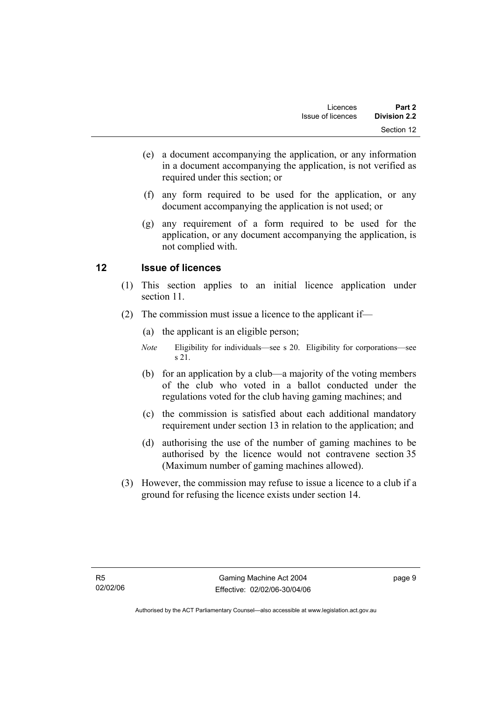- (e) a document accompanying the application, or any information in a document accompanying the application, is not verified as required under this section; or
- (f) any form required to be used for the application, or any document accompanying the application is not used; or
- (g) any requirement of a form required to be used for the application, or any document accompanying the application, is not complied with.

# **12 Issue of licences**

- (1) This section applies to an initial licence application under section 11.
- (2) The commission must issue a licence to the applicant if—
	- (a) the applicant is an eligible person;
	- *Note* Eligibility for individuals—see s 20. Eligibility for corporations—see s 21.
	- (b) for an application by a club—a majority of the voting members of the club who voted in a ballot conducted under the regulations voted for the club having gaming machines; and
	- (c) the commission is satisfied about each additional mandatory requirement under section 13 in relation to the application; and
	- (d) authorising the use of the number of gaming machines to be authorised by the licence would not contravene section 35 (Maximum number of gaming machines allowed).
- (3) However, the commission may refuse to issue a licence to a club if a ground for refusing the licence exists under section 14.

page 9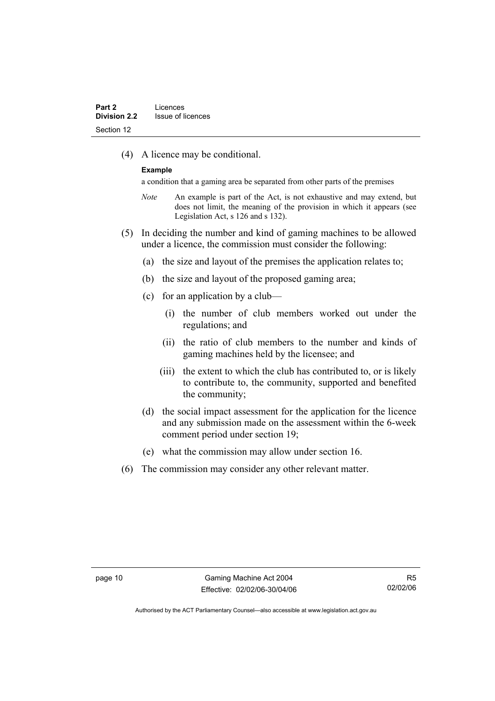(4) A licence may be conditional.

#### **Example**

a condition that a gaming area be separated from other parts of the premises

- *Note* An example is part of the Act, is not exhaustive and may extend, but does not limit, the meaning of the provision in which it appears (see Legislation Act, s 126 and s 132).
- (5) In deciding the number and kind of gaming machines to be allowed under a licence, the commission must consider the following:
	- (a) the size and layout of the premises the application relates to;
	- (b) the size and layout of the proposed gaming area;
	- (c) for an application by a club—
		- (i) the number of club members worked out under the regulations; and
		- (ii) the ratio of club members to the number and kinds of gaming machines held by the licensee; and
		- (iii) the extent to which the club has contributed to, or is likely to contribute to, the community, supported and benefited the community;
	- (d) the social impact assessment for the application for the licence and any submission made on the assessment within the 6-week comment period under section 19;
	- (e) what the commission may allow under section 16.
- (6) The commission may consider any other relevant matter.

R5 02/02/06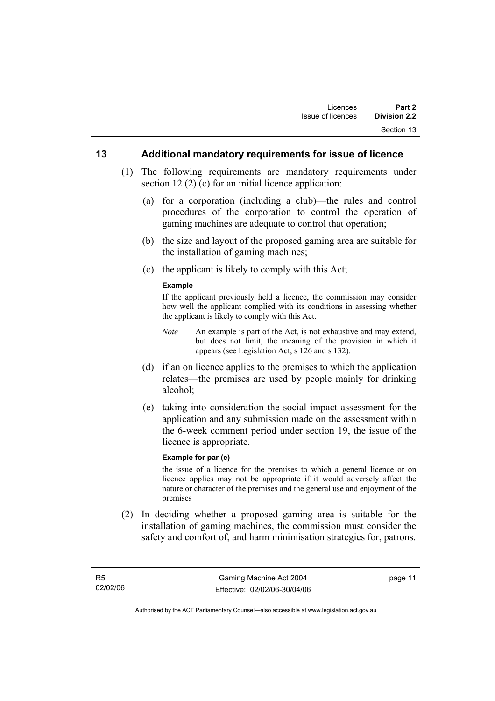#### **13 Additional mandatory requirements for issue of licence**

- (1) The following requirements are mandatory requirements under section 12 (2) (c) for an initial licence application:
	- (a) for a corporation (including a club)—the rules and control procedures of the corporation to control the operation of gaming machines are adequate to control that operation;
	- (b) the size and layout of the proposed gaming area are suitable for the installation of gaming machines;
	- (c) the applicant is likely to comply with this Act;

#### **Example**

If the applicant previously held a licence, the commission may consider how well the applicant complied with its conditions in assessing whether the applicant is likely to comply with this Act.

- *Note* An example is part of the Act, is not exhaustive and may extend, but does not limit, the meaning of the provision in which it appears (see Legislation Act, s 126 and s 132).
- (d) if an on licence applies to the premises to which the application relates—the premises are used by people mainly for drinking alcohol;
- (e) taking into consideration the social impact assessment for the application and any submission made on the assessment within the 6-week comment period under section 19, the issue of the licence is appropriate.

#### **Example for par (e)**

the issue of a licence for the premises to which a general licence or on licence applies may not be appropriate if it would adversely affect the nature or character of the premises and the general use and enjoyment of the premises

 (2) In deciding whether a proposed gaming area is suitable for the installation of gaming machines, the commission must consider the safety and comfort of, and harm minimisation strategies for, patrons.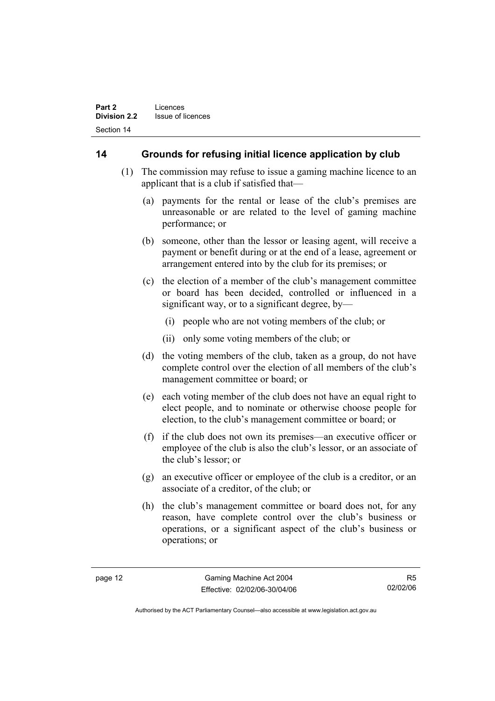# **14 Grounds for refusing initial licence application by club**

- (1) The commission may refuse to issue a gaming machine licence to an applicant that is a club if satisfied that—
	- (a) payments for the rental or lease of the club's premises are unreasonable or are related to the level of gaming machine performance; or
	- (b) someone, other than the lessor or leasing agent, will receive a payment or benefit during or at the end of a lease, agreement or arrangement entered into by the club for its premises; or
	- (c) the election of a member of the club's management committee or board has been decided, controlled or influenced in a significant way, or to a significant degree, by—
		- (i) people who are not voting members of the club; or
		- (ii) only some voting members of the club; or
	- (d) the voting members of the club, taken as a group, do not have complete control over the election of all members of the club's management committee or board; or
	- (e) each voting member of the club does not have an equal right to elect people, and to nominate or otherwise choose people for election, to the club's management committee or board; or
	- (f) if the club does not own its premises—an executive officer or employee of the club is also the club's lessor, or an associate of the club's lessor; or
	- (g) an executive officer or employee of the club is a creditor, or an associate of a creditor, of the club; or
	- (h) the club's management committee or board does not, for any reason, have complete control over the club's business or operations, or a significant aspect of the club's business or operations; or

R5 02/02/06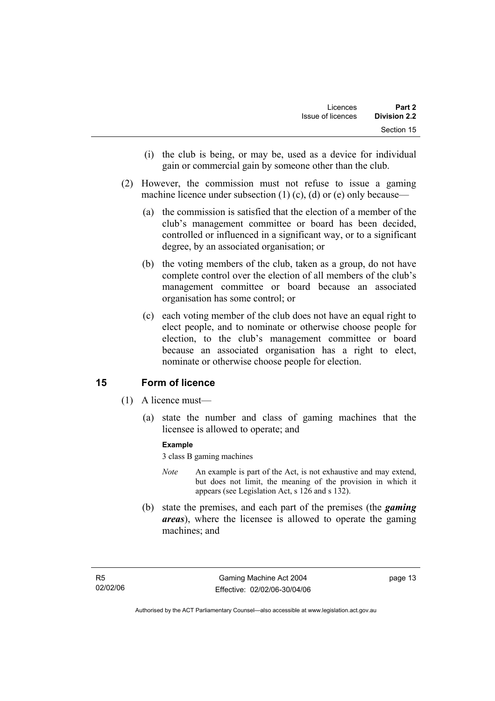- (i) the club is being, or may be, used as a device for individual gain or commercial gain by someone other than the club.
- (2) However, the commission must not refuse to issue a gaming machine licence under subsection  $(1)$   $(c)$ ,  $(d)$  or  $(e)$  only because—
	- (a) the commission is satisfied that the election of a member of the club's management committee or board has been decided, controlled or influenced in a significant way, or to a significant degree, by an associated organisation; or
	- (b) the voting members of the club, taken as a group, do not have complete control over the election of all members of the club's management committee or board because an associated organisation has some control; or
	- (c) each voting member of the club does not have an equal right to elect people, and to nominate or otherwise choose people for election, to the club's management committee or board because an associated organisation has a right to elect, nominate or otherwise choose people for election.

# **15 Form of licence**

- (1) A licence must—
	- (a) state the number and class of gaming machines that the licensee is allowed to operate; and

#### **Example**

3 class B gaming machines

- *Note* An example is part of the Act, is not exhaustive and may extend, but does not limit, the meaning of the provision in which it appears (see Legislation Act, s 126 and s 132).
- (b) state the premises, and each part of the premises (the *gaming areas*), where the licensee is allowed to operate the gaming machines; and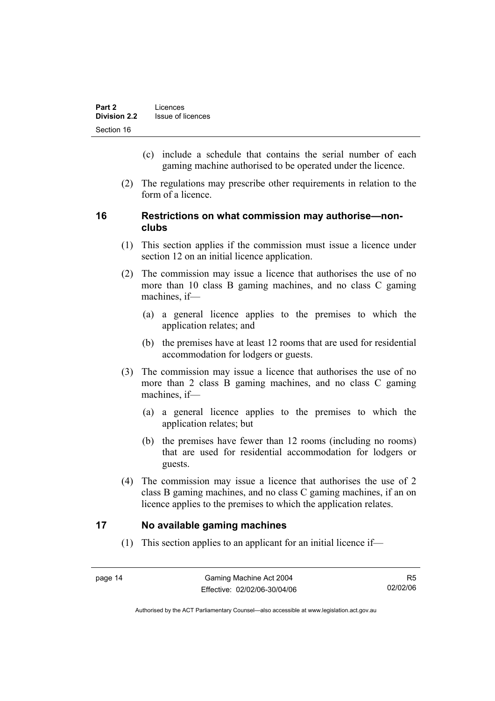- (c) include a schedule that contains the serial number of each gaming machine authorised to be operated under the licence.
- (2) The regulations may prescribe other requirements in relation to the form of a licence.

# **16 Restrictions on what commission may authorise—nonclubs**

- (1) This section applies if the commission must issue a licence under section 12 on an initial licence application.
- (2) The commission may issue a licence that authorises the use of no more than 10 class B gaming machines, and no class C gaming machines, if—
	- (a) a general licence applies to the premises to which the application relates; and
	- (b) the premises have at least 12 rooms that are used for residential accommodation for lodgers or guests.
- (3) The commission may issue a licence that authorises the use of no more than 2 class B gaming machines, and no class C gaming machines, if—
	- (a) a general licence applies to the premises to which the application relates; but
	- (b) the premises have fewer than 12 rooms (including no rooms) that are used for residential accommodation for lodgers or guests.
- (4) The commission may issue a licence that authorises the use of 2 class B gaming machines, and no class C gaming machines, if an on licence applies to the premises to which the application relates.

# **17 No available gaming machines**

(1) This section applies to an applicant for an initial licence if—

R5 02/02/06

Authorised by the ACT Parliamentary Counsel—also accessible at www.legislation.act.gov.au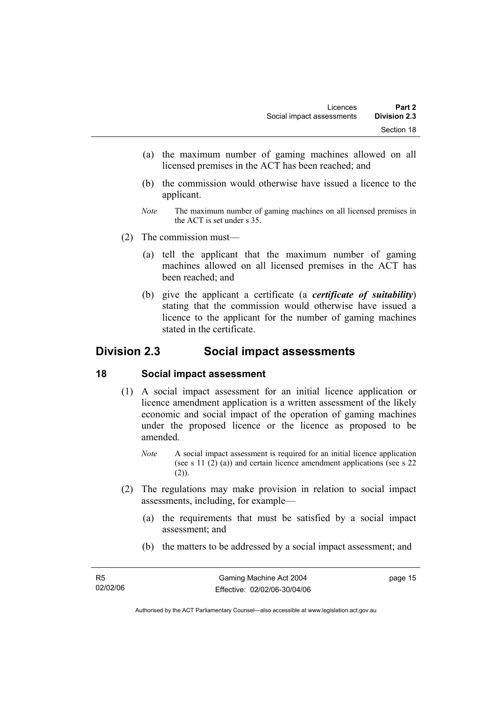- (a) the maximum number of gaming machines allowed on all licensed premises in the ACT has been reached; and
- (b) the commission would otherwise have issued a licence to the applicant.
- *Note* The maximum number of gaming machines on all licensed premises in the ACT is set under s 35.
- (2) The commission must—
	- (a) tell the applicant that the maximum number of gaming machines allowed on all licensed premises in the ACT has been reached; and
	- (b) give the applicant a certificate (a *certificate of suitability*) stating that the commission would otherwise have issued a licence to the applicant for the number of gaming machines stated in the certificate.

# **Division 2.3 Social impact assessments**

#### **18 Social impact assessment**

- (1) A social impact assessment for an initial licence application or licence amendment application is a written assessment of the likely economic and social impact of the operation of gaming machines under the proposed licence or the licence as proposed to be amended.
	- *Note* A social impact assessment is required for an initial licence application (see s 11 (2) (a)) and certain licence amendment applications (see s 22  $(2)$ ).
- (2) The regulations may make provision in relation to social impact assessments, including, for example—
	- (a) the requirements that must be satisfied by a social impact assessment; and
	- (b) the matters to be addressed by a social impact assessment; and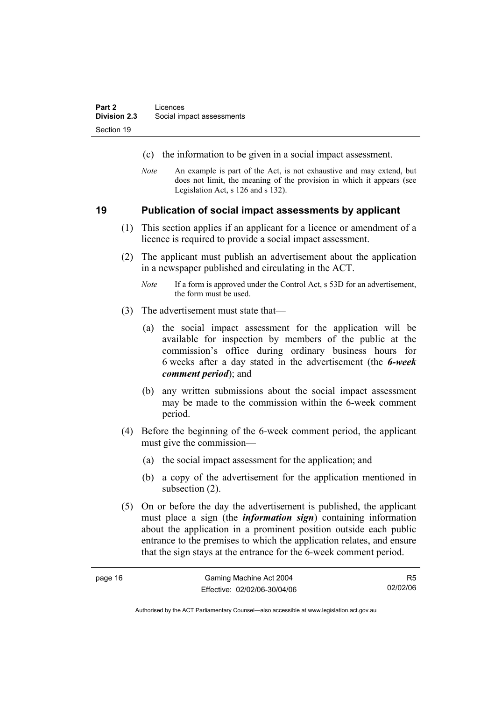- (c) the information to be given in a social impact assessment.
- *Note* An example is part of the Act, is not exhaustive and may extend, but does not limit, the meaning of the provision in which it appears (see Legislation Act, s 126 and s 132).

#### **19 Publication of social impact assessments by applicant**

- (1) This section applies if an applicant for a licence or amendment of a licence is required to provide a social impact assessment.
- (2) The applicant must publish an advertisement about the application in a newspaper published and circulating in the ACT.
	- *Note* If a form is approved under the Control Act, s 53D for an advertisement, the form must be used.
- (3) The advertisement must state that—
	- (a) the social impact assessment for the application will be available for inspection by members of the public at the commission's office during ordinary business hours for 6 weeks after a day stated in the advertisement (the *6-week comment period*); and
	- (b) any written submissions about the social impact assessment may be made to the commission within the 6-week comment period.
- (4) Before the beginning of the 6-week comment period, the applicant must give the commission—
	- (a) the social impact assessment for the application; and
	- (b) a copy of the advertisement for the application mentioned in subsection  $(2)$ .
- (5) On or before the day the advertisement is published, the applicant must place a sign (the *information sign*) containing information about the application in a prominent position outside each public entrance to the premises to which the application relates, and ensure that the sign stays at the entrance for the 6-week comment period.

R5 02/02/06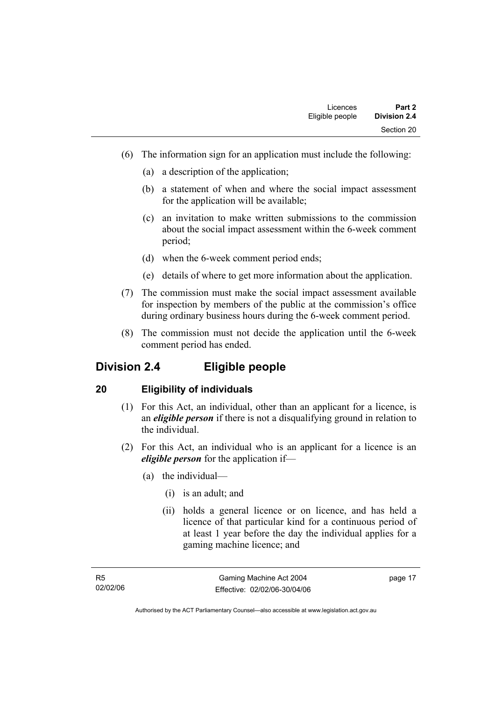- (6) The information sign for an application must include the following:
	- (a) a description of the application;
	- (b) a statement of when and where the social impact assessment for the application will be available;
	- (c) an invitation to make written submissions to the commission about the social impact assessment within the 6-week comment period;
	- (d) when the 6-week comment period ends;
	- (e) details of where to get more information about the application.
- (7) The commission must make the social impact assessment available for inspection by members of the public at the commission's office during ordinary business hours during the 6-week comment period.
- (8) The commission must not decide the application until the 6-week comment period has ended.

# **Division 2.4 Eligible people**

# **20 Eligibility of individuals**

- (1) For this Act, an individual, other than an applicant for a licence, is an *eligible person* if there is not a disqualifying ground in relation to the individual.
- (2) For this Act, an individual who is an applicant for a licence is an *eligible person* for the application if—
	- (a) the individual—
		- (i) is an adult; and
		- (ii) holds a general licence or on licence, and has held a licence of that particular kind for a continuous period of at least 1 year before the day the individual applies for a gaming machine licence; and

page 17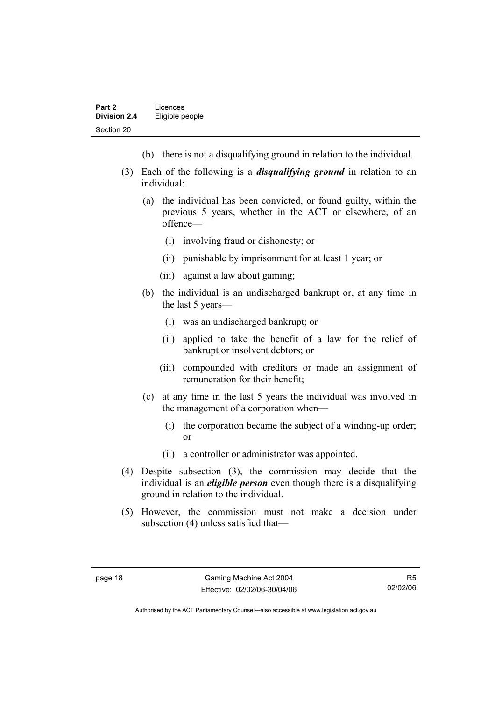- (b) there is not a disqualifying ground in relation to the individual.
- (3) Each of the following is a *disqualifying ground* in relation to an individual:
	- (a) the individual has been convicted, or found guilty, within the previous 5 years, whether in the ACT or elsewhere, of an offence—
		- (i) involving fraud or dishonesty; or
		- (ii) punishable by imprisonment for at least 1 year; or
		- (iii) against a law about gaming;
	- (b) the individual is an undischarged bankrupt or, at any time in the last 5 years—
		- (i) was an undischarged bankrupt; or
		- (ii) applied to take the benefit of a law for the relief of bankrupt or insolvent debtors; or
		- (iii) compounded with creditors or made an assignment of remuneration for their benefit;
	- (c) at any time in the last 5 years the individual was involved in the management of a corporation when—
		- (i) the corporation became the subject of a winding-up order; or
		- (ii) a controller or administrator was appointed.
- (4) Despite subsection (3), the commission may decide that the individual is an *eligible person* even though there is a disqualifying ground in relation to the individual.
- (5) However, the commission must not make a decision under subsection (4) unless satisfied that—

R5 02/02/06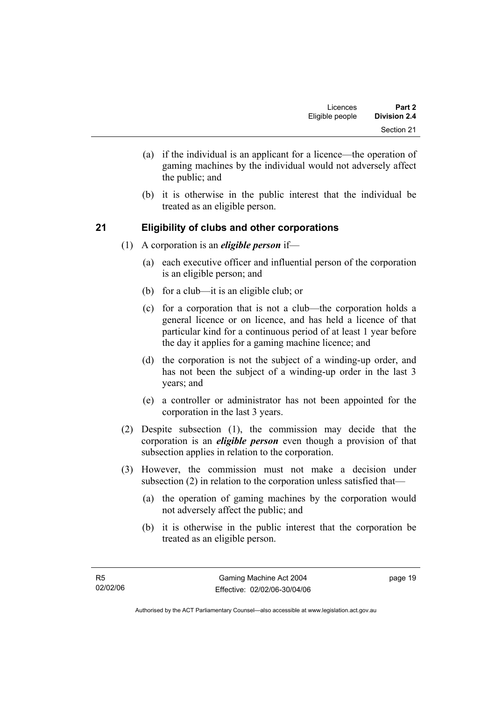- (a) if the individual is an applicant for a licence—the operation of gaming machines by the individual would not adversely affect the public; and
- (b) it is otherwise in the public interest that the individual be treated as an eligible person.

# **21 Eligibility of clubs and other corporations**

- (1) A corporation is an *eligible person* if—
	- (a) each executive officer and influential person of the corporation is an eligible person; and
	- (b) for a club—it is an eligible club; or
	- (c) for a corporation that is not a club—the corporation holds a general licence or on licence, and has held a licence of that particular kind for a continuous period of at least 1 year before the day it applies for a gaming machine licence; and
	- (d) the corporation is not the subject of a winding-up order, and has not been the subject of a winding-up order in the last 3 years; and
	- (e) a controller or administrator has not been appointed for the corporation in the last 3 years.
- (2) Despite subsection (1), the commission may decide that the corporation is an *eligible person* even though a provision of that subsection applies in relation to the corporation.
- (3) However, the commission must not make a decision under subsection (2) in relation to the corporation unless satisfied that—
	- (a) the operation of gaming machines by the corporation would not adversely affect the public; and
	- (b) it is otherwise in the public interest that the corporation be treated as an eligible person.

page 19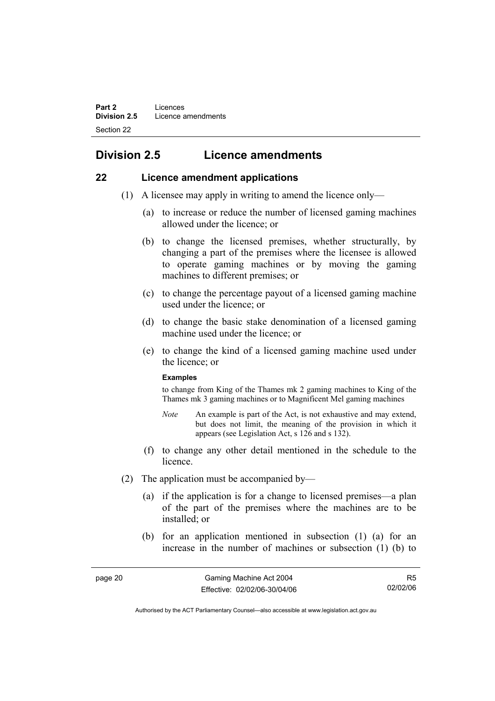# **Division 2.5 Licence amendments**

# **22 Licence amendment applications**

- (1) A licensee may apply in writing to amend the licence only—
	- (a) to increase or reduce the number of licensed gaming machines allowed under the licence; or
	- (b) to change the licensed premises, whether structurally, by changing a part of the premises where the licensee is allowed to operate gaming machines or by moving the gaming machines to different premises; or
	- (c) to change the percentage payout of a licensed gaming machine used under the licence; or
	- (d) to change the basic stake denomination of a licensed gaming machine used under the licence; or
	- (e) to change the kind of a licensed gaming machine used under the licence; or

#### **Examples**

to change from King of the Thames mk 2 gaming machines to King of the Thames mk 3 gaming machines or to Magnificent Mel gaming machines

- *Note* An example is part of the Act, is not exhaustive and may extend, but does not limit, the meaning of the provision in which it appears (see Legislation Act, s 126 and s 132).
- (f) to change any other detail mentioned in the schedule to the licence.
- (2) The application must be accompanied by—
	- (a) if the application is for a change to licensed premises—a plan of the part of the premises where the machines are to be installed; or
	- (b) for an application mentioned in subsection (1) (a) for an increase in the number of machines or subsection (1) (b) to

R5 02/02/06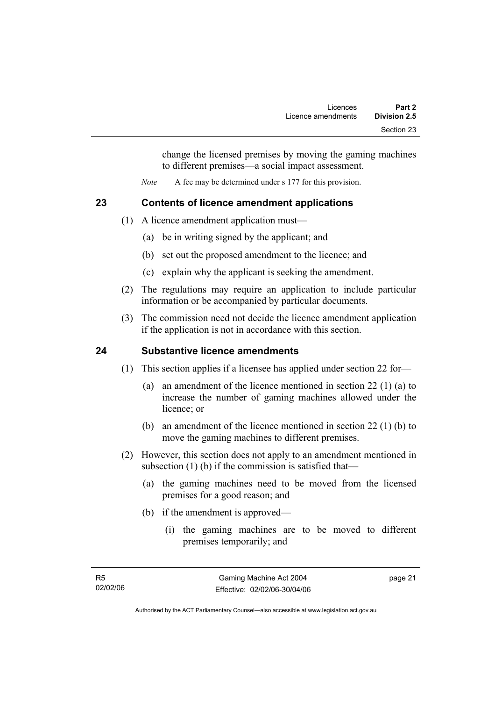change the licensed premises by moving the gaming machines to different premises—a social impact assessment.

*Note* A fee may be determined under s 177 for this provision.

# **23 Contents of licence amendment applications**

- (1) A licence amendment application must—
	- (a) be in writing signed by the applicant; and
	- (b) set out the proposed amendment to the licence; and
	- (c) explain why the applicant is seeking the amendment.
- (2) The regulations may require an application to include particular information or be accompanied by particular documents.
- (3) The commission need not decide the licence amendment application if the application is not in accordance with this section.

# **24 Substantive licence amendments**

- (1) This section applies if a licensee has applied under section 22 for—
	- (a) an amendment of the licence mentioned in section 22 (1) (a) to increase the number of gaming machines allowed under the licence; or
	- (b) an amendment of the licence mentioned in section 22 (1) (b) to move the gaming machines to different premises.
- (2) However, this section does not apply to an amendment mentioned in subsection (1) (b) if the commission is satisfied that—
	- (a) the gaming machines need to be moved from the licensed premises for a good reason; and
	- (b) if the amendment is approved—
		- (i) the gaming machines are to be moved to different premises temporarily; and

page 21

Authorised by the ACT Parliamentary Counsel—also accessible at www.legislation.act.gov.au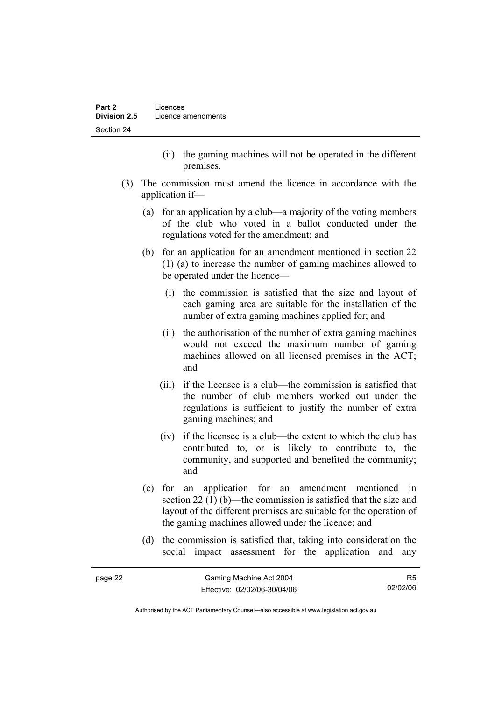- (ii) the gaming machines will not be operated in the different premises.
- (3) The commission must amend the licence in accordance with the application if—
	- (a) for an application by a club—a majority of the voting members of the club who voted in a ballot conducted under the regulations voted for the amendment; and
	- (b) for an application for an amendment mentioned in section 22 (1) (a) to increase the number of gaming machines allowed to be operated under the licence—
		- (i) the commission is satisfied that the size and layout of each gaming area are suitable for the installation of the number of extra gaming machines applied for; and
		- (ii) the authorisation of the number of extra gaming machines would not exceed the maximum number of gaming machines allowed on all licensed premises in the ACT; and
		- (iii) if the licensee is a club—the commission is satisfied that the number of club members worked out under the regulations is sufficient to justify the number of extra gaming machines; and
		- (iv) if the licensee is a club—the extent to which the club has contributed to, or is likely to contribute to, the community, and supported and benefited the community; and
	- (c) for an application for an amendment mentioned in section 22 (1) (b)—the commission is satisfied that the size and layout of the different premises are suitable for the operation of the gaming machines allowed under the licence; and
	- (d) the commission is satisfied that, taking into consideration the social impact assessment for the application and any

| Gaming Machine Act 2004<br>page 22 |                              | R5       |
|------------------------------------|------------------------------|----------|
|                                    | Effective: 02/02/06-30/04/06 | 02/02/06 |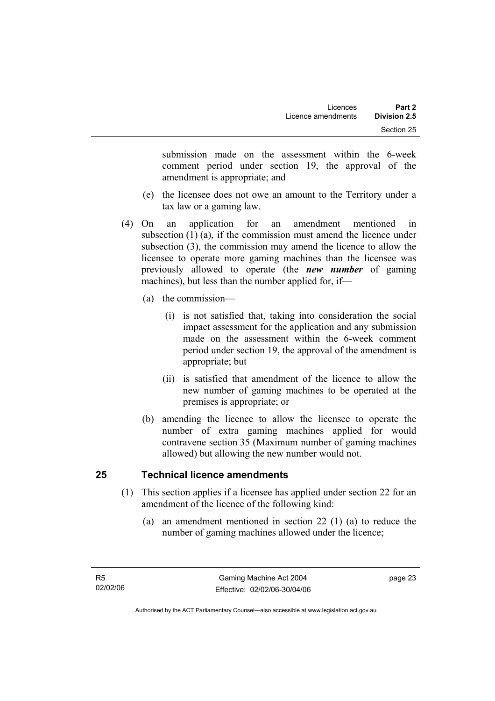submission made on the assessment within the 6-week comment period under section 19, the approval of the amendment is appropriate; and

- (e) the licensee does not owe an amount to the Territory under a tax law or a gaming law.
- (4) On an application for an amendment mentioned in subsection (1) (a), if the commission must amend the licence under subsection (3), the commission may amend the licence to allow the licensee to operate more gaming machines than the licensee was previously allowed to operate (the *new number* of gaming machines), but less than the number applied for, if—
	- (a) the commission—
		- (i) is not satisfied that, taking into consideration the social impact assessment for the application and any submission made on the assessment within the 6-week comment period under section 19, the approval of the amendment is appropriate; but
		- (ii) is satisfied that amendment of the licence to allow the new number of gaming machines to be operated at the premises is appropriate; or
	- (b) amending the licence to allow the licensee to operate the number of extra gaming machines applied for would contravene section 35 (Maximum number of gaming machines allowed) but allowing the new number would not.

# **25 Technical licence amendments**

- (1) This section applies if a licensee has applied under section 22 for an amendment of the licence of the following kind:
	- (a) an amendment mentioned in section 22 (1) (a) to reduce the number of gaming machines allowed under the licence;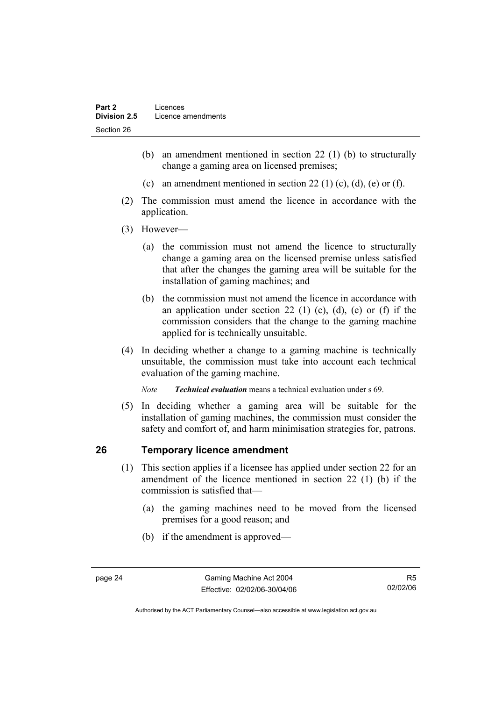- (b) an amendment mentioned in section 22 (1) (b) to structurally change a gaming area on licensed premises;
- (c) an amendment mentioned in section 22 (1) (c), (d), (e) or (f).
- (2) The commission must amend the licence in accordance with the application.
- (3) However—
	- (a) the commission must not amend the licence to structurally change a gaming area on the licensed premise unless satisfied that after the changes the gaming area will be suitable for the installation of gaming machines; and
	- (b) the commission must not amend the licence in accordance with an application under section 22 (1) (c), (d), (e) or (f) if the commission considers that the change to the gaming machine applied for is technically unsuitable.
- (4) In deciding whether a change to a gaming machine is technically unsuitable, the commission must take into account each technical evaluation of the gaming machine.

*Note Technical evaluation* means a technical evaluation under s 69.

 (5) In deciding whether a gaming area will be suitable for the installation of gaming machines, the commission must consider the safety and comfort of, and harm minimisation strategies for, patrons.

# **26 Temporary licence amendment**

- (1) This section applies if a licensee has applied under section 22 for an amendment of the licence mentioned in section 22 (1) (b) if the commission is satisfied that—
	- (a) the gaming machines need to be moved from the licensed premises for a good reason; and
	- (b) if the amendment is approved—

R5 02/02/06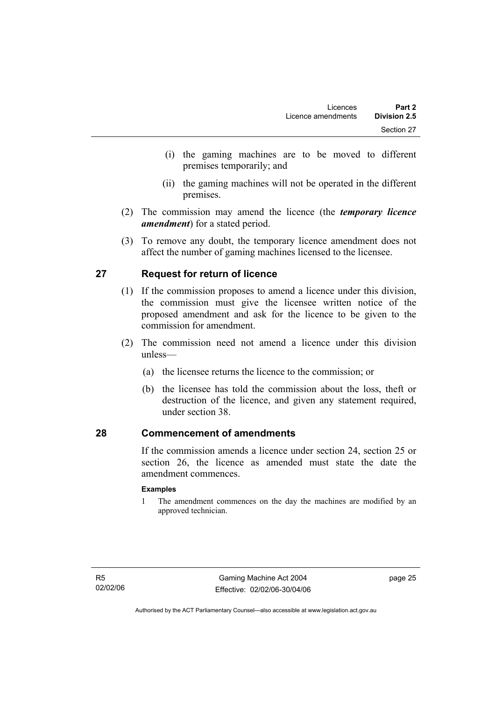- (i) the gaming machines are to be moved to different premises temporarily; and
- (ii) the gaming machines will not be operated in the different premises.
- (2) The commission may amend the licence (the *temporary licence amendment*) for a stated period.
- (3) To remove any doubt, the temporary licence amendment does not affect the number of gaming machines licensed to the licensee.

# **27 Request for return of licence**

- (1) If the commission proposes to amend a licence under this division, the commission must give the licensee written notice of the proposed amendment and ask for the licence to be given to the commission for amendment.
- (2) The commission need not amend a licence under this division unless—
	- (a) the licensee returns the licence to the commission; or
	- (b) the licensee has told the commission about the loss, theft or destruction of the licence, and given any statement required, under section 38.

# **28 Commencement of amendments**

If the commission amends a licence under section 24, section 25 or section 26, the licence as amended must state the date the amendment commences.

#### **Examples**

1 The amendment commences on the day the machines are modified by an approved technician.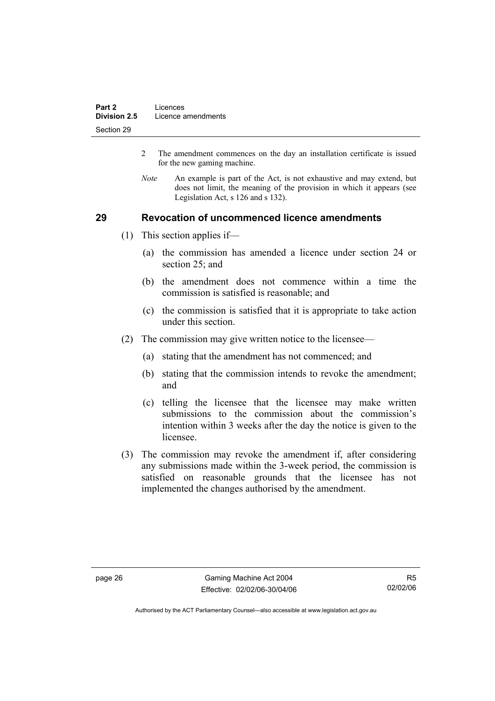- 2 The amendment commences on the day an installation certificate is issued for the new gaming machine.
- *Note* An example is part of the Act, is not exhaustive and may extend, but does not limit, the meaning of the provision in which it appears (see Legislation Act, s 126 and s 132).

#### **29 Revocation of uncommenced licence amendments**

- (1) This section applies if—
	- (a) the commission has amended a licence under section 24 or section 25; and
	- (b) the amendment does not commence within a time the commission is satisfied is reasonable; and
	- (c) the commission is satisfied that it is appropriate to take action under this section.
- (2) The commission may give written notice to the licensee—
	- (a) stating that the amendment has not commenced; and
	- (b) stating that the commission intends to revoke the amendment; and
	- (c) telling the licensee that the licensee may make written submissions to the commission about the commission's intention within 3 weeks after the day the notice is given to the licensee.
- (3) The commission may revoke the amendment if, after considering any submissions made within the 3-week period, the commission is satisfied on reasonable grounds that the licensee has not implemented the changes authorised by the amendment.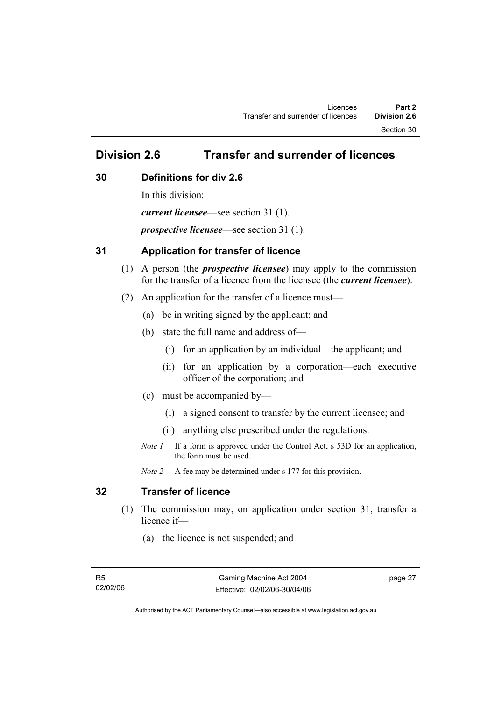Section 30

# **Division 2.6 Transfer and surrender of licences**

### **30 Definitions for div 2.6**

In this division: *current licensee*—see section 31 (1). *prospective licensee*—see section 31 (1).

## **31 Application for transfer of licence**

- (1) A person (the *prospective licensee*) may apply to the commission for the transfer of a licence from the licensee (the *current licensee*).
- (2) An application for the transfer of a licence must—
	- (a) be in writing signed by the applicant; and
	- (b) state the full name and address of—
		- (i) for an application by an individual—the applicant; and
		- (ii) for an application by a corporation—each executive officer of the corporation; and
	- (c) must be accompanied by—
		- (i) a signed consent to transfer by the current licensee; and
		- (ii) anything else prescribed under the regulations.
	- *Note 1* If a form is approved under the Control Act, s 53D for an application, the form must be used.

*Note 2* A fee may be determined under s 177 for this provision.

# **32 Transfer of licence**

- (1) The commission may, on application under section 31, transfer a licence if—
	- (a) the licence is not suspended; and

page 27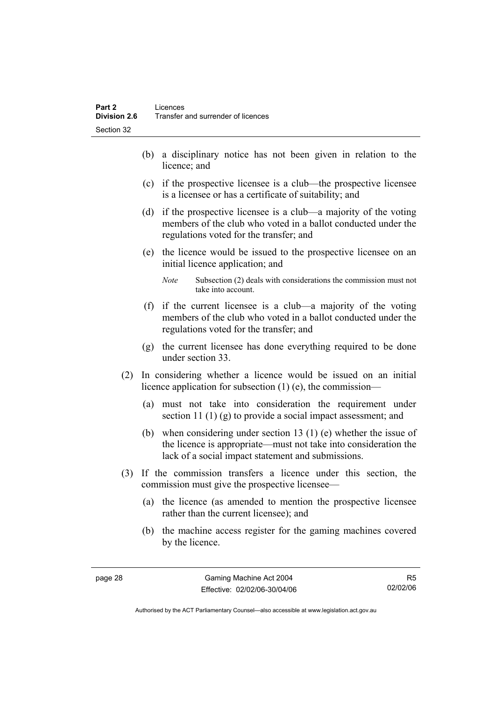- (b) a disciplinary notice has not been given in relation to the licence; and
- (c) if the prospective licensee is a club—the prospective licensee is a licensee or has a certificate of suitability; and
- (d) if the prospective licensee is a club—a majority of the voting members of the club who voted in a ballot conducted under the regulations voted for the transfer; and
- (e) the licence would be issued to the prospective licensee on an initial licence application; and
	- *Note* Subsection (2) deals with considerations the commission must not take into account.
- (f) if the current licensee is a club—a majority of the voting members of the club who voted in a ballot conducted under the regulations voted for the transfer; and
- (g) the current licensee has done everything required to be done under section 33.
- (2) In considering whether a licence would be issued on an initial licence application for subsection (1) (e), the commission—
	- (a) must not take into consideration the requirement under section 11 (1) (g) to provide a social impact assessment; and
	- (b) when considering under section 13 (1) (e) whether the issue of the licence is appropriate—must not take into consideration the lack of a social impact statement and submissions.
- (3) If the commission transfers a licence under this section, the commission must give the prospective licensee—
	- (a) the licence (as amended to mention the prospective licensee rather than the current licensee); and
	- (b) the machine access register for the gaming machines covered by the licence.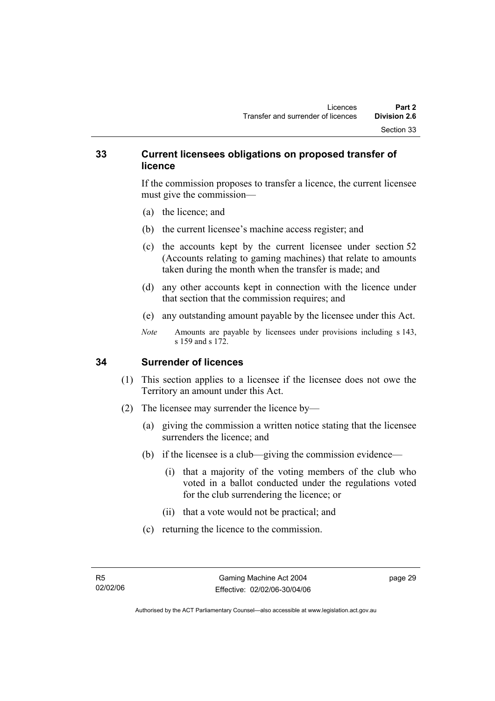#### **33 Current licensees obligations on proposed transfer of licence**

If the commission proposes to transfer a licence, the current licensee must give the commission—

- (a) the licence; and
- (b) the current licensee's machine access register; and
- (c) the accounts kept by the current licensee under section 52 (Accounts relating to gaming machines) that relate to amounts taken during the month when the transfer is made; and
- (d) any other accounts kept in connection with the licence under that section that the commission requires; and
- (e) any outstanding amount payable by the licensee under this Act.
- *Note* Amounts are payable by licensees under provisions including s 143, s 159 and s 172.

#### **34 Surrender of licences**

- (1) This section applies to a licensee if the licensee does not owe the Territory an amount under this Act.
- (2) The licensee may surrender the licence by—
	- (a) giving the commission a written notice stating that the licensee surrenders the licence; and
	- (b) if the licensee is a club—giving the commission evidence—
		- (i) that a majority of the voting members of the club who voted in a ballot conducted under the regulations voted for the club surrendering the licence; or
		- (ii) that a vote would not be practical; and
	- (c) returning the licence to the commission.

page 29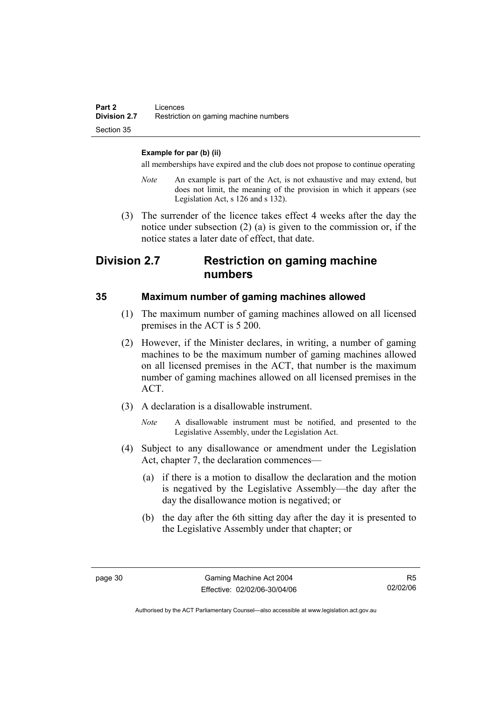#### **Example for par (b) (ii)**

all memberships have expired and the club does not propose to continue operating

- *Note* An example is part of the Act, is not exhaustive and may extend, but does not limit, the meaning of the provision in which it appears (see Legislation Act, s 126 and s 132).
- (3) The surrender of the licence takes effect 4 weeks after the day the notice under subsection (2) (a) is given to the commission or, if the notice states a later date of effect, that date.

# **Division 2.7 Restriction on gaming machine numbers**

#### **35 Maximum number of gaming machines allowed**

- (1) The maximum number of gaming machines allowed on all licensed premises in the ACT is 5 200.
- (2) However, if the Minister declares, in writing, a number of gaming machines to be the maximum number of gaming machines allowed on all licensed premises in the ACT, that number is the maximum number of gaming machines allowed on all licensed premises in the ACT.
- (3) A declaration is a disallowable instrument.
	- *Note* A disallowable instrument must be notified, and presented to the Legislative Assembly, under the Legislation Act.
- (4) Subject to any disallowance or amendment under the Legislation Act, chapter 7, the declaration commences—
	- (a) if there is a motion to disallow the declaration and the motion is negatived by the Legislative Assembly—the day after the day the disallowance motion is negatived; or
	- (b) the day after the 6th sitting day after the day it is presented to the Legislative Assembly under that chapter; or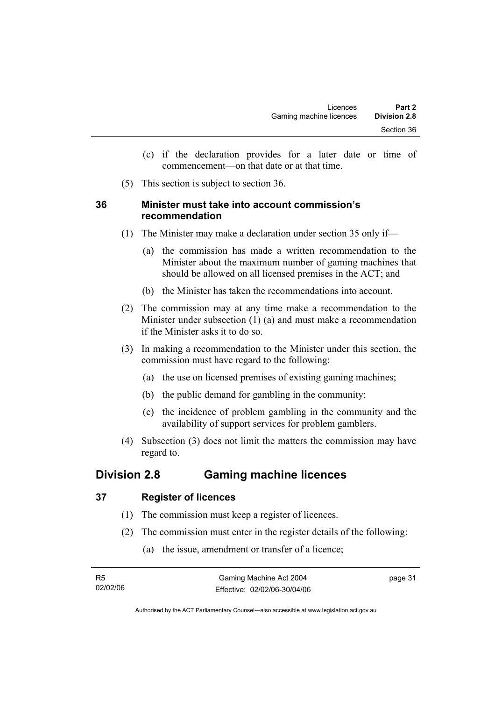- (c) if the declaration provides for a later date or time of commencement—on that date or at that time.
- (5) This section is subject to section 36.

### **36 Minister must take into account commission's recommendation**

- (1) The Minister may make a declaration under section 35 only if—
	- (a) the commission has made a written recommendation to the Minister about the maximum number of gaming machines that should be allowed on all licensed premises in the ACT; and
	- (b) the Minister has taken the recommendations into account.
- (2) The commission may at any time make a recommendation to the Minister under subsection (1) (a) and must make a recommendation if the Minister asks it to do so.
- (3) In making a recommendation to the Minister under this section, the commission must have regard to the following:
	- (a) the use on licensed premises of existing gaming machines;
	- (b) the public demand for gambling in the community;
	- (c) the incidence of problem gambling in the community and the availability of support services for problem gamblers.
- (4) Subsection (3) does not limit the matters the commission may have regard to.

# **Division 2.8 Gaming machine licences**

## **37 Register of licences**

- (1) The commission must keep a register of licences.
- (2) The commission must enter in the register details of the following:
	- (a) the issue, amendment or transfer of a licence;

| - R5     | Gaming Machine Act 2004      | page 31 |
|----------|------------------------------|---------|
| 02/02/06 | Effective: 02/02/06-30/04/06 |         |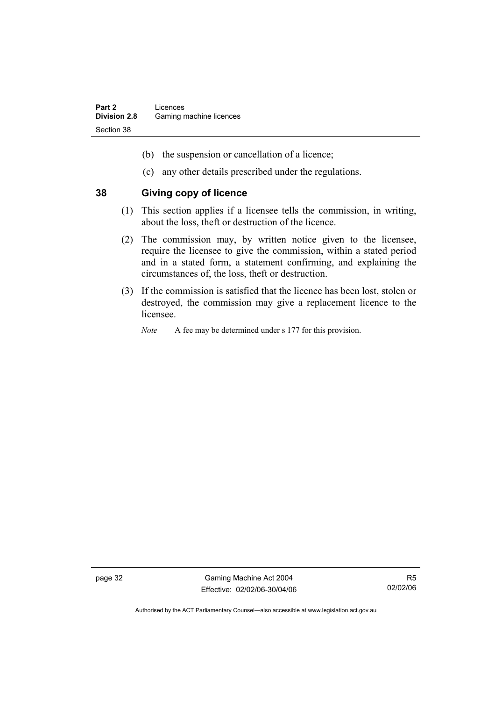- (b) the suspension or cancellation of a licence;
- (c) any other details prescribed under the regulations.

#### **38 Giving copy of licence**

- (1) This section applies if a licensee tells the commission, in writing, about the loss, theft or destruction of the licence.
- (2) The commission may, by written notice given to the licensee, require the licensee to give the commission, within a stated period and in a stated form, a statement confirming, and explaining the circumstances of, the loss, theft or destruction.
- (3) If the commission is satisfied that the licence has been lost, stolen or destroyed, the commission may give a replacement licence to the licensee.
	- *Note* A fee may be determined under s 177 for this provision.

page 32 Gaming Machine Act 2004 Effective: 02/02/06-30/04/06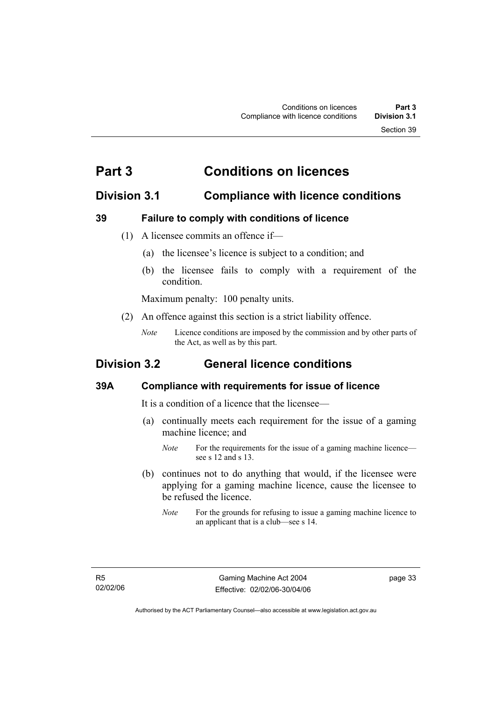# **Part 3 Conditions on licences**

# **Division 3.1 Compliance with licence conditions**

## **39 Failure to comply with conditions of licence**

- (1) A licensee commits an offence if—
	- (a) the licensee's licence is subject to a condition; and
	- (b) the licensee fails to comply with a requirement of the condition.

Maximum penalty: 100 penalty units.

- (2) An offence against this section is a strict liability offence.
	- *Note* Licence conditions are imposed by the commission and by other parts of the Act, as well as by this part.

# **Division 3.2 General licence conditions**

## **39A Compliance with requirements for issue of licence**

It is a condition of a licence that the licensee—

- (a) continually meets each requirement for the issue of a gaming machine licence; and
	- *Note* For the requirements for the issue of a gaming machine licence see s 12 and s 13.
- (b) continues not to do anything that would, if the licensee were applying for a gaming machine licence, cause the licensee to be refused the licence.
	- *Note* For the grounds for refusing to issue a gaming machine licence to an applicant that is a club—see s 14.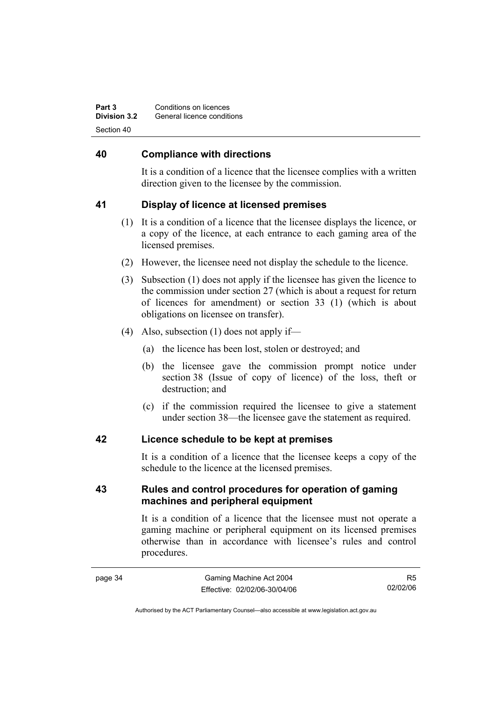| Conditions on licences<br>Part 3<br><b>Division 3.2</b><br>General licence conditions |  |
|---------------------------------------------------------------------------------------|--|
| Section 40                                                                            |  |

#### **40 Compliance with directions**

It is a condition of a licence that the licensee complies with a written direction given to the licensee by the commission.

#### **41 Display of licence at licensed premises**

- (1) It is a condition of a licence that the licensee displays the licence, or a copy of the licence, at each entrance to each gaming area of the licensed premises.
- (2) However, the licensee need not display the schedule to the licence.
- (3) Subsection (1) does not apply if the licensee has given the licence to the commission under section 27 (which is about a request for return of licences for amendment) or section 33 (1) (which is about obligations on licensee on transfer).
- (4) Also, subsection (1) does not apply if—
	- (a) the licence has been lost, stolen or destroyed; and
	- (b) the licensee gave the commission prompt notice under section 38 (Issue of copy of licence) of the loss, theft or destruction; and
	- (c) if the commission required the licensee to give a statement under section 38—the licensee gave the statement as required.

#### **42 Licence schedule to be kept at premises**

It is a condition of a licence that the licensee keeps a copy of the schedule to the licence at the licensed premises.

## **43 Rules and control procedures for operation of gaming machines and peripheral equipment**

It is a condition of a licence that the licensee must not operate a gaming machine or peripheral equipment on its licensed premises otherwise than in accordance with licensee's rules and control procedures.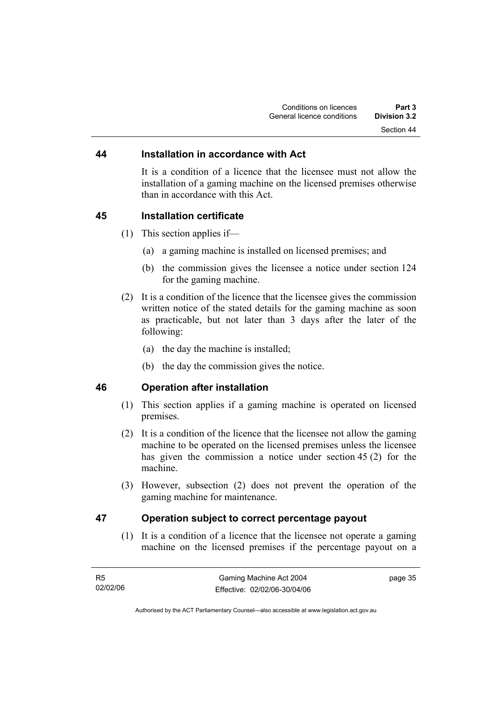#### **44 Installation in accordance with Act**

It is a condition of a licence that the licensee must not allow the installation of a gaming machine on the licensed premises otherwise than in accordance with this Act.

#### **45 Installation certificate**

- (1) This section applies if—
	- (a) a gaming machine is installed on licensed premises; and
	- (b) the commission gives the licensee a notice under section 124 for the gaming machine.
- (2) It is a condition of the licence that the licensee gives the commission written notice of the stated details for the gaming machine as soon as practicable, but not later than 3 days after the later of the following:
	- (a) the day the machine is installed;
	- (b) the day the commission gives the notice.

#### **46 Operation after installation**

- (1) This section applies if a gaming machine is operated on licensed premises.
- (2) It is a condition of the licence that the licensee not allow the gaming machine to be operated on the licensed premises unless the licensee has given the commission a notice under section 45 (2) for the machine.
- (3) However, subsection (2) does not prevent the operation of the gaming machine for maintenance.

#### **47 Operation subject to correct percentage payout**

 (1) It is a condition of a licence that the licensee not operate a gaming machine on the licensed premises if the percentage payout on a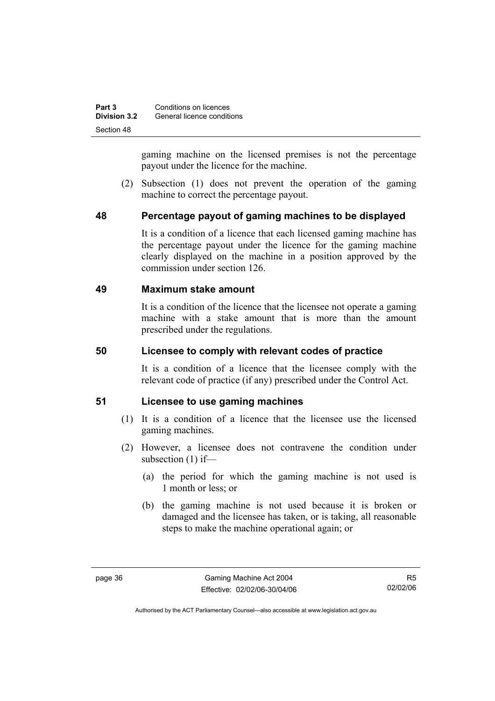| Part 3              | Conditions on licences     |
|---------------------|----------------------------|
| <b>Division 3.2</b> | General licence conditions |
| Section 48          |                            |

gaming machine on the licensed premises is not the percentage payout under the licence for the machine.

 (2) Subsection (1) does not prevent the operation of the gaming machine to correct the percentage payout.

#### **48 Percentage payout of gaming machines to be displayed**

It is a condition of a licence that each licensed gaming machine has the percentage payout under the licence for the gaming machine clearly displayed on the machine in a position approved by the commission under section 126.

### **49 Maximum stake amount**

It is a condition of the licence that the licensee not operate a gaming machine with a stake amount that is more than the amount prescribed under the regulations.

#### **50 Licensee to comply with relevant codes of practice**

It is a condition of a licence that the licensee comply with the relevant code of practice (if any) prescribed under the Control Act.

#### **51 Licensee to use gaming machines**

- (1) It is a condition of a licence that the licensee use the licensed gaming machines.
- (2) However, a licensee does not contravene the condition under subsection (1) if—
	- (a) the period for which the gaming machine is not used is 1 month or less; or
	- (b) the gaming machine is not used because it is broken or damaged and the licensee has taken, or is taking, all reasonable steps to make the machine operational again; or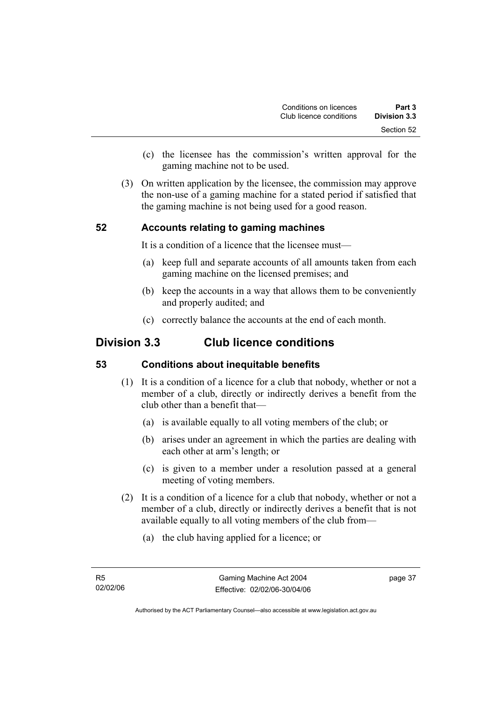- (c) the licensee has the commission's written approval for the gaming machine not to be used.
- (3) On written application by the licensee, the commission may approve the non-use of a gaming machine for a stated period if satisfied that the gaming machine is not being used for a good reason.

# **52 Accounts relating to gaming machines**

It is a condition of a licence that the licensee must—

- (a) keep full and separate accounts of all amounts taken from each gaming machine on the licensed premises; and
- (b) keep the accounts in a way that allows them to be conveniently and properly audited; and
- (c) correctly balance the accounts at the end of each month.

# **Division 3.3 Club licence conditions**

#### **53 Conditions about inequitable benefits**

- (1) It is a condition of a licence for a club that nobody, whether or not a member of a club, directly or indirectly derives a benefit from the club other than a benefit that—
	- (a) is available equally to all voting members of the club; or
	- (b) arises under an agreement in which the parties are dealing with each other at arm's length; or
	- (c) is given to a member under a resolution passed at a general meeting of voting members.
- (2) It is a condition of a licence for a club that nobody, whether or not a member of a club, directly or indirectly derives a benefit that is not available equally to all voting members of the club from—
	- (a) the club having applied for a licence; or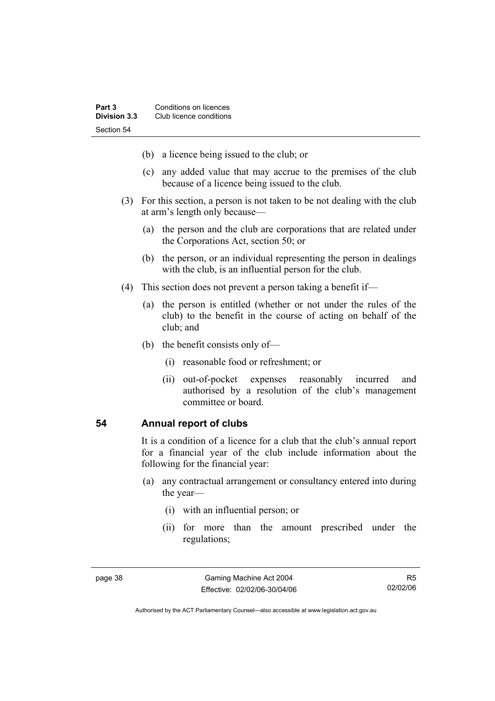- (b) a licence being issued to the club; or
- (c) any added value that may accrue to the premises of the club because of a licence being issued to the club.
- (3) For this section, a person is not taken to be not dealing with the club at arm's length only because—
	- (a) the person and the club are corporations that are related under the Corporations Act, section 50; or
	- (b) the person, or an individual representing the person in dealings with the club, is an influential person for the club.
- (4) This section does not prevent a person taking a benefit if—
	- (a) the person is entitled (whether or not under the rules of the club) to the benefit in the course of acting on behalf of the club; and
	- (b) the benefit consists only of—
		- (i) reasonable food or refreshment; or
		- (ii) out-of-pocket expenses reasonably incurred and authorised by a resolution of the club's management committee or board.

#### **54 Annual report of clubs**

It is a condition of a licence for a club that the club's annual report for a financial year of the club include information about the following for the financial year:

- (a) any contractual arrangement or consultancy entered into during the year—
	- (i) with an influential person; or
	- (ii) for more than the amount prescribed under the regulations;

Authorised by the ACT Parliamentary Counsel—also accessible at www.legislation.act.gov.au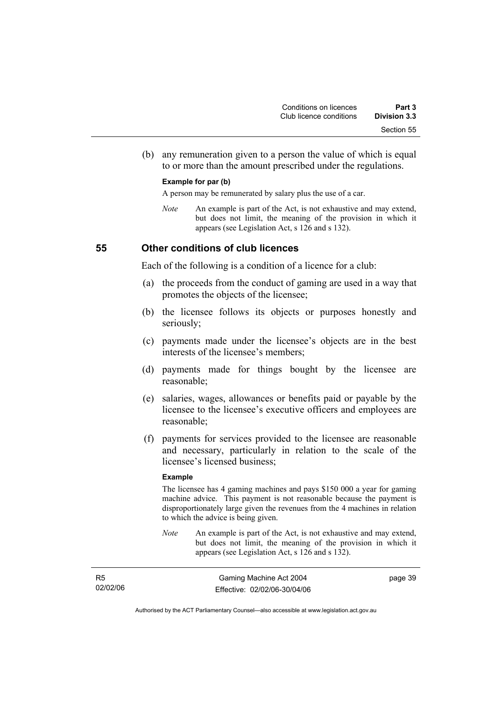(b) any remuneration given to a person the value of which is equal to or more than the amount prescribed under the regulations.

#### **Example for par (b)**

A person may be remunerated by salary plus the use of a car.

*Note* An example is part of the Act, is not exhaustive and may extend, but does not limit, the meaning of the provision in which it appears (see Legislation Act, s 126 and s 132).

#### **55 Other conditions of club licences**

Each of the following is a condition of a licence for a club:

- (a) the proceeds from the conduct of gaming are used in a way that promotes the objects of the licensee;
- (b) the licensee follows its objects or purposes honestly and seriously;
- (c) payments made under the licensee's objects are in the best interests of the licensee's members;
- (d) payments made for things bought by the licensee are reasonable;
- (e) salaries, wages, allowances or benefits paid or payable by the licensee to the licensee's executive officers and employees are reasonable;
- (f) payments for services provided to the licensee are reasonable and necessary, particularly in relation to the scale of the licensee's licensed business;

#### **Example**

The licensee has 4 gaming machines and pays \$150 000 a year for gaming machine advice. This payment is not reasonable because the payment is disproportionately large given the revenues from the 4 machines in relation to which the advice is being given.

*Note* An example is part of the Act, is not exhaustive and may extend, but does not limit, the meaning of the provision in which it appears (see Legislation Act, s 126 and s 132).

| R <sub>5</sub> | Gaming Machine Act 2004      | page 39 |
|----------------|------------------------------|---------|
| 02/02/06       | Effective: 02/02/06-30/04/06 |         |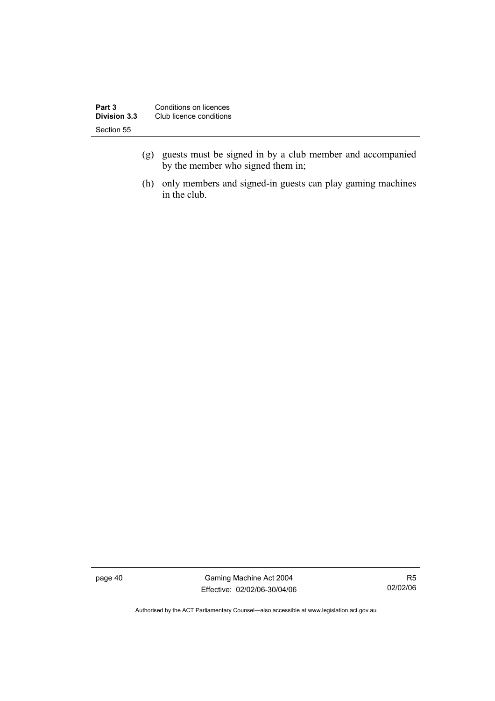| Conditions on licences<br>Part 3 |                         |
|----------------------------------|-------------------------|
| <b>Division 3.3</b>              | Club licence conditions |
| Section 55                       |                         |

- (g) guests must be signed in by a club member and accompanied by the member who signed them in;
- (h) only members and signed-in guests can play gaming machines in the club.

page 40 Gaming Machine Act 2004 Effective: 02/02/06-30/04/06

R5 02/02/06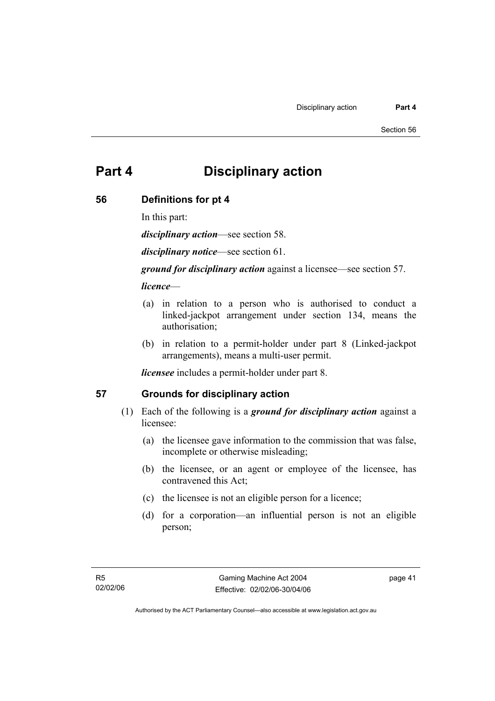# **Part 4 Disciplinary action**

#### **56 Definitions for pt 4**

In this part:

*disciplinary action*—see section 58.

*disciplinary notice*—see section 61.

*ground for disciplinary action* against a licensee—see section 57.

#### *licence*—

- (a) in relation to a person who is authorised to conduct a linked-jackpot arrangement under section 134, means the authorisation;
- (b) in relation to a permit-holder under part 8 (Linked-jackpot arrangements), means a multi-user permit.

*licensee* includes a permit-holder under part 8.

## **57 Grounds for disciplinary action**

- (1) Each of the following is a *ground for disciplinary action* against a licensee:
	- (a) the licensee gave information to the commission that was false, incomplete or otherwise misleading;
	- (b) the licensee, or an agent or employee of the licensee, has contravened this Act;
	- (c) the licensee is not an eligible person for a licence;
	- (d) for a corporation—an influential person is not an eligible person;

page 41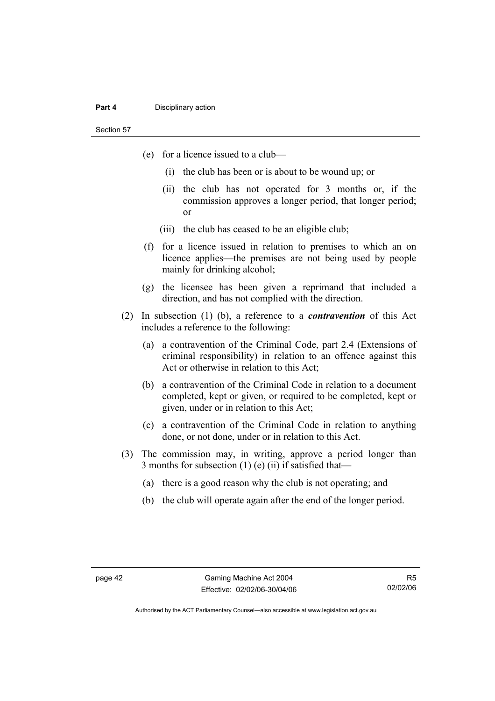#### **Part 4 Disciplinary action**

Section 57

- (e) for a licence issued to a club—
	- (i) the club has been or is about to be wound up; or
	- (ii) the club has not operated for 3 months or, if the commission approves a longer period, that longer period; or
	- (iii) the club has ceased to be an eligible club;
- (f) for a licence issued in relation to premises to which an on licence applies—the premises are not being used by people mainly for drinking alcohol;
- (g) the licensee has been given a reprimand that included a direction, and has not complied with the direction.
- (2) In subsection (1) (b), a reference to a *contravention* of this Act includes a reference to the following:
	- (a) a contravention of the Criminal Code, part 2.4 (Extensions of criminal responsibility) in relation to an offence against this Act or otherwise in relation to this Act;
	- (b) a contravention of the Criminal Code in relation to a document completed, kept or given, or required to be completed, kept or given, under or in relation to this Act;
	- (c) a contravention of the Criminal Code in relation to anything done, or not done, under or in relation to this Act.
- (3) The commission may, in writing, approve a period longer than 3 months for subsection  $(1)$  (e)  $(ii)$  if satisfied that-
	- (a) there is a good reason why the club is not operating; and
	- (b) the club will operate again after the end of the longer period.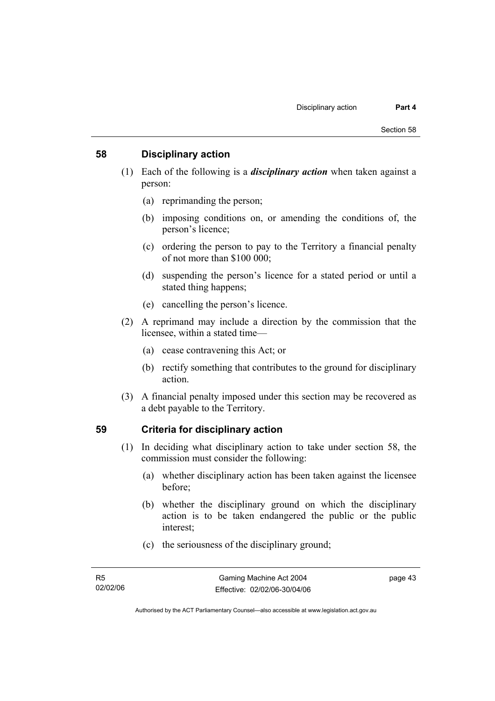#### **58 Disciplinary action**

- (1) Each of the following is a *disciplinary action* when taken against a person:
	- (a) reprimanding the person;
	- (b) imposing conditions on, or amending the conditions of, the person's licence;
	- (c) ordering the person to pay to the Territory a financial penalty of not more than \$100 000;
	- (d) suspending the person's licence for a stated period or until a stated thing happens;
	- (e) cancelling the person's licence.
- (2) A reprimand may include a direction by the commission that the licensee, within a stated time—
	- (a) cease contravening this Act; or
	- (b) rectify something that contributes to the ground for disciplinary action.
- (3) A financial penalty imposed under this section may be recovered as a debt payable to the Territory.

## **59 Criteria for disciplinary action**

- (1) In deciding what disciplinary action to take under section 58, the commission must consider the following:
	- (a) whether disciplinary action has been taken against the licensee before;
	- (b) whether the disciplinary ground on which the disciplinary action is to be taken endangered the public or the public interest;
	- (c) the seriousness of the disciplinary ground;

page 43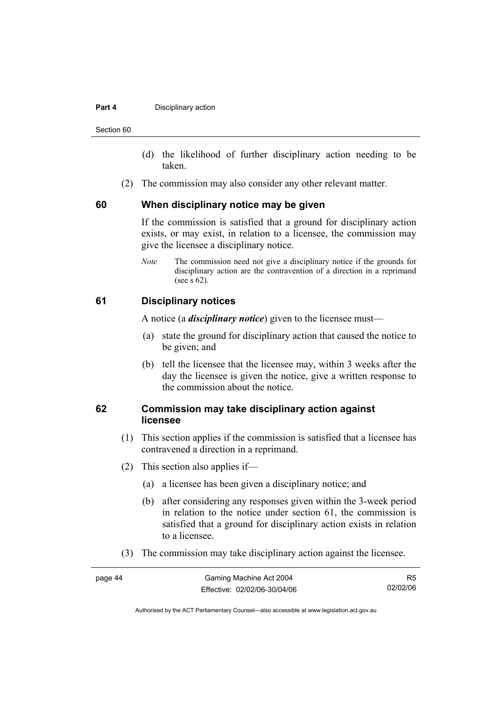#### **Part 4 Disciplinary action**

Section 60

- (d) the likelihood of further disciplinary action needing to be taken.
- (2) The commission may also consider any other relevant matter.

#### **60 When disciplinary notice may be given**

If the commission is satisfied that a ground for disciplinary action exists, or may exist, in relation to a licensee, the commission may give the licensee a disciplinary notice.

*Note* The commission need not give a disciplinary notice if the grounds for disciplinary action are the contravention of a direction in a reprimand (see s 62).

#### **61 Disciplinary notices**

A notice (a *disciplinary notice*) given to the licensee must—

- (a) state the ground for disciplinary action that caused the notice to be given; and
- (b) tell the licensee that the licensee may, within 3 weeks after the day the licensee is given the notice, give a written response to the commission about the notice.

#### **62 Commission may take disciplinary action against licensee**

- (1) This section applies if the commission is satisfied that a licensee has contravened a direction in a reprimand.
- (2) This section also applies if—
	- (a) a licensee has been given a disciplinary notice; and
	- (b) after considering any responses given within the 3-week period in relation to the notice under section 61, the commission is satisfied that a ground for disciplinary action exists in relation to a licensee.
- (3) The commission may take disciplinary action against the licensee.

| page 44 | Gaming Machine Act 2004      | R5       |
|---------|------------------------------|----------|
|         | Effective: 02/02/06-30/04/06 | 02/02/06 |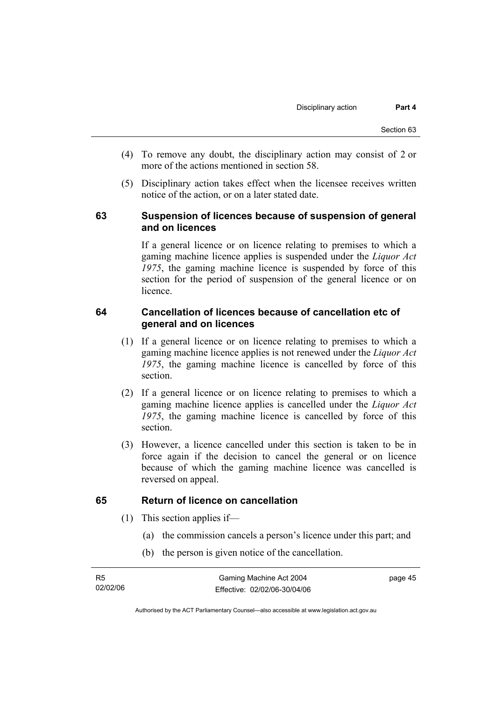- (4) To remove any doubt, the disciplinary action may consist of 2 or more of the actions mentioned in section 58.
- (5) Disciplinary action takes effect when the licensee receives written notice of the action, or on a later stated date.

### **63 Suspension of licences because of suspension of general and on licences**

If a general licence or on licence relating to premises to which a gaming machine licence applies is suspended under the *Liquor Act 1975*, the gaming machine licence is suspended by force of this section for the period of suspension of the general licence or on licence.

#### **64 Cancellation of licences because of cancellation etc of general and on licences**

- (1) If a general licence or on licence relating to premises to which a gaming machine licence applies is not renewed under the *Liquor Act 1975*, the gaming machine licence is cancelled by force of this section.
- (2) If a general licence or on licence relating to premises to which a gaming machine licence applies is cancelled under the *Liquor Act 1975*, the gaming machine licence is cancelled by force of this section.
- (3) However, a licence cancelled under this section is taken to be in force again if the decision to cancel the general or on licence because of which the gaming machine licence was cancelled is reversed on appeal.

## **65 Return of licence on cancellation**

- (1) This section applies if—
	- (a) the commission cancels a person's licence under this part; and
	- (b) the person is given notice of the cancellation.

page 45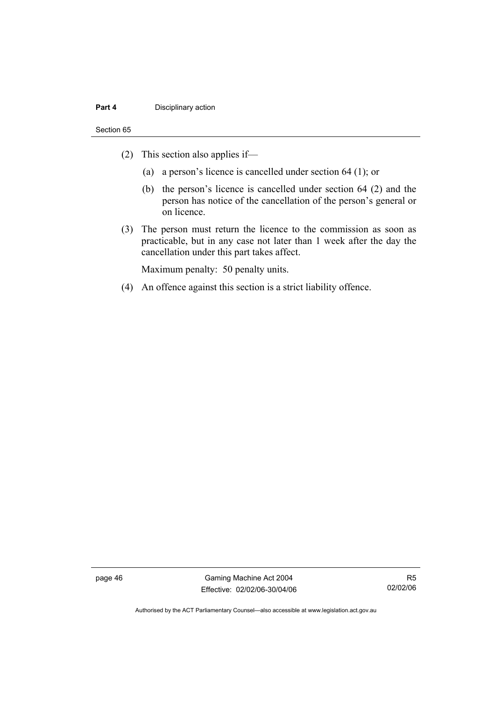#### **Part 4 Disciplinary action**

#### Section 65

- (2) This section also applies if—
	- (a) a person's licence is cancelled under section 64 (1); or
	- (b) the person's licence is cancelled under section 64 (2) and the person has notice of the cancellation of the person's general or on licence.
- (3) The person must return the licence to the commission as soon as practicable, but in any case not later than 1 week after the day the cancellation under this part takes affect.

Maximum penalty: 50 penalty units.

(4) An offence against this section is a strict liability offence.

page 46 Gaming Machine Act 2004 Effective: 02/02/06-30/04/06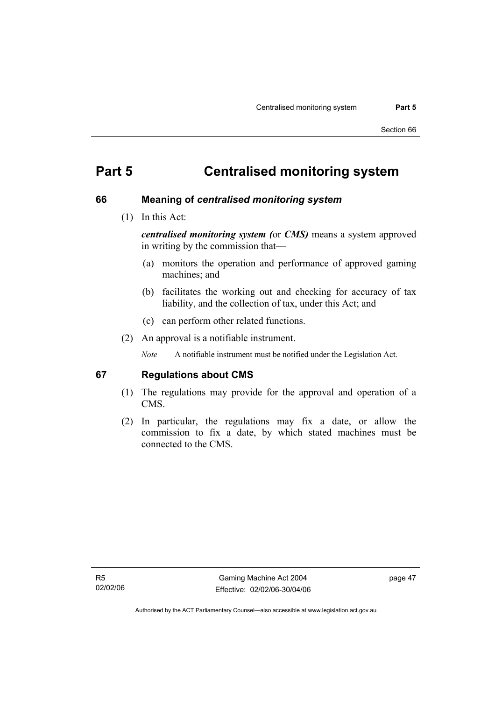# **Part 5 Centralised monitoring system**

#### **66 Meaning of** *centralised monitoring system*

(1) In this Act:

*centralised monitoring system (*or *CMS)* means a system approved in writing by the commission that—

- (a) monitors the operation and performance of approved gaming machines; and
- (b) facilitates the working out and checking for accuracy of tax liability, and the collection of tax, under this Act; and
- (c) can perform other related functions.
- (2) An approval is a notifiable instrument.

*Note* A notifiable instrument must be notified under the Legislation Act.

#### **67 Regulations about CMS**

- (1) The regulations may provide for the approval and operation of a CMS.
- (2) In particular, the regulations may fix a date, or allow the commission to fix a date, by which stated machines must be connected to the CMS.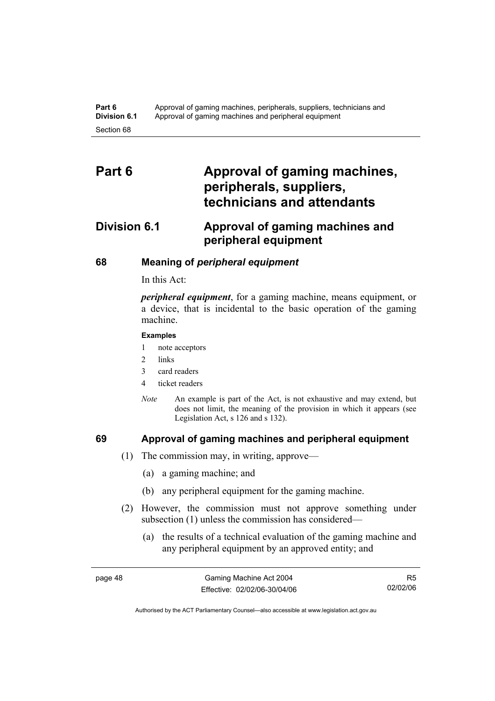# Part 6 **Approval of gaming machines, peripherals, suppliers, technicians and attendants**

# **Division 6.1 Approval of gaming machines and peripheral equipment**

#### **68 Meaning of** *peripheral equipment*

In this Act:

*peripheral equipment*, for a gaming machine, means equipment, or a device, that is incidental to the basic operation of the gaming machine.

#### **Examples**

1 note acceptors

- 2 links
- 3 card readers
- 4 ticket readers
- *Note* An example is part of the Act, is not exhaustive and may extend, but does not limit, the meaning of the provision in which it appears (see Legislation Act, s 126 and s 132).

#### **69 Approval of gaming machines and peripheral equipment**

- (1) The commission may, in writing, approve—
	- (a) a gaming machine; and
	- (b) any peripheral equipment for the gaming machine.
- (2) However, the commission must not approve something under subsection (1) unless the commission has considered—
	- (a) the results of a technical evaluation of the gaming machine and any peripheral equipment by an approved entity; and

R5 02/02/06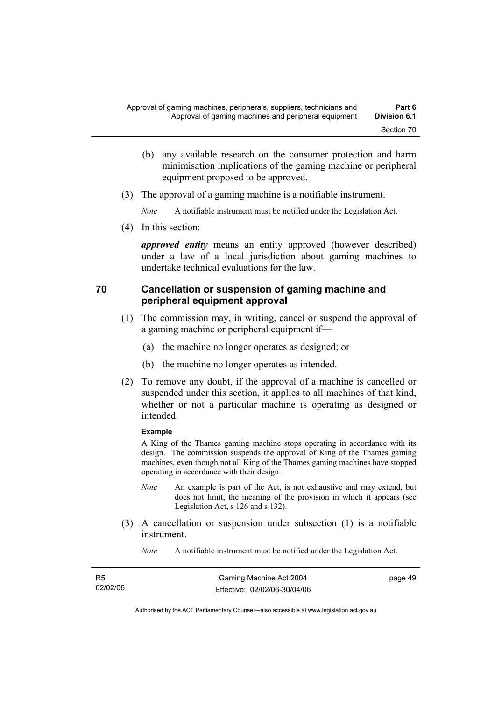- (b) any available research on the consumer protection and harm minimisation implications of the gaming machine or peripheral equipment proposed to be approved.
- (3) The approval of a gaming machine is a notifiable instrument.

*Note* A notifiable instrument must be notified under the Legislation Act.

(4) In this section:

*approved entity* means an entity approved (however described) under a law of a local jurisdiction about gaming machines to undertake technical evaluations for the law.

#### **70 Cancellation or suspension of gaming machine and peripheral equipment approval**

- (1) The commission may, in writing, cancel or suspend the approval of a gaming machine or peripheral equipment if—
	- (a) the machine no longer operates as designed; or
	- (b) the machine no longer operates as intended.
- (2) To remove any doubt, if the approval of a machine is cancelled or suspended under this section, it applies to all machines of that kind, whether or not a particular machine is operating as designed or intended.

#### **Example**

A King of the Thames gaming machine stops operating in accordance with its design. The commission suspends the approval of King of the Thames gaming machines, even though not all King of the Thames gaming machines have stopped operating in accordance with their design.

- *Note* An example is part of the Act, is not exhaustive and may extend, but does not limit, the meaning of the provision in which it appears (see Legislation Act, s 126 and s 132).
- (3) A cancellation or suspension under subsection (1) is a notifiable instrument.
	- *Note* A notifiable instrument must be notified under the Legislation Act.

| R5       | Gaming Machine Act 2004      | page 49 |
|----------|------------------------------|---------|
| 02/02/06 | Effective: 02/02/06-30/04/06 |         |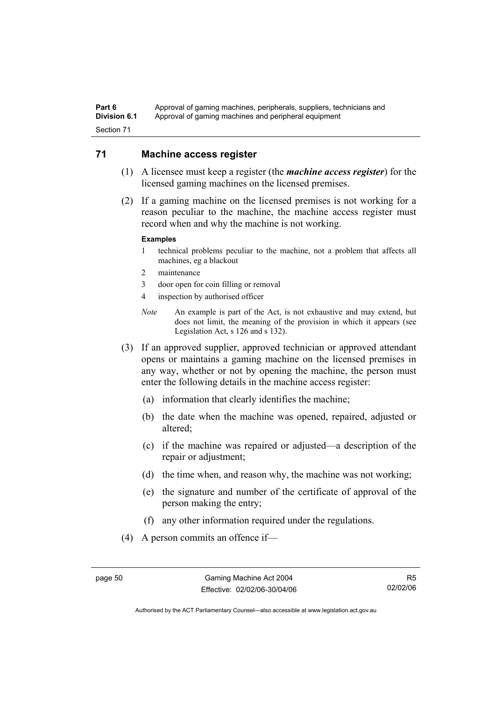#### Part 6 **Approval of gaming machines, peripherals, suppliers, technicians and Division 6.1** Approval of gaming machines and peripheral equipment Section 71

#### **71 Machine access register**

- (1) A licensee must keep a register (the *machine access register*) for the licensed gaming machines on the licensed premises.
- (2) If a gaming machine on the licensed premises is not working for a reason peculiar to the machine, the machine access register must record when and why the machine is not working.

#### **Examples**

- 1 technical problems peculiar to the machine, not a problem that affects all machines, eg a blackout
- 2 maintenance
- 3 door open for coin filling or removal
- 4 inspection by authorised officer
- *Note* An example is part of the Act, is not exhaustive and may extend, but does not limit, the meaning of the provision in which it appears (see Legislation Act, s 126 and s 132).
- (3) If an approved supplier, approved technician or approved attendant opens or maintains a gaming machine on the licensed premises in any way, whether or not by opening the machine, the person must enter the following details in the machine access register:
	- (a) information that clearly identifies the machine;
	- (b) the date when the machine was opened, repaired, adjusted or altered;
	- (c) if the machine was repaired or adjusted—a description of the repair or adjustment;
	- (d) the time when, and reason why, the machine was not working;
	- (e) the signature and number of the certificate of approval of the person making the entry;
	- (f) any other information required under the regulations.
- (4) A person commits an offence if—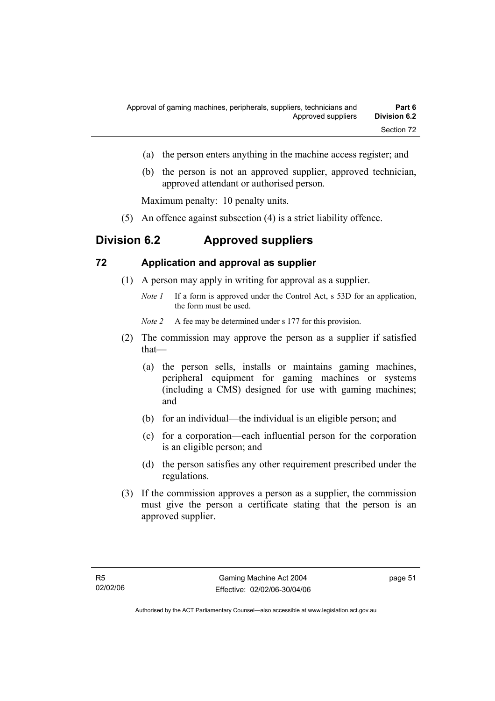- (a) the person enters anything in the machine access register; and
- (b) the person is not an approved supplier, approved technician, approved attendant or authorised person.

Maximum penalty: 10 penalty units.

(5) An offence against subsection (4) is a strict liability offence.

# **Division 6.2 Approved suppliers**

#### **72 Application and approval as supplier**

- (1) A person may apply in writing for approval as a supplier.
	- *Note 1* If a form is approved under the Control Act, s 53D for an application, the form must be used.

*Note 2* A fee may be determined under s 177 for this provision.

- (2) The commission may approve the person as a supplier if satisfied that—
	- (a) the person sells, installs or maintains gaming machines, peripheral equipment for gaming machines or systems (including a CMS) designed for use with gaming machines; and
	- (b) for an individual—the individual is an eligible person; and
	- (c) for a corporation—each influential person for the corporation is an eligible person; and
	- (d) the person satisfies any other requirement prescribed under the regulations.
- (3) If the commission approves a person as a supplier, the commission must give the person a certificate stating that the person is an approved supplier.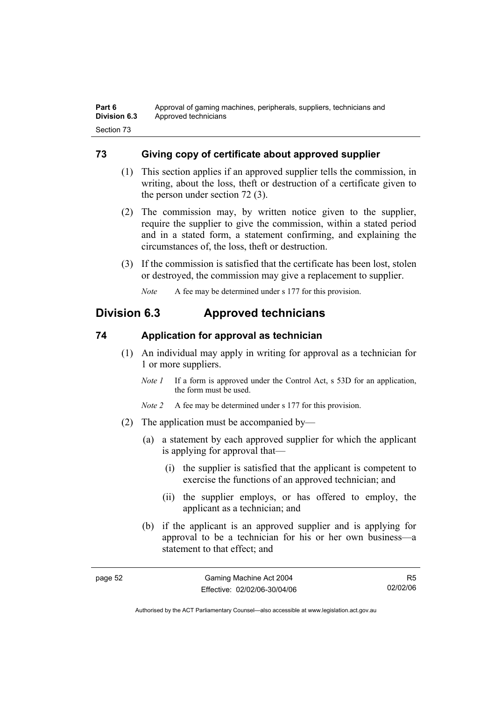## **73 Giving copy of certificate about approved supplier**

- (1) This section applies if an approved supplier tells the commission, in writing, about the loss, theft or destruction of a certificate given to the person under section 72 (3).
- (2) The commission may, by written notice given to the supplier, require the supplier to give the commission, within a stated period and in a stated form, a statement confirming, and explaining the circumstances of, the loss, theft or destruction.
- (3) If the commission is satisfied that the certificate has been lost, stolen or destroyed, the commission may give a replacement to supplier.

*Note* A fee may be determined under s 177 for this provision.

# **Division 6.3 Approved technicians**

## **74 Application for approval as technician**

- (1) An individual may apply in writing for approval as a technician for 1 or more suppliers.
	- *Note 1* If a form is approved under the Control Act, s 53D for an application, the form must be used.
	- *Note 2* A fee may be determined under s 177 for this provision.
- (2) The application must be accompanied by—
	- (a) a statement by each approved supplier for which the applicant is applying for approval that—
		- (i) the supplier is satisfied that the applicant is competent to exercise the functions of an approved technician; and
		- (ii) the supplier employs, or has offered to employ, the applicant as a technician; and
	- (b) if the applicant is an approved supplier and is applying for approval to be a technician for his or her own business—a statement to that effect; and

R5 02/02/06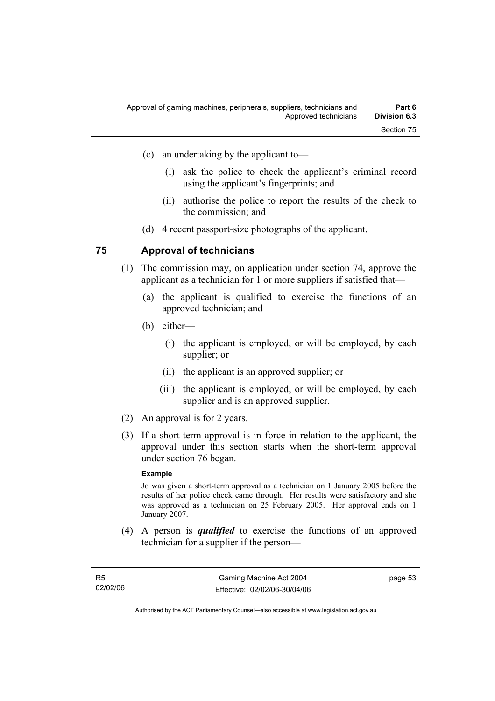- (i) ask the police to check the applicant's criminal record using the applicant's fingerprints; and
- (ii) authorise the police to report the results of the check to the commission; and
- (d) 4 recent passport-size photographs of the applicant.

#### **75 Approval of technicians**

- (1) The commission may, on application under section 74, approve the applicant as a technician for 1 or more suppliers if satisfied that—
	- (a) the applicant is qualified to exercise the functions of an approved technician; and
	- (b) either—
		- (i) the applicant is employed, or will be employed, by each supplier; or
		- (ii) the applicant is an approved supplier; or
		- (iii) the applicant is employed, or will be employed, by each supplier and is an approved supplier.
- (2) An approval is for 2 years.
- (3) If a short-term approval is in force in relation to the applicant, the approval under this section starts when the short-term approval under section 76 began.

#### **Example**

Jo was given a short-term approval as a technician on 1 January 2005 before the results of her police check came through. Her results were satisfactory and she was approved as a technician on 25 February 2005. Her approval ends on 1 January 2007.

 (4) A person is *qualified* to exercise the functions of an approved technician for a supplier if the person—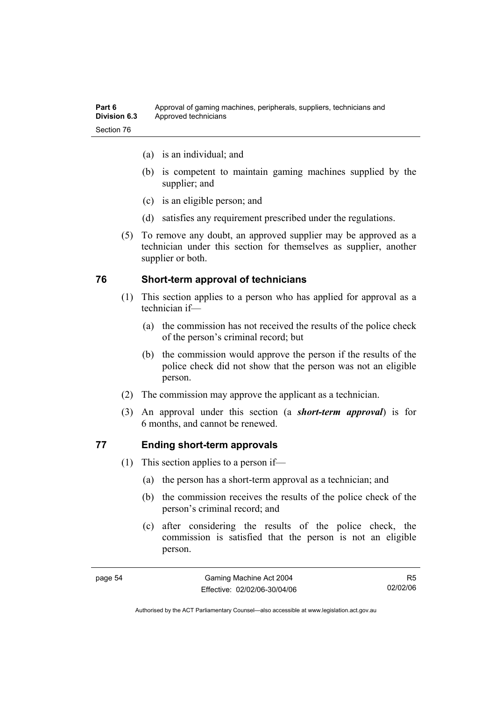| Part 6              | Approval of gaming machines, peripherals, suppliers, technicians and |
|---------------------|----------------------------------------------------------------------|
| <b>Division 6.3</b> | Approved technicians                                                 |
| Section 76          |                                                                      |

- (a) is an individual; and
- (b) is competent to maintain gaming machines supplied by the supplier; and
- (c) is an eligible person; and
- (d) satisfies any requirement prescribed under the regulations.
- (5) To remove any doubt, an approved supplier may be approved as a technician under this section for themselves as supplier, another supplier or both.

#### **76 Short-term approval of technicians**

- (1) This section applies to a person who has applied for approval as a technician if—
	- (a) the commission has not received the results of the police check of the person's criminal record; but
	- (b) the commission would approve the person if the results of the police check did not show that the person was not an eligible person.
- (2) The commission may approve the applicant as a technician.
- (3) An approval under this section (a *short-term approval*) is for 6 months, and cannot be renewed.

#### **77 Ending short-term approvals**

- (1) This section applies to a person if—
	- (a) the person has a short-term approval as a technician; and
	- (b) the commission receives the results of the police check of the person's criminal record; and
	- (c) after considering the results of the police check, the commission is satisfied that the person is not an eligible person.

R5 02/02/06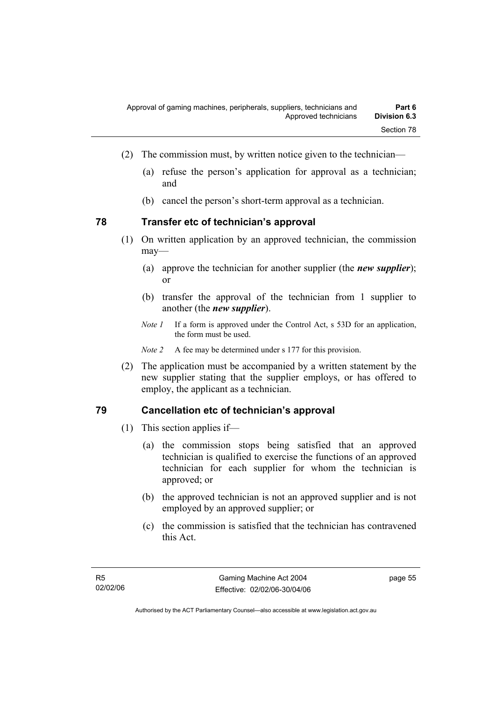- (2) The commission must, by written notice given to the technician—
	- (a) refuse the person's application for approval as a technician; and
	- (b) cancel the person's short-term approval as a technician.

#### **78 Transfer etc of technician's approval**

- (1) On written application by an approved technician, the commission may—
	- (a) approve the technician for another supplier (the *new supplier*); or
	- (b) transfer the approval of the technician from 1 supplier to another (the *new supplier*).
	- *Note 1* If a form is approved under the Control Act, s 53D for an application, the form must be used.

*Note 2* A fee may be determined under s 177 for this provision.

 (2) The application must be accompanied by a written statement by the new supplier stating that the supplier employs, or has offered to employ, the applicant as a technician.

#### **79 Cancellation etc of technician's approval**

- (1) This section applies if—
	- (a) the commission stops being satisfied that an approved technician is qualified to exercise the functions of an approved technician for each supplier for whom the technician is approved; or
	- (b) the approved technician is not an approved supplier and is not employed by an approved supplier; or
	- (c) the commission is satisfied that the technician has contravened this Act.

page 55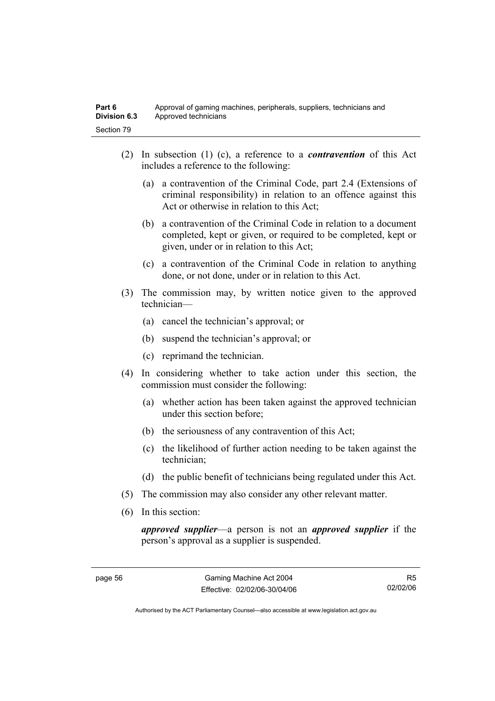- (2) In subsection (1) (c), a reference to a *contravention* of this Act includes a reference to the following:
	- (a) a contravention of the Criminal Code, part 2.4 (Extensions of criminal responsibility) in relation to an offence against this Act or otherwise in relation to this Act;
	- (b) a contravention of the Criminal Code in relation to a document completed, kept or given, or required to be completed, kept or given, under or in relation to this Act;
	- (c) a contravention of the Criminal Code in relation to anything done, or not done, under or in relation to this Act.
- (3) The commission may, by written notice given to the approved technician—
	- (a) cancel the technician's approval; or
	- (b) suspend the technician's approval; or
	- (c) reprimand the technician.
- (4) In considering whether to take action under this section, the commission must consider the following:
	- (a) whether action has been taken against the approved technician under this section before;
	- (b) the seriousness of any contravention of this Act;
	- (c) the likelihood of further action needing to be taken against the technician;
	- (d) the public benefit of technicians being regulated under this Act.
- (5) The commission may also consider any other relevant matter.
- (6) In this section:

*approved supplier*—a person is not an *approved supplier* if the person's approval as a supplier is suspended.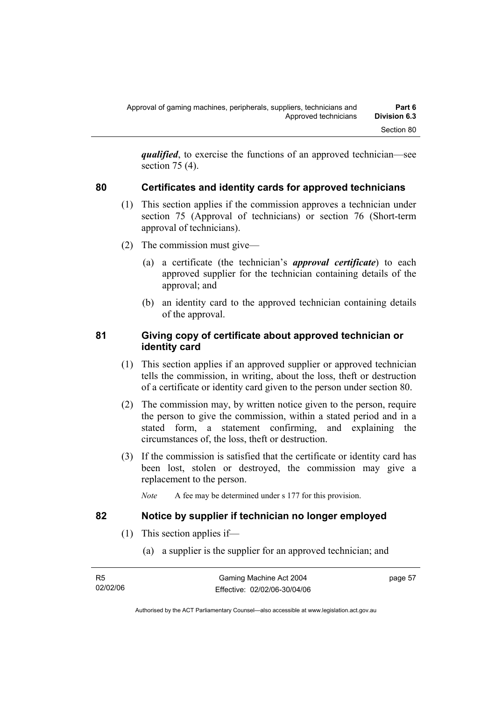*qualified*, to exercise the functions of an approved technician—see section 75 (4).

## **80 Certificates and identity cards for approved technicians**

- (1) This section applies if the commission approves a technician under section 75 (Approval of technicians) or section 76 (Short-term approval of technicians).
- (2) The commission must give—
	- (a) a certificate (the technician's *approval certificate*) to each approved supplier for the technician containing details of the approval; and
	- (b) an identity card to the approved technician containing details of the approval.

### **81 Giving copy of certificate about approved technician or identity card**

- (1) This section applies if an approved supplier or approved technician tells the commission, in writing, about the loss, theft or destruction of a certificate or identity card given to the person under section 80.
- (2) The commission may, by written notice given to the person, require the person to give the commission, within a stated period and in a stated form, a statement confirming, and explaining the circumstances of, the loss, theft or destruction.
- (3) If the commission is satisfied that the certificate or identity card has been lost, stolen or destroyed, the commission may give a replacement to the person.
	- *Note* A fee may be determined under s 177 for this provision.

#### **82 Notice by supplier if technician no longer employed**

- (1) This section applies if—
	- (a) a supplier is the supplier for an approved technician; and

| - R5     | Gaming Machine Act 2004      | page 57 |
|----------|------------------------------|---------|
| 02/02/06 | Effective: 02/02/06-30/04/06 |         |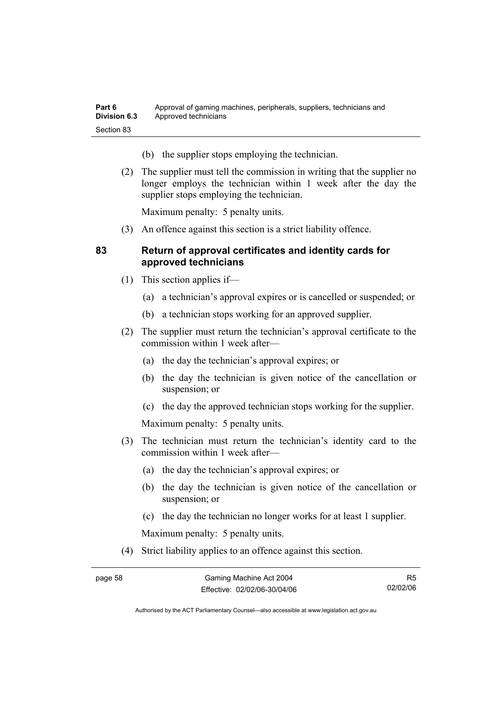| Part 6              | Approval of gaming machines, peripherals, suppliers, technicians and |
|---------------------|----------------------------------------------------------------------|
| <b>Division 6.3</b> | Approved technicians                                                 |
| Section 83          |                                                                      |

- (b) the supplier stops employing the technician.
- (2) The supplier must tell the commission in writing that the supplier no longer employs the technician within 1 week after the day the supplier stops employing the technician.

Maximum penalty: 5 penalty units.

(3) An offence against this section is a strict liability offence.

#### **83 Return of approval certificates and identity cards for approved technicians**

- (1) This section applies if—
	- (a) a technician's approval expires or is cancelled or suspended; or
	- (b) a technician stops working for an approved supplier.
- (2) The supplier must return the technician's approval certificate to the commission within 1 week after—
	- (a) the day the technician's approval expires; or
	- (b) the day the technician is given notice of the cancellation or suspension; or
	- (c) the day the approved technician stops working for the supplier.

Maximum penalty: 5 penalty units.

- (3) The technician must return the technician's identity card to the commission within 1 week after—
	- (a) the day the technician's approval expires; or
	- (b) the day the technician is given notice of the cancellation or suspension; or
	- (c) the day the technician no longer works for at least 1 supplier.

Maximum penalty: 5 penalty units.

(4) Strict liability applies to an offence against this section.

R5 02/02/06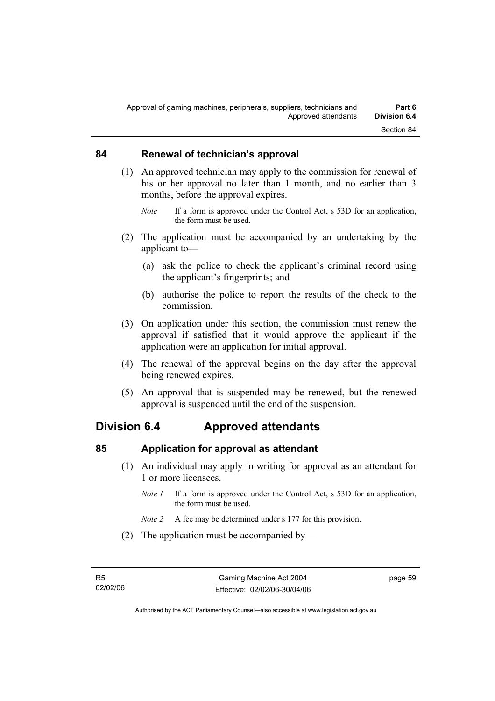#### **84 Renewal of technician's approval**

- (1) An approved technician may apply to the commission for renewal of his or her approval no later than 1 month, and no earlier than 3 months, before the approval expires.
	- *Note* If a form is approved under the Control Act, s 53D for an application, the form must be used.
- (2) The application must be accompanied by an undertaking by the applicant to—
	- (a) ask the police to check the applicant's criminal record using the applicant's fingerprints; and
	- (b) authorise the police to report the results of the check to the commission.
- (3) On application under this section, the commission must renew the approval if satisfied that it would approve the applicant if the application were an application for initial approval.
- (4) The renewal of the approval begins on the day after the approval being renewed expires.
- (5) An approval that is suspended may be renewed, but the renewed approval is suspended until the end of the suspension.

# **Division 6.4 Approved attendants**

#### **85 Application for approval as attendant**

- (1) An individual may apply in writing for approval as an attendant for 1 or more licensees.
	- *Note 1* If a form is approved under the Control Act, s 53D for an application, the form must be used.
	- *Note 2* A fee may be determined under s 177 for this provision.
- (2) The application must be accompanied by—

page 59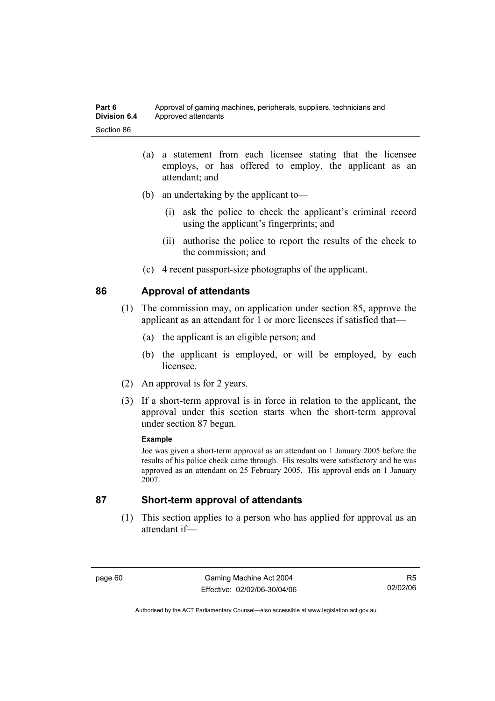- (a) a statement from each licensee stating that the licensee employs, or has offered to employ, the applicant as an attendant; and
- (b) an undertaking by the applicant to—
	- (i) ask the police to check the applicant's criminal record using the applicant's fingerprints; and
	- (ii) authorise the police to report the results of the check to the commission; and
- (c) 4 recent passport-size photographs of the applicant.

#### **86 Approval of attendants**

- (1) The commission may, on application under section 85, approve the applicant as an attendant for 1 or more licensees if satisfied that—
	- (a) the applicant is an eligible person; and
	- (b) the applicant is employed, or will be employed, by each licensee.
- (2) An approval is for 2 years.
- (3) If a short-term approval is in force in relation to the applicant, the approval under this section starts when the short-term approval under section 87 began.

#### **Example**

Joe was given a short-term approval as an attendant on 1 January 2005 before the results of his police check came through. His results were satisfactory and he was approved as an attendant on 25 February 2005. His approval ends on 1 January 2007.

#### **87 Short-term approval of attendants**

 (1) This section applies to a person who has applied for approval as an attendant if—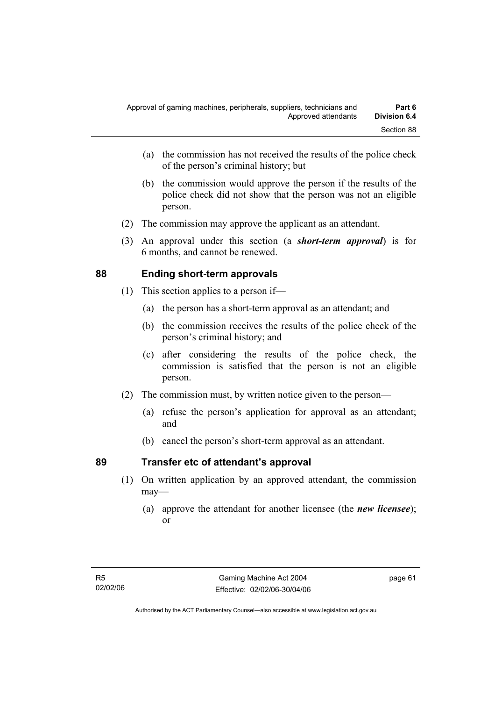- (a) the commission has not received the results of the police check of the person's criminal history; but
- (b) the commission would approve the person if the results of the police check did not show that the person was not an eligible person.
- (2) The commission may approve the applicant as an attendant.
- (3) An approval under this section (a *short-term approval*) is for 6 months, and cannot be renewed.

# **88 Ending short-term approvals**

- (1) This section applies to a person if—
	- (a) the person has a short-term approval as an attendant; and
	- (b) the commission receives the results of the police check of the person's criminal history; and
	- (c) after considering the results of the police check, the commission is satisfied that the person is not an eligible person.
- (2) The commission must, by written notice given to the person—
	- (a) refuse the person's application for approval as an attendant; and
	- (b) cancel the person's short-term approval as an attendant.

## **89 Transfer etc of attendant's approval**

- (1) On written application by an approved attendant, the commission may—
	- (a) approve the attendant for another licensee (the *new licensee*); or

page 61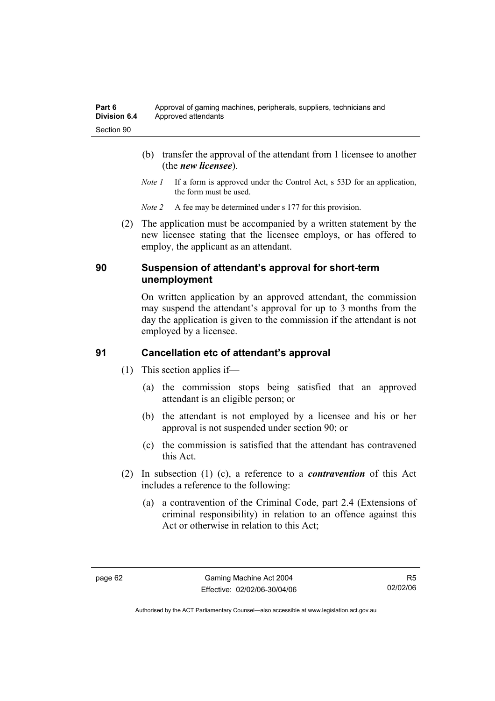- (b) transfer the approval of the attendant from 1 licensee to another (the *new licensee*).
- *Note 1* If a form is approved under the Control Act, s 53D for an application, the form must be used.
- *Note 2* A fee may be determined under s 177 for this provision.
- (2) The application must be accompanied by a written statement by the new licensee stating that the licensee employs, or has offered to employ, the applicant as an attendant.

#### **90 Suspension of attendant's approval for short-term unemployment**

On written application by an approved attendant, the commission may suspend the attendant's approval for up to 3 months from the day the application is given to the commission if the attendant is not employed by a licensee.

## **91 Cancellation etc of attendant's approval**

- (1) This section applies if—
	- (a) the commission stops being satisfied that an approved attendant is an eligible person; or
	- (b) the attendant is not employed by a licensee and his or her approval is not suspended under section 90; or
	- (c) the commission is satisfied that the attendant has contravened this Act.
- (2) In subsection (1) (c), a reference to a *contravention* of this Act includes a reference to the following:
	- (a) a contravention of the Criminal Code, part 2.4 (Extensions of criminal responsibility) in relation to an offence against this Act or otherwise in relation to this Act;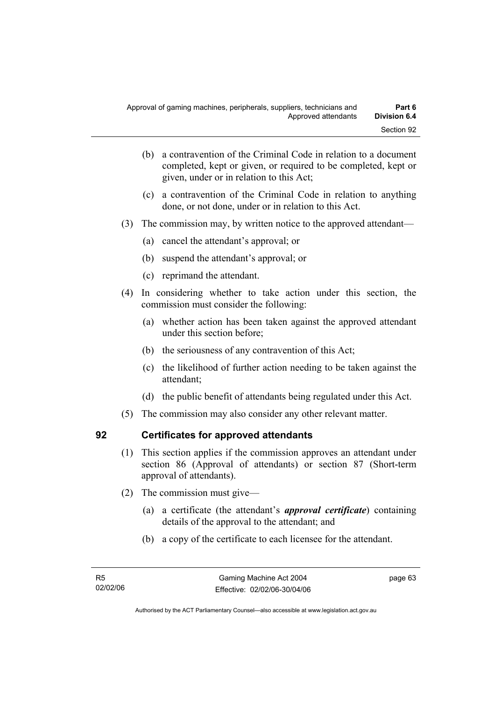- (b) a contravention of the Criminal Code in relation to a document completed, kept or given, or required to be completed, kept or given, under or in relation to this Act;
- (c) a contravention of the Criminal Code in relation to anything done, or not done, under or in relation to this Act.
- (3) The commission may, by written notice to the approved attendant—
	- (a) cancel the attendant's approval; or
	- (b) suspend the attendant's approval; or
	- (c) reprimand the attendant.
- (4) In considering whether to take action under this section, the commission must consider the following:
	- (a) whether action has been taken against the approved attendant under this section before;
	- (b) the seriousness of any contravention of this Act;
	- (c) the likelihood of further action needing to be taken against the attendant;
	- (d) the public benefit of attendants being regulated under this Act.
- (5) The commission may also consider any other relevant matter.

# **92 Certificates for approved attendants**

- (1) This section applies if the commission approves an attendant under section 86 (Approval of attendants) or section 87 (Short-term approval of attendants).
- (2) The commission must give—
	- (a) a certificate (the attendant's *approval certificate*) containing details of the approval to the attendant; and
	- (b) a copy of the certificate to each licensee for the attendant.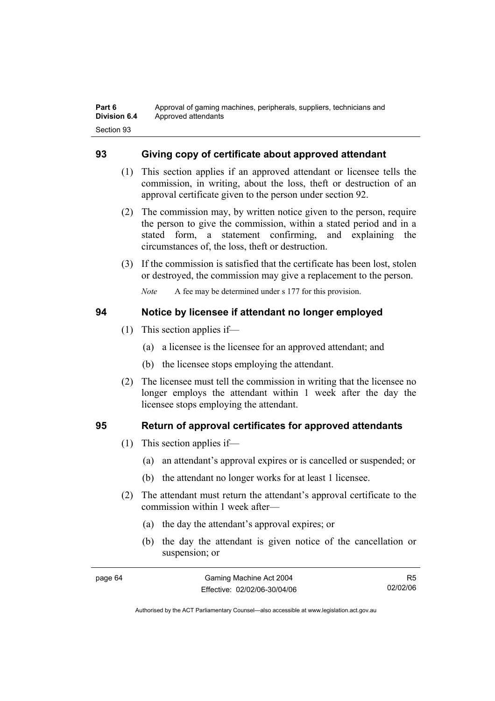# **93 Giving copy of certificate about approved attendant**

- (1) This section applies if an approved attendant or licensee tells the commission, in writing, about the loss, theft or destruction of an approval certificate given to the person under section 92.
- (2) The commission may, by written notice given to the person, require the person to give the commission, within a stated period and in a stated form, a statement confirming, and explaining the circumstances of, the loss, theft or destruction.
- (3) If the commission is satisfied that the certificate has been lost, stolen or destroyed, the commission may give a replacement to the person.

*Note* A fee may be determined under s 177 for this provision.

# **94 Notice by licensee if attendant no longer employed**

- (1) This section applies if—
	- (a) a licensee is the licensee for an approved attendant; and
	- (b) the licensee stops employing the attendant.
- (2) The licensee must tell the commission in writing that the licensee no longer employs the attendant within 1 week after the day the licensee stops employing the attendant.

# **95 Return of approval certificates for approved attendants**

- (1) This section applies if—
	- (a) an attendant's approval expires or is cancelled or suspended; or
	- (b) the attendant no longer works for at least 1 licensee.
- (2) The attendant must return the attendant's approval certificate to the commission within 1 week after—
	- (a) the day the attendant's approval expires; or
	- (b) the day the attendant is given notice of the cancellation or suspension; or

R5 02/02/06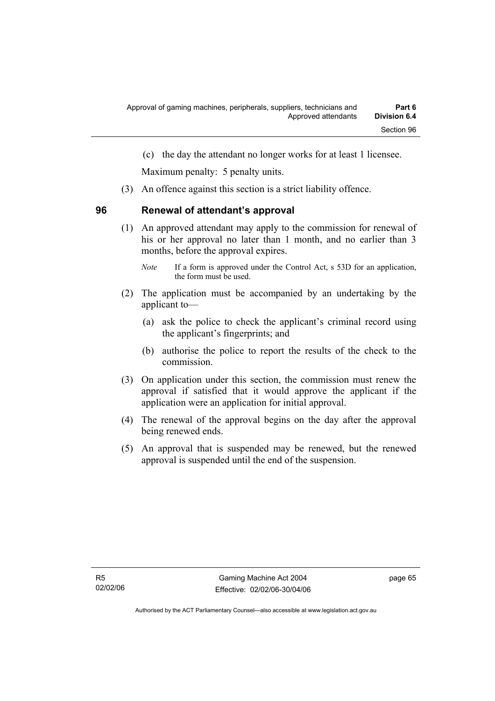(c) the day the attendant no longer works for at least 1 licensee.

Maximum penalty: 5 penalty units.

(3) An offence against this section is a strict liability offence.

# **96 Renewal of attendant's approval**

 (1) An approved attendant may apply to the commission for renewal of his or her approval no later than 1 month, and no earlier than 3 months, before the approval expires.

- (2) The application must be accompanied by an undertaking by the applicant to—
	- (a) ask the police to check the applicant's criminal record using the applicant's fingerprints; and
	- (b) authorise the police to report the results of the check to the commission.
- (3) On application under this section, the commission must renew the approval if satisfied that it would approve the applicant if the application were an application for initial approval.
- (4) The renewal of the approval begins on the day after the approval being renewed ends.
- (5) An approval that is suspended may be renewed, but the renewed approval is suspended until the end of the suspension.

*Note* If a form is approved under the Control Act, s 53D for an application, the form must be used.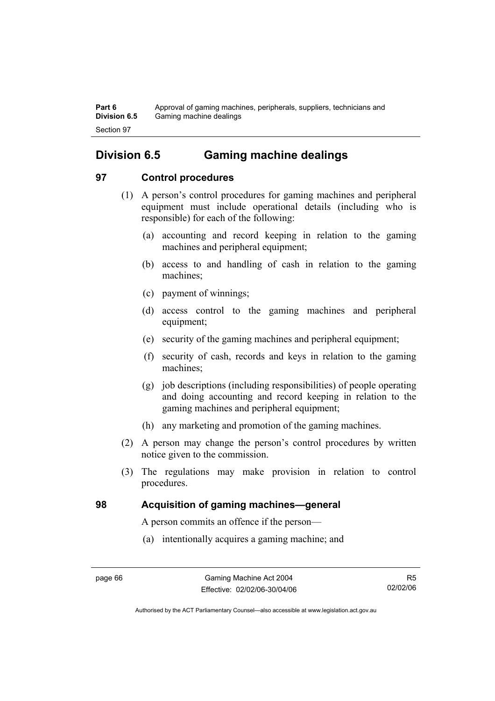**Part 6** Approval of gaming machines, peripherals, suppliers, technicians and **Division 6.5** Gaming machine dealings Section 97

# **Division 6.5 Gaming machine dealings**

# **97 Control procedures**

- (1) A person's control procedures for gaming machines and peripheral equipment must include operational details (including who is responsible) for each of the following:
	- (a) accounting and record keeping in relation to the gaming machines and peripheral equipment;
	- (b) access to and handling of cash in relation to the gaming machines;
	- (c) payment of winnings;
	- (d) access control to the gaming machines and peripheral equipment;
	- (e) security of the gaming machines and peripheral equipment;
	- (f) security of cash, records and keys in relation to the gaming machines;
	- (g) job descriptions (including responsibilities) of people operating and doing accounting and record keeping in relation to the gaming machines and peripheral equipment;
	- (h) any marketing and promotion of the gaming machines.
- (2) A person may change the person's control procedures by written notice given to the commission.
- (3) The regulations may make provision in relation to control procedures.

# **98 Acquisition of gaming machines—general**

A person commits an offence if the person—

(a) intentionally acquires a gaming machine; and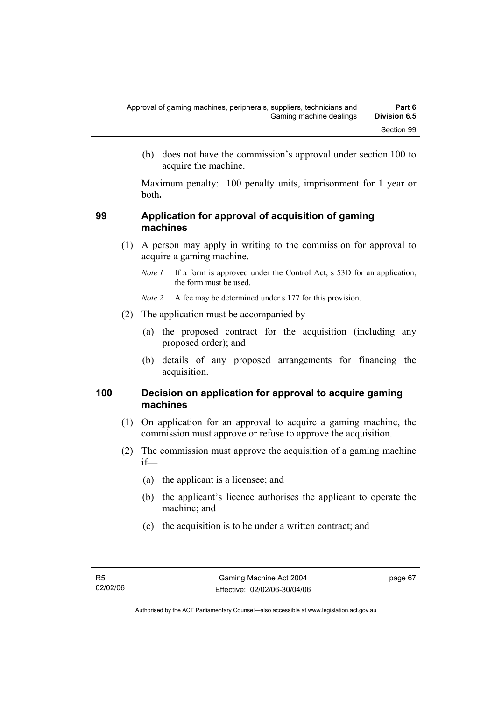(b) does not have the commission's approval under section 100 to acquire the machine.

Maximum penalty: 100 penalty units, imprisonment for 1 year or both**.**

## **99 Application for approval of acquisition of gaming machines**

- (1) A person may apply in writing to the commission for approval to acquire a gaming machine.
	- *Note 1* If a form is approved under the Control Act, s 53D for an application, the form must be used.

*Note 2* A fee may be determined under s 177 for this provision.

- (2) The application must be accompanied by—
	- (a) the proposed contract for the acquisition (including any proposed order); and
	- (b) details of any proposed arrangements for financing the acquisition.

## **100 Decision on application for approval to acquire gaming machines**

- (1) On application for an approval to acquire a gaming machine, the commission must approve or refuse to approve the acquisition.
- (2) The commission must approve the acquisition of a gaming machine if—
	- (a) the applicant is a licensee; and
	- (b) the applicant's licence authorises the applicant to operate the machine; and
	- (c) the acquisition is to be under a written contract; and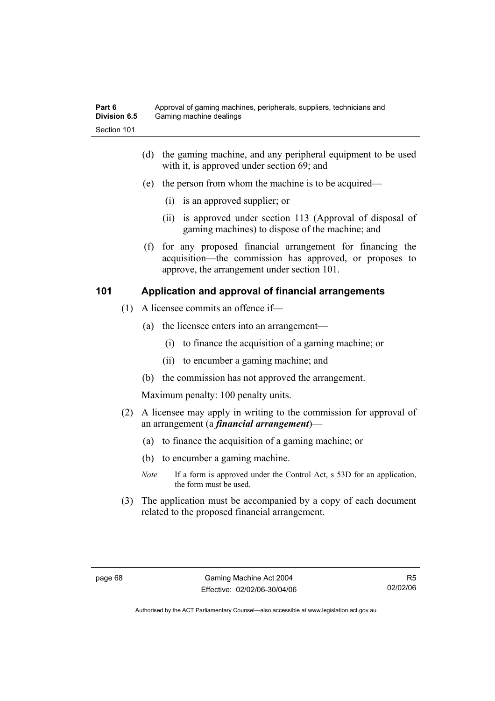- (d) the gaming machine, and any peripheral equipment to be used with it, is approved under section 69; and
- (e) the person from whom the machine is to be acquired—
	- (i) is an approved supplier; or
	- (ii) is approved under section 113 (Approval of disposal of gaming machines) to dispose of the machine; and
- (f) for any proposed financial arrangement for financing the acquisition—the commission has approved, or proposes to approve, the arrangement under section 101.

# **101 Application and approval of financial arrangements**

- (1) A licensee commits an offence if—
	- (a) the licensee enters into an arrangement—
		- (i) to finance the acquisition of a gaming machine; or
		- (ii) to encumber a gaming machine; and
	- (b) the commission has not approved the arrangement.

Maximum penalty: 100 penalty units.

- (2) A licensee may apply in writing to the commission for approval of an arrangement (a *financial arrangement*)—
	- (a) to finance the acquisition of a gaming machine; or
	- (b) to encumber a gaming machine.
	- *Note* If a form is approved under the Control Act, s 53D for an application, the form must be used.
- (3) The application must be accompanied by a copy of each document related to the proposed financial arrangement.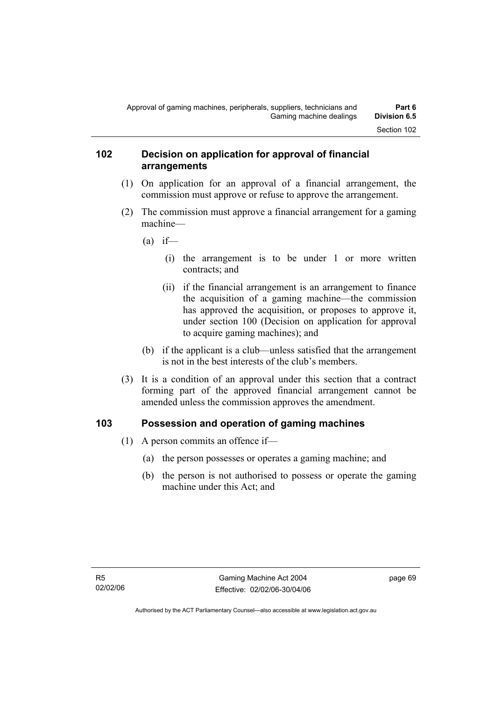## **102 Decision on application for approval of financial arrangements**

- (1) On application for an approval of a financial arrangement, the commission must approve or refuse to approve the arrangement.
- (2) The commission must approve a financial arrangement for a gaming machine—
	- $(a)$  if—
		- (i) the arrangement is to be under 1 or more written contracts; and
		- (ii) if the financial arrangement is an arrangement to finance the acquisition of a gaming machine—the commission has approved the acquisition, or proposes to approve it, under section 100 (Decision on application for approval to acquire gaming machines); and
	- (b) if the applicant is a club—unless satisfied that the arrangement is not in the best interests of the club's members.
- (3) It is a condition of an approval under this section that a contract forming part of the approved financial arrangement cannot be amended unless the commission approves the amendment.

# **103 Possession and operation of gaming machines**

- (1) A person commits an offence if—
	- (a) the person possesses or operates a gaming machine; and
	- (b) the person is not authorised to possess or operate the gaming machine under this Act; and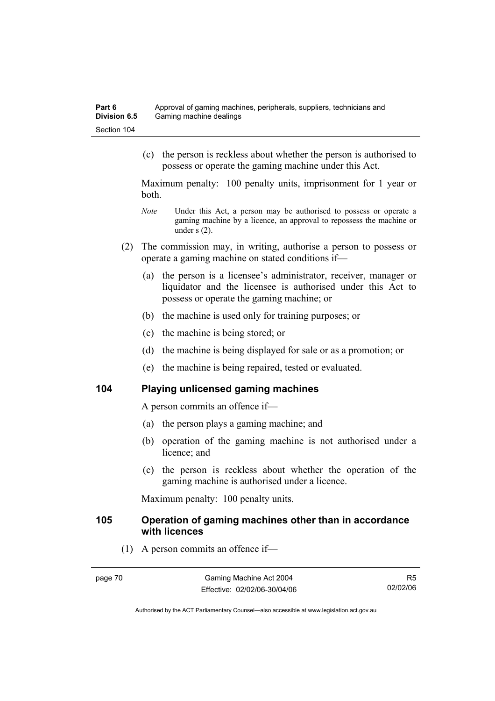(c) the person is reckless about whether the person is authorised to possess or operate the gaming machine under this Act.

Maximum penalty: 100 penalty units, imprisonment for 1 year or both.

- *Note* Under this Act, a person may be authorised to possess or operate a gaming machine by a licence, an approval to repossess the machine or under s (2).
- (2) The commission may, in writing, authorise a person to possess or operate a gaming machine on stated conditions if—
	- (a) the person is a licensee's administrator, receiver, manager or liquidator and the licensee is authorised under this Act to possess or operate the gaming machine; or
	- (b) the machine is used only for training purposes; or
	- (c) the machine is being stored; or
	- (d) the machine is being displayed for sale or as a promotion; or
	- (e) the machine is being repaired, tested or evaluated.

## **104 Playing unlicensed gaming machines**

A person commits an offence if—

- (a) the person plays a gaming machine; and
- (b) operation of the gaming machine is not authorised under a licence; and
- (c) the person is reckless about whether the operation of the gaming machine is authorised under a licence.

Maximum penalty: 100 penalty units.

### **105 Operation of gaming machines other than in accordance with licences**

(1) A person commits an offence if—

R5 02/02/06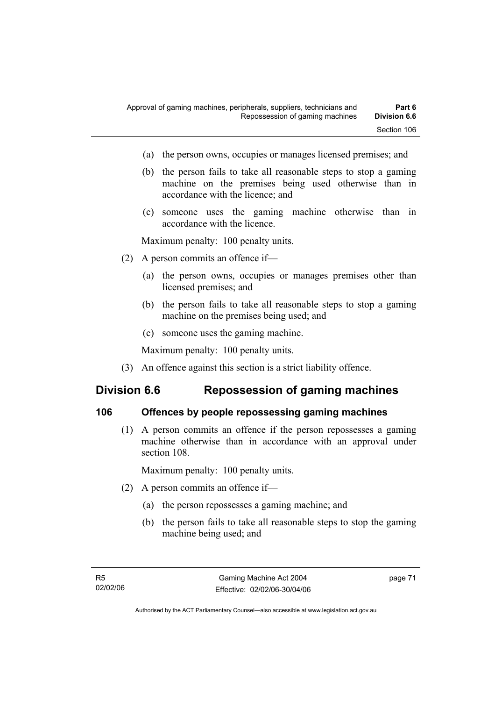- (a) the person owns, occupies or manages licensed premises; and
- (b) the person fails to take all reasonable steps to stop a gaming machine on the premises being used otherwise than in accordance with the licence; and
- (c) someone uses the gaming machine otherwise than in accordance with the licence.

Maximum penalty: 100 penalty units.

- (2) A person commits an offence if—
	- (a) the person owns, occupies or manages premises other than licensed premises; and
	- (b) the person fails to take all reasonable steps to stop a gaming machine on the premises being used; and
	- (c) someone uses the gaming machine.

Maximum penalty: 100 penalty units.

(3) An offence against this section is a strict liability offence.

# **Division 6.6 Repossession of gaming machines**

### **106 Offences by people repossessing gaming machines**

 (1) A person commits an offence if the person repossesses a gaming machine otherwise than in accordance with an approval under section 108.

Maximum penalty: 100 penalty units.

- (2) A person commits an offence if—
	- (a) the person repossesses a gaming machine; and
	- (b) the person fails to take all reasonable steps to stop the gaming machine being used; and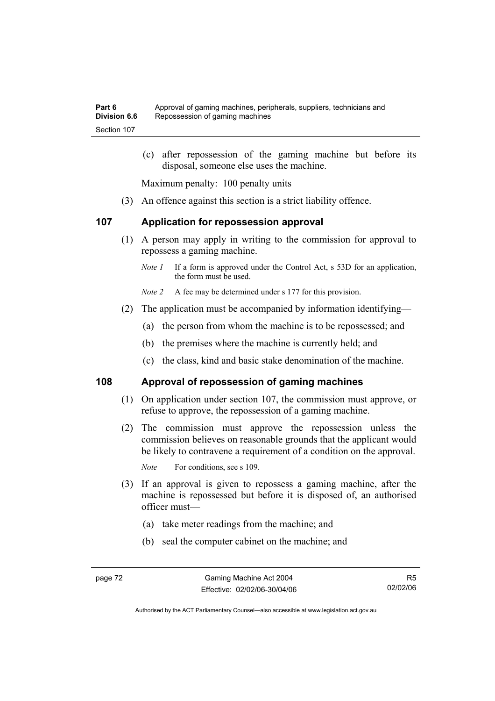(c) after repossession of the gaming machine but before its disposal, someone else uses the machine.

Maximum penalty: 100 penalty units

(3) An offence against this section is a strict liability offence.

### **107 Application for repossession approval**

- (1) A person may apply in writing to the commission for approval to repossess a gaming machine.
	- *Note 1* If a form is approved under the Control Act, s 53D for an application, the form must be used.

*Note 2* A fee may be determined under s 177 for this provision.

- (2) The application must be accompanied by information identifying—
	- (a) the person from whom the machine is to be repossessed; and
	- (b) the premises where the machine is currently held; and
	- (c) the class, kind and basic stake denomination of the machine.

### **108 Approval of repossession of gaming machines**

- (1) On application under section 107, the commission must approve, or refuse to approve, the repossession of a gaming machine.
- (2) The commission must approve the repossession unless the commission believes on reasonable grounds that the applicant would be likely to contravene a requirement of a condition on the approval.

*Note* For conditions, see s 109.

- (3) If an approval is given to repossess a gaming machine, after the machine is repossessed but before it is disposed of, an authorised officer must—
	- (a) take meter readings from the machine; and
	- (b) seal the computer cabinet on the machine; and

R5 02/02/06

Authorised by the ACT Parliamentary Counsel—also accessible at www.legislation.act.gov.au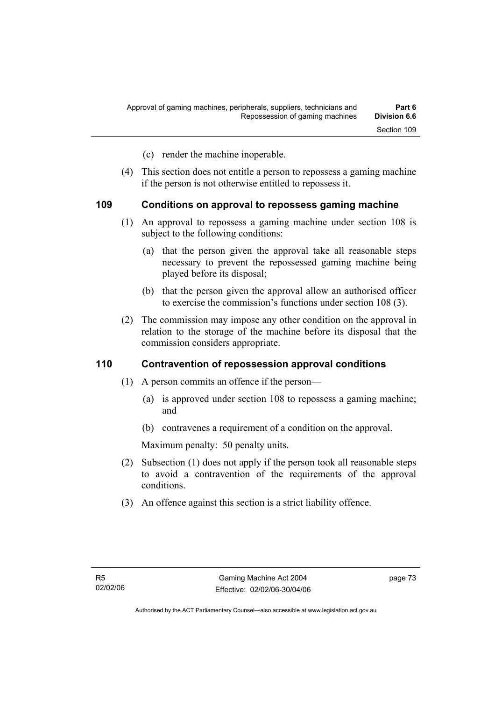- (c) render the machine inoperable.
- (4) This section does not entitle a person to repossess a gaming machine if the person is not otherwise entitled to repossess it.

#### **109 Conditions on approval to repossess gaming machine**

- (1) An approval to repossess a gaming machine under section 108 is subject to the following conditions:
	- (a) that the person given the approval take all reasonable steps necessary to prevent the repossessed gaming machine being played before its disposal;
	- (b) that the person given the approval allow an authorised officer to exercise the commission's functions under section 108 (3).
- (2) The commission may impose any other condition on the approval in relation to the storage of the machine before its disposal that the commission considers appropriate.

### **110 Contravention of repossession approval conditions**

- (1) A person commits an offence if the person—
	- (a) is approved under section 108 to repossess a gaming machine; and
	- (b) contravenes a requirement of a condition on the approval.

Maximum penalty: 50 penalty units.

- (2) Subsection (1) does not apply if the person took all reasonable steps to avoid a contravention of the requirements of the approval conditions.
- (3) An offence against this section is a strict liability offence.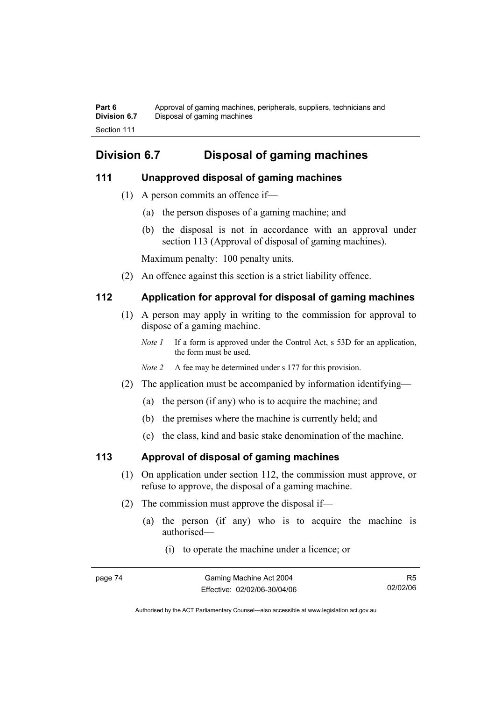**Part 6** Approval of gaming machines, peripherals, suppliers, technicians and **Division 6.7** Disposal of gaming machines Section 111

# **Division 6.7 Disposal of gaming machines**

## **111 Unapproved disposal of gaming machines**

- (1) A person commits an offence if—
	- (a) the person disposes of a gaming machine; and
	- (b) the disposal is not in accordance with an approval under section 113 (Approval of disposal of gaming machines).

Maximum penalty: 100 penalty units.

(2) An offence against this section is a strict liability offence.

# **112 Application for approval for disposal of gaming machines**

- (1) A person may apply in writing to the commission for approval to dispose of a gaming machine.
	- *Note 1* If a form is approved under the Control Act, s 53D for an application, the form must be used.
	- *Note 2* A fee may be determined under s 177 for this provision.
- (2) The application must be accompanied by information identifying—
	- (a) the person (if any) who is to acquire the machine; and
	- (b) the premises where the machine is currently held; and
	- (c) the class, kind and basic stake denomination of the machine.

# **113 Approval of disposal of gaming machines**

- (1) On application under section 112, the commission must approve, or refuse to approve, the disposal of a gaming machine.
- (2) The commission must approve the disposal if—
	- (a) the person (if any) who is to acquire the machine is authorised—
		- (i) to operate the machine under a licence; or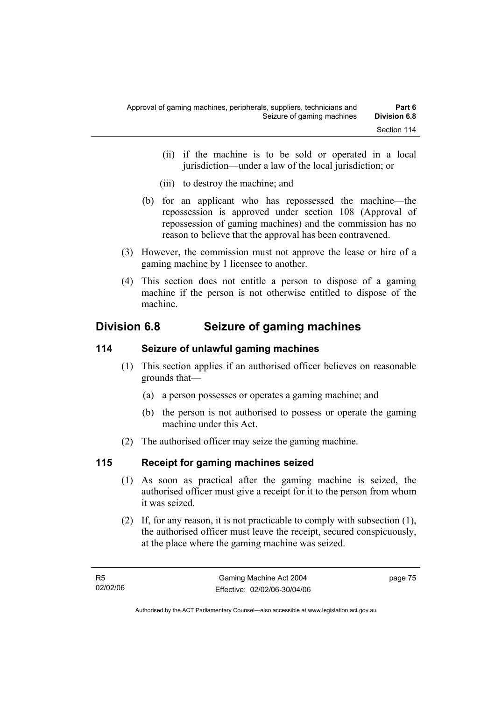- (ii) if the machine is to be sold or operated in a local jurisdiction—under a law of the local jurisdiction; or
- (iii) to destroy the machine; and
- (b) for an applicant who has repossessed the machine—the repossession is approved under section 108 (Approval of repossession of gaming machines) and the commission has no reason to believe that the approval has been contravened.
- (3) However, the commission must not approve the lease or hire of a gaming machine by 1 licensee to another.
- (4) This section does not entitle a person to dispose of a gaming machine if the person is not otherwise entitled to dispose of the machine.

# **Division 6.8 Seizure of gaming machines**

# **114 Seizure of unlawful gaming machines**

- (1) This section applies if an authorised officer believes on reasonable grounds that—
	- (a) a person possesses or operates a gaming machine; and
	- (b) the person is not authorised to possess or operate the gaming machine under this Act.
- (2) The authorised officer may seize the gaming machine.

# **115 Receipt for gaming machines seized**

- (1) As soon as practical after the gaming machine is seized, the authorised officer must give a receipt for it to the person from whom it was seized.
- (2) If, for any reason, it is not practicable to comply with subsection (1), the authorised officer must leave the receipt, secured conspicuously, at the place where the gaming machine was seized.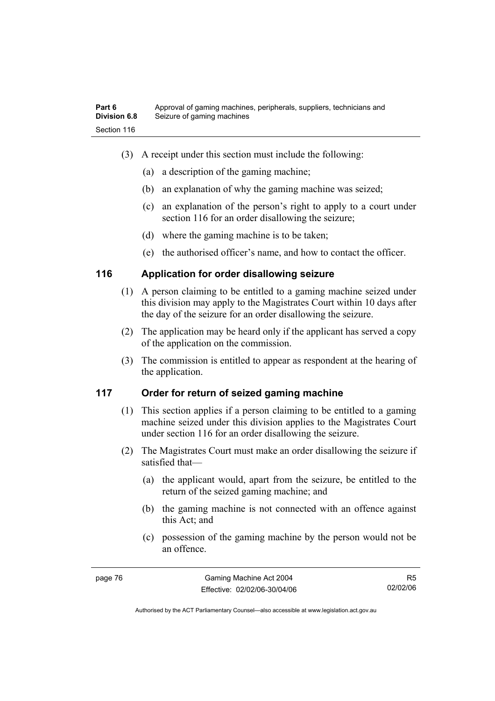- (3) A receipt under this section must include the following:
	- (a) a description of the gaming machine;
	- (b) an explanation of why the gaming machine was seized;
	- (c) an explanation of the person's right to apply to a court under section 116 for an order disallowing the seizure;
	- (d) where the gaming machine is to be taken;
	- (e) the authorised officer's name, and how to contact the officer.

# **116 Application for order disallowing seizure**

- (1) A person claiming to be entitled to a gaming machine seized under this division may apply to the Magistrates Court within 10 days after the day of the seizure for an order disallowing the seizure.
- (2) The application may be heard only if the applicant has served a copy of the application on the commission.
- (3) The commission is entitled to appear as respondent at the hearing of the application.

# **117 Order for return of seized gaming machine**

- (1) This section applies if a person claiming to be entitled to a gaming machine seized under this division applies to the Magistrates Court under section 116 for an order disallowing the seizure.
- (2) The Magistrates Court must make an order disallowing the seizure if satisfied that—
	- (a) the applicant would, apart from the seizure, be entitled to the return of the seized gaming machine; and
	- (b) the gaming machine is not connected with an offence against this Act; and
	- (c) possession of the gaming machine by the person would not be an offence.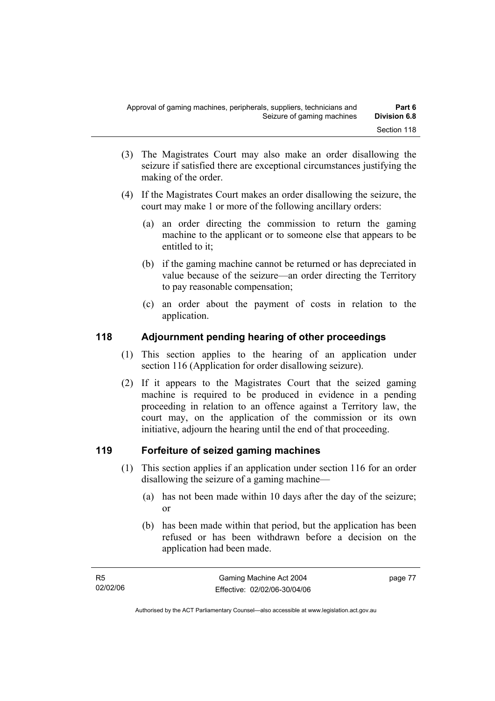- (3) The Magistrates Court may also make an order disallowing the seizure if satisfied there are exceptional circumstances justifying the making of the order.
- (4) If the Magistrates Court makes an order disallowing the seizure, the court may make 1 or more of the following ancillary orders:
	- (a) an order directing the commission to return the gaming machine to the applicant or to someone else that appears to be entitled to it;
	- (b) if the gaming machine cannot be returned or has depreciated in value because of the seizure—an order directing the Territory to pay reasonable compensation;
	- (c) an order about the payment of costs in relation to the application.

# **118 Adjournment pending hearing of other proceedings**

- (1) This section applies to the hearing of an application under section 116 (Application for order disallowing seizure).
- (2) If it appears to the Magistrates Court that the seized gaming machine is required to be produced in evidence in a pending proceeding in relation to an offence against a Territory law, the court may, on the application of the commission or its own initiative, adjourn the hearing until the end of that proceeding.

# **119 Forfeiture of seized gaming machines**

- (1) This section applies if an application under section 116 for an order disallowing the seizure of a gaming machine—
	- (a) has not been made within 10 days after the day of the seizure; or
	- (b) has been made within that period, but the application has been refused or has been withdrawn before a decision on the application had been made.

page 77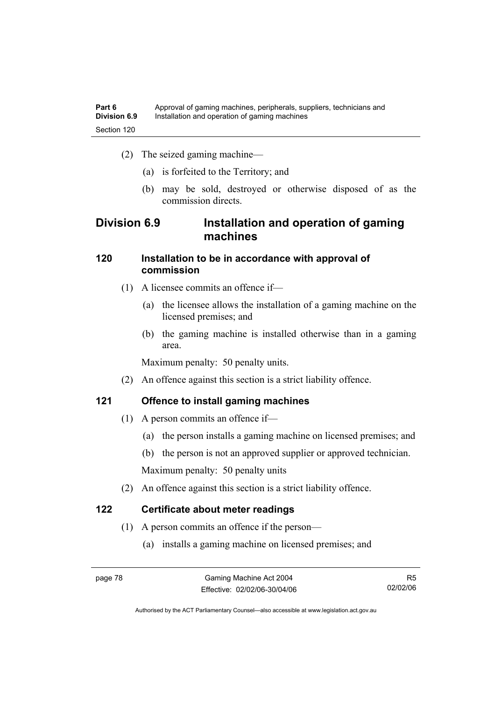- (2) The seized gaming machine—
	- (a) is forfeited to the Territory; and
	- (b) may be sold, destroyed or otherwise disposed of as the commission directs.

# **Division 6.9 Installation and operation of gaming machines**

# **120 Installation to be in accordance with approval of commission**

- (1) A licensee commits an offence if—
	- (a) the licensee allows the installation of a gaming machine on the licensed premises; and
	- (b) the gaming machine is installed otherwise than in a gaming area.

Maximum penalty: 50 penalty units.

(2) An offence against this section is a strict liability offence.

# **121 Offence to install gaming machines**

- (1) A person commits an offence if—
	- (a) the person installs a gaming machine on licensed premises; and
	- (b) the person is not an approved supplier or approved technician.

Maximum penalty: 50 penalty units

(2) An offence against this section is a strict liability offence.

# **122 Certificate about meter readings**

- (1) A person commits an offence if the person—
	- (a) installs a gaming machine on licensed premises; and

R5 02/02/06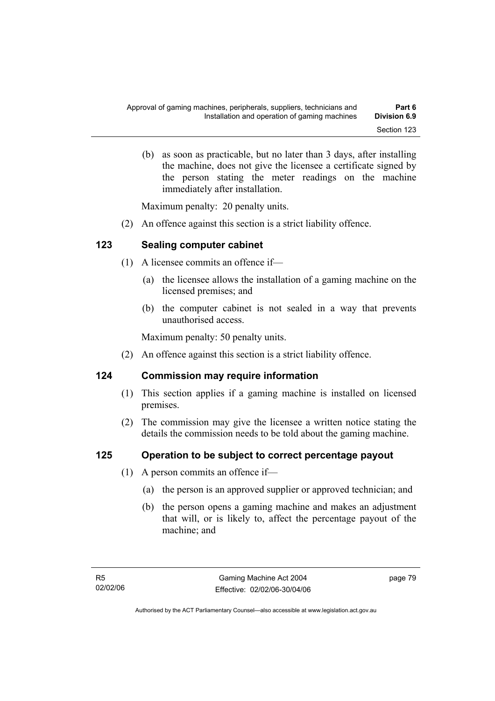(b) as soon as practicable, but no later than 3 days, after installing the machine, does not give the licensee a certificate signed by the person stating the meter readings on the machine immediately after installation.

Maximum penalty: 20 penalty units.

(2) An offence against this section is a strict liability offence.

# **123 Sealing computer cabinet**

- (1) A licensee commits an offence if—
	- (a) the licensee allows the installation of a gaming machine on the licensed premises; and
	- (b) the computer cabinet is not sealed in a way that prevents unauthorised access.

Maximum penalty: 50 penalty units.

(2) An offence against this section is a strict liability offence.

# **124 Commission may require information**

- (1) This section applies if a gaming machine is installed on licensed premises.
- (2) The commission may give the licensee a written notice stating the details the commission needs to be told about the gaming machine.

# **125 Operation to be subject to correct percentage payout**

- (1) A person commits an offence if—
	- (a) the person is an approved supplier or approved technician; and
	- (b) the person opens a gaming machine and makes an adjustment that will, or is likely to, affect the percentage payout of the machine; and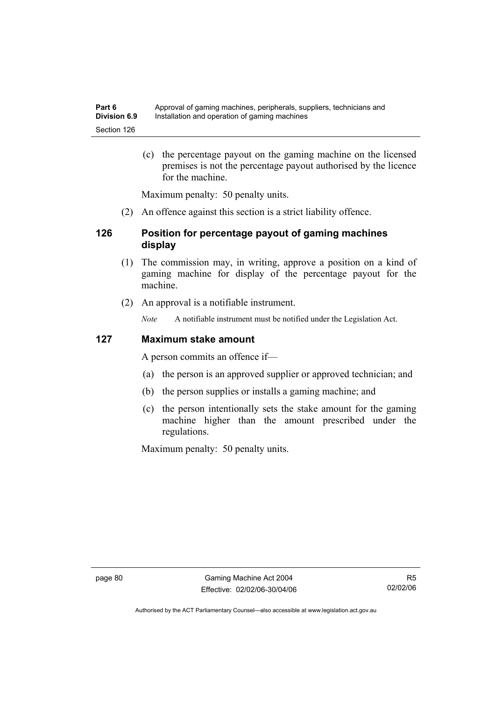(c) the percentage payout on the gaming machine on the licensed premises is not the percentage payout authorised by the licence for the machine.

Maximum penalty: 50 penalty units.

(2) An offence against this section is a strict liability offence.

# **126 Position for percentage payout of gaming machines display**

- (1) The commission may, in writing, approve a position on a kind of gaming machine for display of the percentage payout for the machine.
- (2) An approval is a notifiable instrument.

*Note* A notifiable instrument must be notified under the Legislation Act.

## **127 Maximum stake amount**

A person commits an offence if—

- (a) the person is an approved supplier or approved technician; and
- (b) the person supplies or installs a gaming machine; and
- (c) the person intentionally sets the stake amount for the gaming machine higher than the amount prescribed under the regulations.

Maximum penalty: 50 penalty units.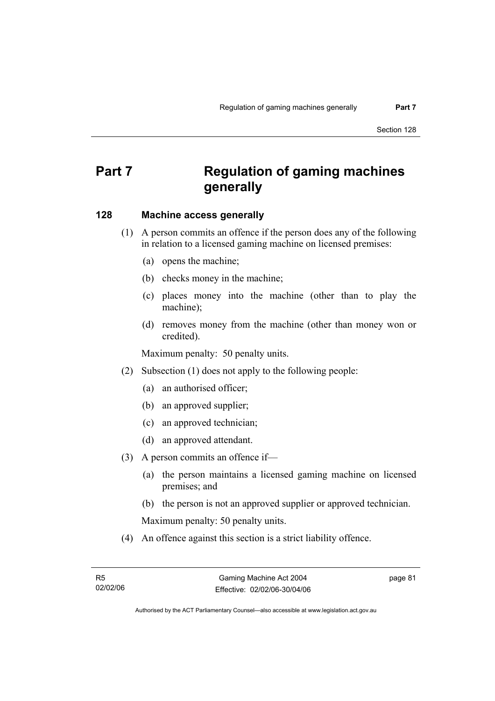# **Part 7 Regulation of gaming machines generally**

### **128 Machine access generally**

- (1) A person commits an offence if the person does any of the following in relation to a licensed gaming machine on licensed premises:
	- (a) opens the machine;
	- (b) checks money in the machine;
	- (c) places money into the machine (other than to play the machine);
	- (d) removes money from the machine (other than money won or credited).

Maximum penalty: 50 penalty units.

- (2) Subsection (1) does not apply to the following people:
	- (a) an authorised officer;
	- (b) an approved supplier;
	- (c) an approved technician;
	- (d) an approved attendant.
- (3) A person commits an offence if—
	- (a) the person maintains a licensed gaming machine on licensed premises; and
	- (b) the person is not an approved supplier or approved technician.

Maximum penalty: 50 penalty units.

(4) An offence against this section is a strict liability offence.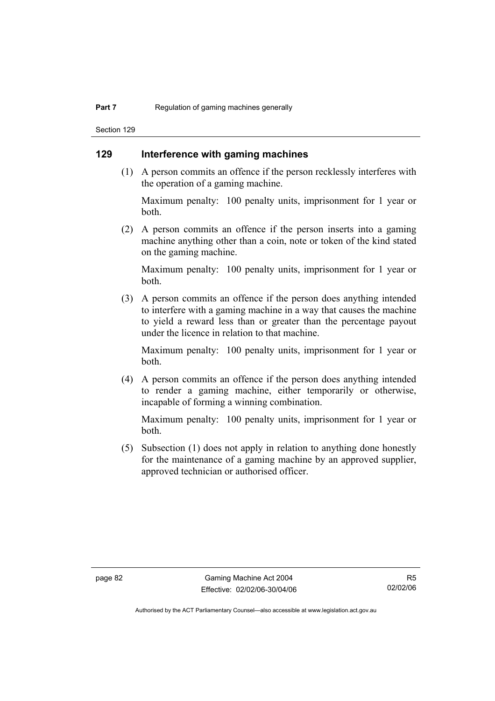Section 129

# **129 Interference with gaming machines**

 (1) A person commits an offence if the person recklessly interferes with the operation of a gaming machine.

Maximum penalty: 100 penalty units, imprisonment for 1 year or both.

 (2) A person commits an offence if the person inserts into a gaming machine anything other than a coin, note or token of the kind stated on the gaming machine.

Maximum penalty: 100 penalty units, imprisonment for 1 year or both.

 (3) A person commits an offence if the person does anything intended to interfere with a gaming machine in a way that causes the machine to yield a reward less than or greater than the percentage payout under the licence in relation to that machine.

Maximum penalty: 100 penalty units, imprisonment for 1 year or both.

 (4) A person commits an offence if the person does anything intended to render a gaming machine, either temporarily or otherwise, incapable of forming a winning combination.

Maximum penalty: 100 penalty units, imprisonment for 1 year or both.

 (5) Subsection (1) does not apply in relation to anything done honestly for the maintenance of a gaming machine by an approved supplier, approved technician or authorised officer.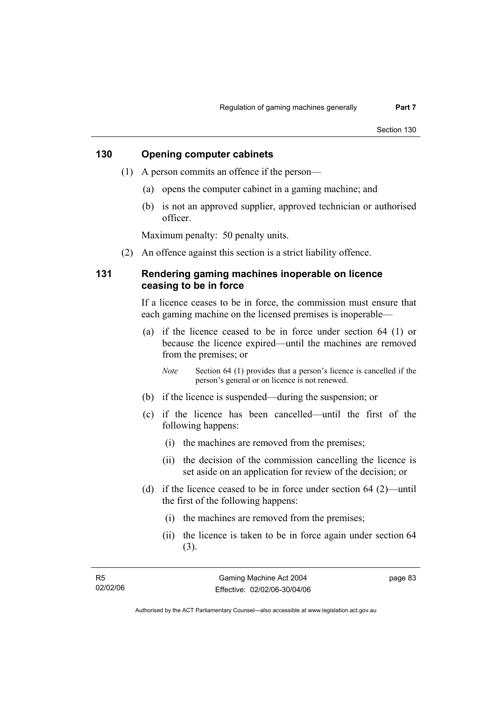## **130 Opening computer cabinets**

- (1) A person commits an offence if the person—
	- (a) opens the computer cabinet in a gaming machine; and
	- (b) is not an approved supplier, approved technician or authorised officer.

Maximum penalty: 50 penalty units.

(2) An offence against this section is a strict liability offence.

## **131 Rendering gaming machines inoperable on licence ceasing to be in force**

If a licence ceases to be in force, the commission must ensure that each gaming machine on the licensed premises is inoperable—

 (a) if the licence ceased to be in force under section 64 (1) or because the licence expired—until the machines are removed from the premises; or

*Note* Section 64 (1) provides that a person's licence is cancelled if the person's general or on licence is not renewed.

- (b) if the licence is suspended—during the suspension; or
- (c) if the licence has been cancelled—until the first of the following happens:
	- (i) the machines are removed from the premises;
	- (ii) the decision of the commission cancelling the licence is set aside on an application for review of the decision; or
- (d) if the licence ceased to be in force under section 64 (2)—until the first of the following happens:
	- (i) the machines are removed from the premises;
	- (ii) the licence is taken to be in force again under section 64 (3).

page 83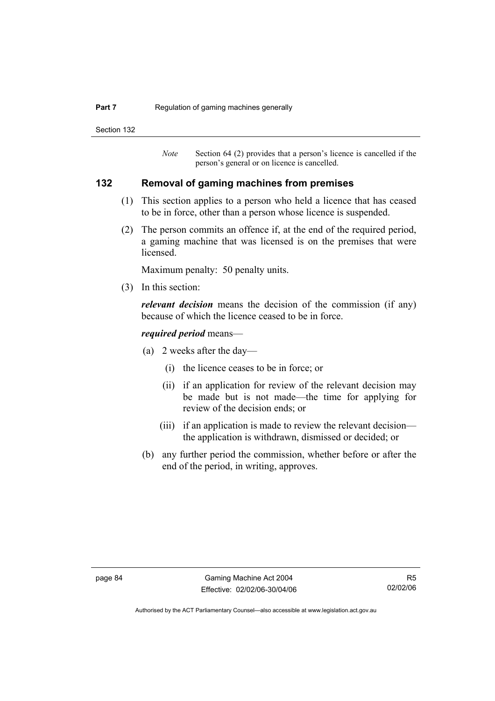#### **Part 7 Regulation of gaming machines generally**

Section 132

*Note* Section 64 (2) provides that a person's licence is cancelled if the person's general or on licence is cancelled.

### **132 Removal of gaming machines from premises**

- (1) This section applies to a person who held a licence that has ceased to be in force, other than a person whose licence is suspended.
- (2) The person commits an offence if, at the end of the required period, a gaming machine that was licensed is on the premises that were licensed.

Maximum penalty: 50 penalty units.

(3) In this section:

*relevant decision* means the decision of the commission (if any) because of which the licence ceased to be in force.

#### *required period* means—

- (a) 2 weeks after the day—
	- (i) the licence ceases to be in force; or
	- (ii) if an application for review of the relevant decision may be made but is not made—the time for applying for review of the decision ends; or
	- (iii) if an application is made to review the relevant decision the application is withdrawn, dismissed or decided; or
- (b) any further period the commission, whether before or after the end of the period, in writing, approves.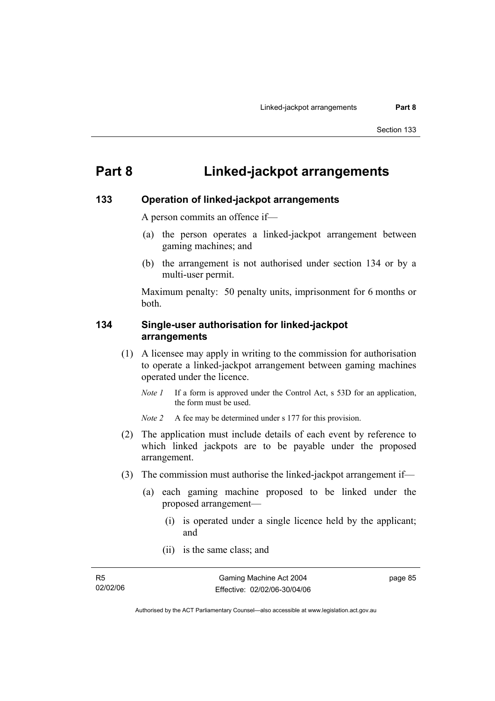# **Part 8 Linked-jackpot arrangements**

### **133 Operation of linked-jackpot arrangements**

A person commits an offence if—

- (a) the person operates a linked-jackpot arrangement between gaming machines; and
- (b) the arrangement is not authorised under section 134 or by a multi-user permit.

Maximum penalty: 50 penalty units, imprisonment for 6 months or both.

### **134 Single-user authorisation for linked-jackpot arrangements**

- (1) A licensee may apply in writing to the commission for authorisation to operate a linked-jackpot arrangement between gaming machines operated under the licence.
	- *Note 1* If a form is approved under the Control Act, s 53D for an application, the form must be used.

*Note 2* A fee may be determined under s 177 for this provision.

- (2) The application must include details of each event by reference to which linked jackpots are to be payable under the proposed arrangement.
- (3) The commission must authorise the linked-jackpot arrangement if—
	- (a) each gaming machine proposed to be linked under the proposed arrangement—
		- (i) is operated under a single licence held by the applicant; and
		- (ii) is the same class; and

page 85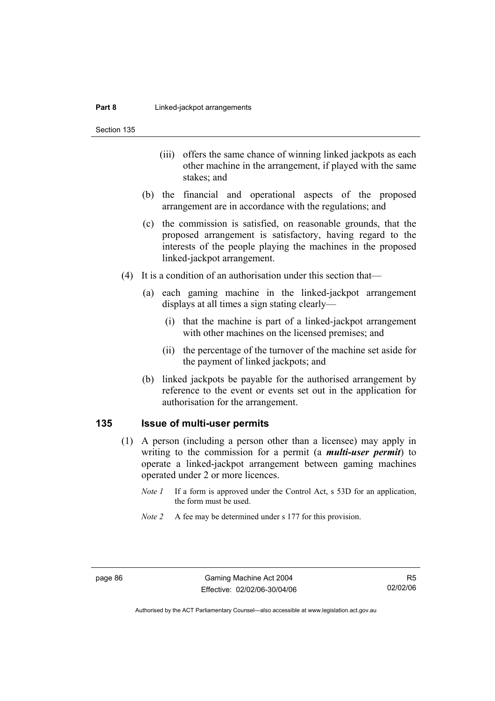Section 135

- (iii) offers the same chance of winning linked jackpots as each other machine in the arrangement, if played with the same stakes; and
- (b) the financial and operational aspects of the proposed arrangement are in accordance with the regulations; and
- (c) the commission is satisfied, on reasonable grounds, that the proposed arrangement is satisfactory, having regard to the interests of the people playing the machines in the proposed linked-jackpot arrangement.
- (4) It is a condition of an authorisation under this section that—
	- (a) each gaming machine in the linked-jackpot arrangement displays at all times a sign stating clearly—
		- (i) that the machine is part of a linked-jackpot arrangement with other machines on the licensed premises; and
		- (ii) the percentage of the turnover of the machine set aside for the payment of linked jackpots; and
	- (b) linked jackpots be payable for the authorised arrangement by reference to the event or events set out in the application for authorisation for the arrangement.

#### **135 Issue of multi-user permits**

- (1) A person (including a person other than a licensee) may apply in writing to the commission for a permit (a *multi-user permit*) to operate a linked-jackpot arrangement between gaming machines operated under 2 or more licences.
	- *Note 1* If a form is approved under the Control Act, s 53D for an application, the form must be used.
	- *Note 2* A fee may be determined under s 177 for this provision.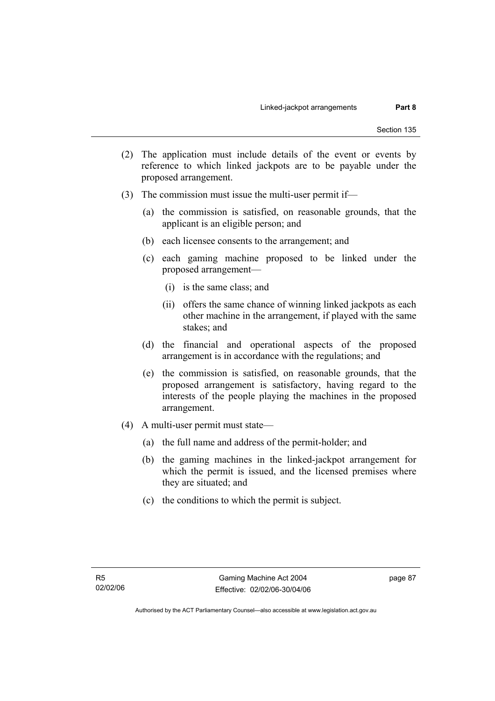- (2) The application must include details of the event or events by reference to which linked jackpots are to be payable under the proposed arrangement.
- (3) The commission must issue the multi-user permit if—
	- (a) the commission is satisfied, on reasonable grounds, that the applicant is an eligible person; and
	- (b) each licensee consents to the arrangement; and
	- (c) each gaming machine proposed to be linked under the proposed arrangement—
		- (i) is the same class; and
		- (ii) offers the same chance of winning linked jackpots as each other machine in the arrangement, if played with the same stakes; and
	- (d) the financial and operational aspects of the proposed arrangement is in accordance with the regulations; and
	- (e) the commission is satisfied, on reasonable grounds, that the proposed arrangement is satisfactory, having regard to the interests of the people playing the machines in the proposed arrangement.
- (4) A multi-user permit must state—
	- (a) the full name and address of the permit-holder; and
	- (b) the gaming machines in the linked-jackpot arrangement for which the permit is issued, and the licensed premises where they are situated; and
	- (c) the conditions to which the permit is subject.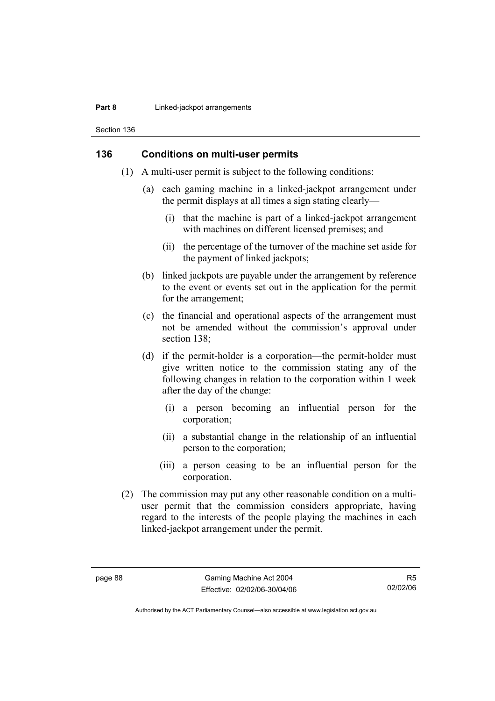#### **Part 8 Linked-jackpot arrangements**

Section 136

### **136 Conditions on multi-user permits**

- (1) A multi-user permit is subject to the following conditions:
	- (a) each gaming machine in a linked-jackpot arrangement under the permit displays at all times a sign stating clearly—
		- (i) that the machine is part of a linked-jackpot arrangement with machines on different licensed premises; and
		- (ii) the percentage of the turnover of the machine set aside for the payment of linked jackpots;
	- (b) linked jackpots are payable under the arrangement by reference to the event or events set out in the application for the permit for the arrangement;
	- (c) the financial and operational aspects of the arrangement must not be amended without the commission's approval under section 138:
	- (d) if the permit-holder is a corporation—the permit-holder must give written notice to the commission stating any of the following changes in relation to the corporation within 1 week after the day of the change:
		- (i) a person becoming an influential person for the corporation;
		- (ii) a substantial change in the relationship of an influential person to the corporation;
		- (iii) a person ceasing to be an influential person for the corporation.
- (2) The commission may put any other reasonable condition on a multiuser permit that the commission considers appropriate, having regard to the interests of the people playing the machines in each linked-jackpot arrangement under the permit.

R5 02/02/06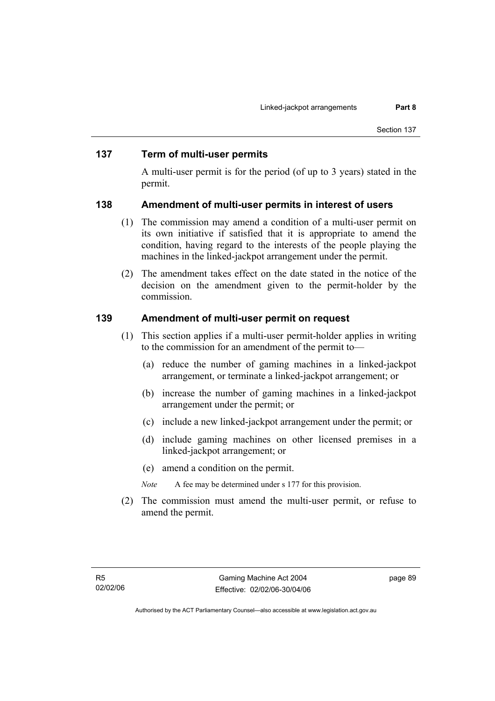### **137 Term of multi-user permits**

A multi-user permit is for the period (of up to 3 years) stated in the permit.

#### **138 Amendment of multi-user permits in interest of users**

- (1) The commission may amend a condition of a multi-user permit on its own initiative if satisfied that it is appropriate to amend the condition, having regard to the interests of the people playing the machines in the linked-jackpot arrangement under the permit.
- (2) The amendment takes effect on the date stated in the notice of the decision on the amendment given to the permit-holder by the commission.

#### **139 Amendment of multi-user permit on request**

- (1) This section applies if a multi-user permit-holder applies in writing to the commission for an amendment of the permit to—
	- (a) reduce the number of gaming machines in a linked-jackpot arrangement, or terminate a linked-jackpot arrangement; or
	- (b) increase the number of gaming machines in a linked-jackpot arrangement under the permit; or
	- (c) include a new linked-jackpot arrangement under the permit; or
	- (d) include gaming machines on other licensed premises in a linked-jackpot arrangement; or
	- (e) amend a condition on the permit.
	- *Note* A fee may be determined under s 177 for this provision.
- (2) The commission must amend the multi-user permit, or refuse to amend the permit.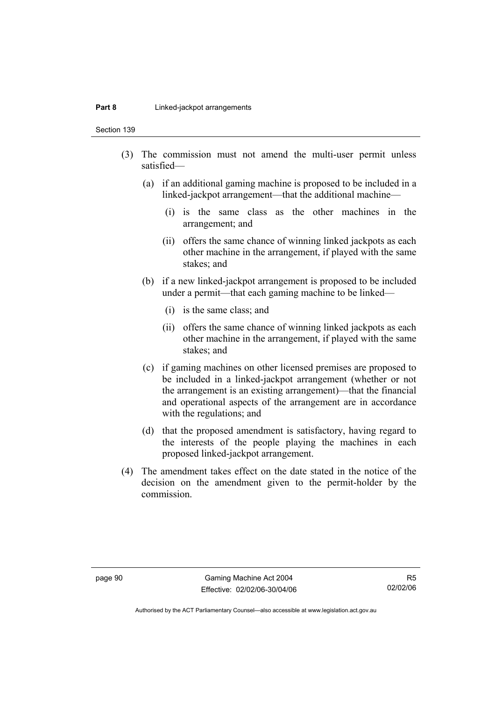#### **Part 8 Linked-jackpot arrangements**

Section 139

- (3) The commission must not amend the multi-user permit unless satisfied—
	- (a) if an additional gaming machine is proposed to be included in a linked-jackpot arrangement—that the additional machine—
		- (i) is the same class as the other machines in the arrangement; and
		- (ii) offers the same chance of winning linked jackpots as each other machine in the arrangement, if played with the same stakes; and
	- (b) if a new linked-jackpot arrangement is proposed to be included under a permit—that each gaming machine to be linked—
		- (i) is the same class; and
		- (ii) offers the same chance of winning linked jackpots as each other machine in the arrangement, if played with the same stakes; and
	- (c) if gaming machines on other licensed premises are proposed to be included in a linked-jackpot arrangement (whether or not the arrangement is an existing arrangement)—that the financial and operational aspects of the arrangement are in accordance with the regulations; and
	- (d) that the proposed amendment is satisfactory, having regard to the interests of the people playing the machines in each proposed linked-jackpot arrangement.
- (4) The amendment takes effect on the date stated in the notice of the decision on the amendment given to the permit-holder by the commission.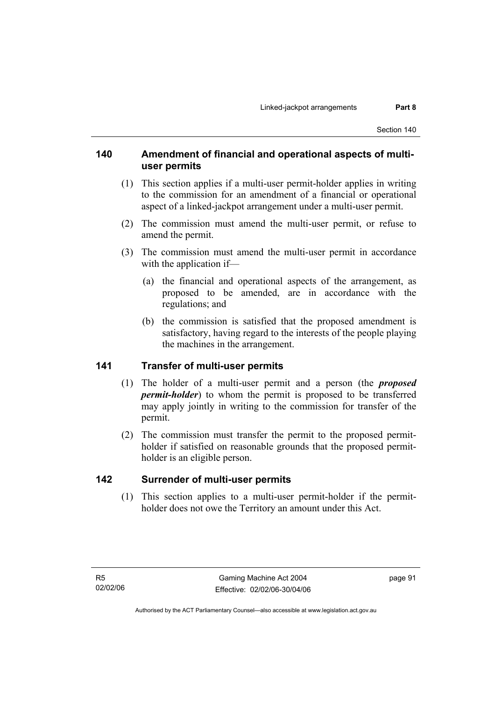# **140 Amendment of financial and operational aspects of multiuser permits**

- (1) This section applies if a multi-user permit-holder applies in writing to the commission for an amendment of a financial or operational aspect of a linked-jackpot arrangement under a multi-user permit.
- (2) The commission must amend the multi-user permit, or refuse to amend the permit.
- (3) The commission must amend the multi-user permit in accordance with the application if—
	- (a) the financial and operational aspects of the arrangement, as proposed to be amended, are in accordance with the regulations; and
	- (b) the commission is satisfied that the proposed amendment is satisfactory, having regard to the interests of the people playing the machines in the arrangement.

### **141 Transfer of multi-user permits**

- (1) The holder of a multi-user permit and a person (the *proposed permit-holder*) to whom the permit is proposed to be transferred may apply jointly in writing to the commission for transfer of the permit.
- (2) The commission must transfer the permit to the proposed permitholder if satisfied on reasonable grounds that the proposed permitholder is an eligible person.

# **142 Surrender of multi-user permits**

 (1) This section applies to a multi-user permit-holder if the permitholder does not owe the Territory an amount under this Act.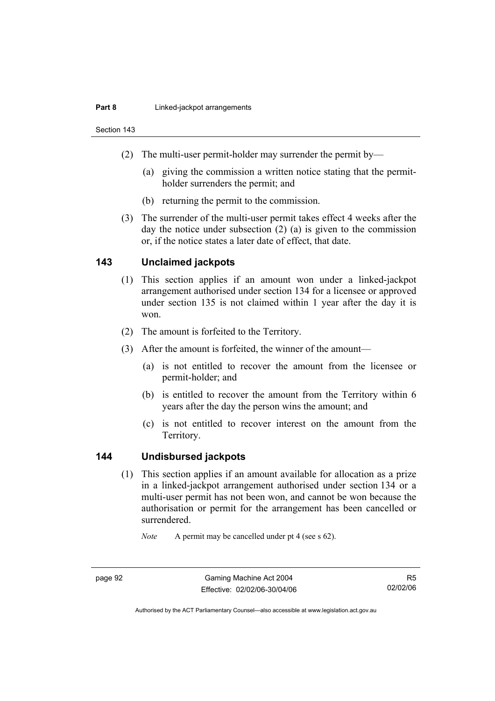#### **Part 8 Linked-jackpot arrangements**

Section 143

- (2) The multi-user permit-holder may surrender the permit by—
	- (a) giving the commission a written notice stating that the permitholder surrenders the permit; and
	- (b) returning the permit to the commission.
- (3) The surrender of the multi-user permit takes effect 4 weeks after the day the notice under subsection (2) (a) is given to the commission or, if the notice states a later date of effect, that date.

### **143 Unclaimed jackpots**

- (1) This section applies if an amount won under a linked-jackpot arrangement authorised under section 134 for a licensee or approved under section 135 is not claimed within 1 year after the day it is won.
- (2) The amount is forfeited to the Territory.
- (3) After the amount is forfeited, the winner of the amount—
	- (a) is not entitled to recover the amount from the licensee or permit-holder; and
	- (b) is entitled to recover the amount from the Territory within 6 years after the day the person wins the amount; and
	- (c) is not entitled to recover interest on the amount from the Territory.

### **144 Undisbursed jackpots**

 (1) This section applies if an amount available for allocation as a prize in a linked-jackpot arrangement authorised under section 134 or a multi-user permit has not been won, and cannot be won because the authorisation or permit for the arrangement has been cancelled or surrendered.

*Note* A permit may be cancelled under pt 4 (see s 62).

R5 02/02/06

Authorised by the ACT Parliamentary Counsel—also accessible at www.legislation.act.gov.au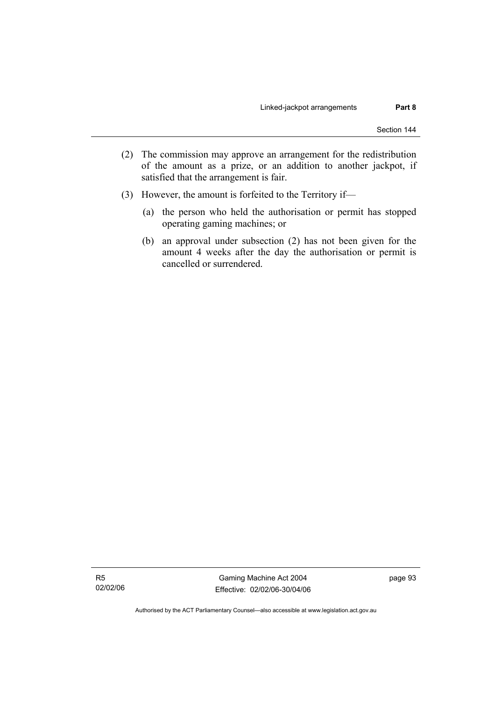- (2) The commission may approve an arrangement for the redistribution of the amount as a prize, or an addition to another jackpot, if satisfied that the arrangement is fair.
- (3) However, the amount is forfeited to the Territory if—
	- (a) the person who held the authorisation or permit has stopped operating gaming machines; or
	- (b) an approval under subsection (2) has not been given for the amount 4 weeks after the day the authorisation or permit is cancelled or surrendered.

R5 02/02/06

Gaming Machine Act 2004 Effective: 02/02/06-30/04/06 page 93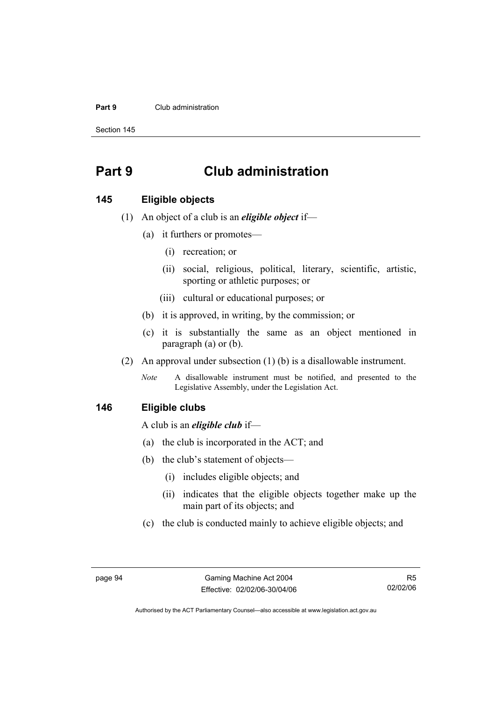#### **Part 9** Club administration

Section 145

# **Part 9 Club administration**

#### **145 Eligible objects**

- (1) An object of a club is an *eligible object* if—
	- (a) it furthers or promotes—
		- (i) recreation; or
		- (ii) social, religious, political, literary, scientific, artistic, sporting or athletic purposes; or
		- (iii) cultural or educational purposes; or
	- (b) it is approved, in writing, by the commission; or
	- (c) it is substantially the same as an object mentioned in paragraph (a) or (b).
- (2) An approval under subsection (1) (b) is a disallowable instrument.
	- *Note* A disallowable instrument must be notified, and presented to the Legislative Assembly, under the Legislation Act.

#### **146 Eligible clubs**

A club is an *eligible club* if—

- (a) the club is incorporated in the ACT; and
- (b) the club's statement of objects—
	- (i) includes eligible objects; and
	- (ii) indicates that the eligible objects together make up the main part of its objects; and
- (c) the club is conducted mainly to achieve eligible objects; and

R5 02/02/06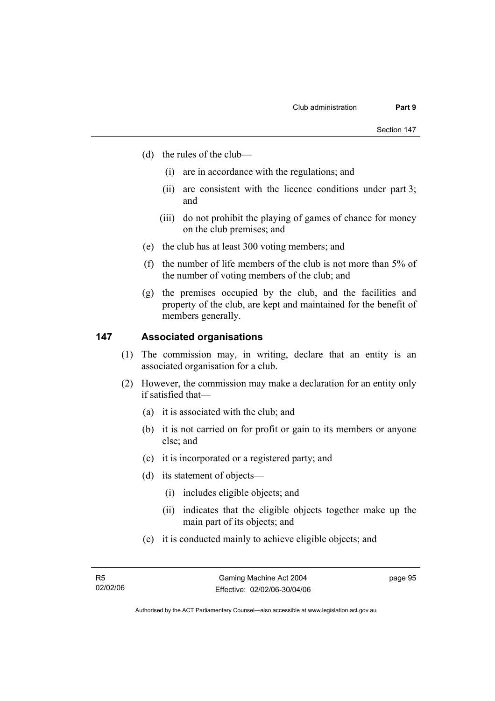- (d) the rules of the club—
	- (i) are in accordance with the regulations; and
	- (ii) are consistent with the licence conditions under part 3; and
	- (iii) do not prohibit the playing of games of chance for money on the club premises; and
- (e) the club has at least 300 voting members; and
- (f) the number of life members of the club is not more than 5% of the number of voting members of the club; and
- (g) the premises occupied by the club, and the facilities and property of the club, are kept and maintained for the benefit of members generally.

#### **147 Associated organisations**

- (1) The commission may, in writing, declare that an entity is an associated organisation for a club.
- (2) However, the commission may make a declaration for an entity only if satisfied that—
	- (a) it is associated with the club; and
	- (b) it is not carried on for profit or gain to its members or anyone else; and
	- (c) it is incorporated or a registered party; and
	- (d) its statement of objects—
		- (i) includes eligible objects; and
		- (ii) indicates that the eligible objects together make up the main part of its objects; and
	- (e) it is conducted mainly to achieve eligible objects; and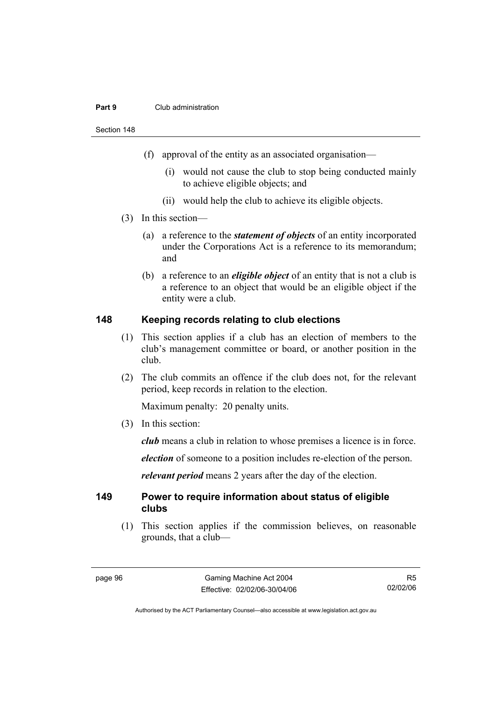#### **Part 9** Club administration

Section 148

- (f) approval of the entity as an associated organisation—
	- (i) would not cause the club to stop being conducted mainly to achieve eligible objects; and
	- (ii) would help the club to achieve its eligible objects.
- (3) In this section—
	- (a) a reference to the *statement of objects* of an entity incorporated under the Corporations Act is a reference to its memorandum; and
	- (b) a reference to an *eligible object* of an entity that is not a club is a reference to an object that would be an eligible object if the entity were a club.

#### **148 Keeping records relating to club elections**

- (1) This section applies if a club has an election of members to the club's management committee or board, or another position in the club.
- (2) The club commits an offence if the club does not, for the relevant period, keep records in relation to the election.

Maximum penalty: 20 penalty units.

(3) In this section:

*club* means a club in relation to whose premises a licence is in force.

*election* of someone to a position includes re-election of the person.

*relevant period* means 2 years after the day of the election.

#### **149 Power to require information about status of eligible clubs**

 (1) This section applies if the commission believes, on reasonable grounds, that a club—

R5 02/02/06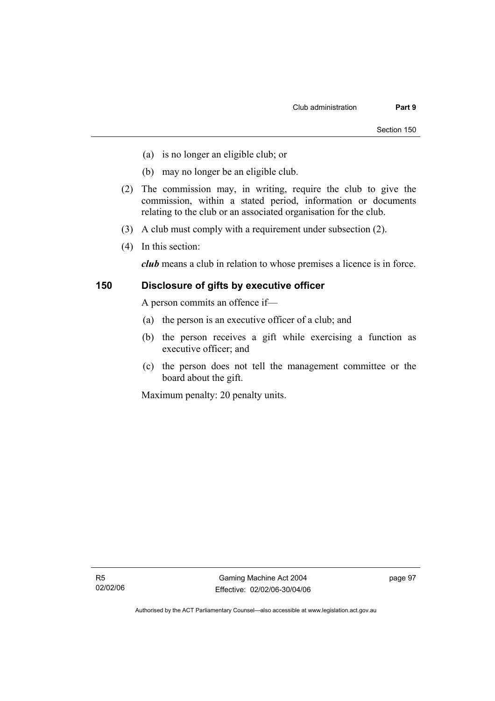- (a) is no longer an eligible club; or
- (b) may no longer be an eligible club.
- (2) The commission may, in writing, require the club to give the commission, within a stated period, information or documents relating to the club or an associated organisation for the club.
- (3) A club must comply with a requirement under subsection (2).
- (4) In this section:

*club* means a club in relation to whose premises a licence is in force.

### **150 Disclosure of gifts by executive officer**

A person commits an offence if—

- (a) the person is an executive officer of a club; and
- (b) the person receives a gift while exercising a function as executive officer; and
- (c) the person does not tell the management committee or the board about the gift.

Maximum penalty: 20 penalty units.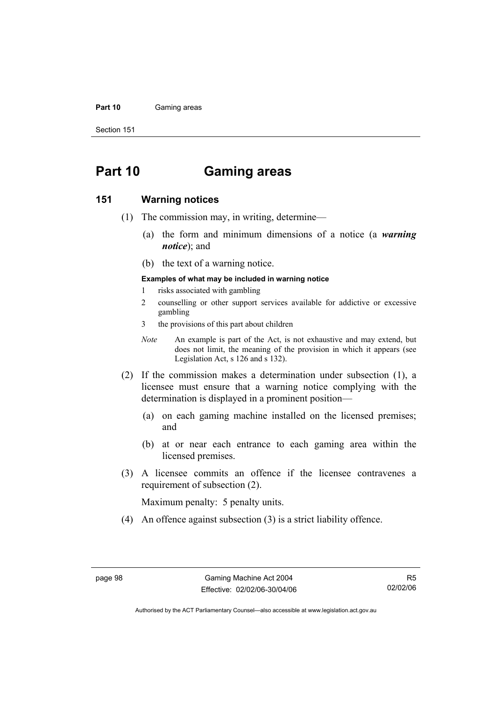#### Part 10 **Gaming areas**

Section 151

# **Part 10 Gaming areas**

#### **151 Warning notices**

- (1) The commission may, in writing, determine—
	- (a) the form and minimum dimensions of a notice (a *warning notice*); and
	- (b) the text of a warning notice.

#### **Examples of what may be included in warning notice**

- 1 risks associated with gambling
- 2 counselling or other support services available for addictive or excessive gambling
- 3 the provisions of this part about children
- *Note* An example is part of the Act, is not exhaustive and may extend, but does not limit, the meaning of the provision in which it appears (see Legislation Act, s 126 and s 132).
- (2) If the commission makes a determination under subsection (1), a licensee must ensure that a warning notice complying with the determination is displayed in a prominent position—
	- (a) on each gaming machine installed on the licensed premises; and
	- (b) at or near each entrance to each gaming area within the licensed premises.
- (3) A licensee commits an offence if the licensee contravenes a requirement of subsection (2).

Maximum penalty: 5 penalty units.

(4) An offence against subsection (3) is a strict liability offence.

R5 02/02/06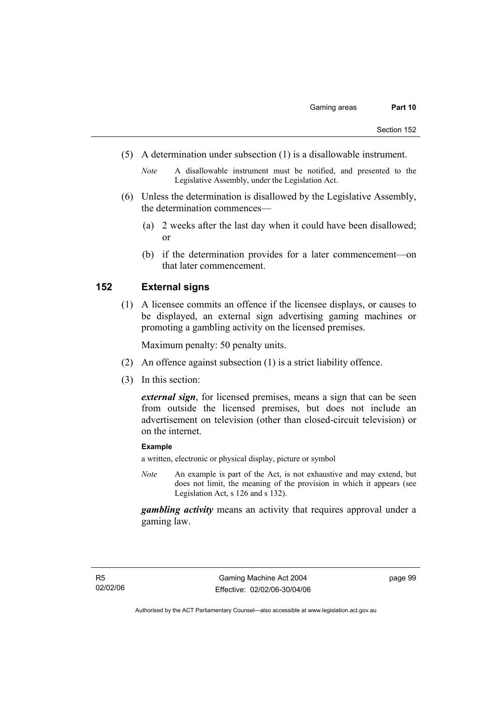- (5) A determination under subsection (1) is a disallowable instrument.
	- *Note* A disallowable instrument must be notified, and presented to the Legislative Assembly, under the Legislation Act.
- (6) Unless the determination is disallowed by the Legislative Assembly, the determination commences—
	- (a) 2 weeks after the last day when it could have been disallowed; or
	- (b) if the determination provides for a later commencement—on that later commencement.

### **152 External signs**

 (1) A licensee commits an offence if the licensee displays, or causes to be displayed, an external sign advertising gaming machines or promoting a gambling activity on the licensed premises.

Maximum penalty: 50 penalty units.

- (2) An offence against subsection (1) is a strict liability offence.
- (3) In this section:

*external sign*, for licensed premises, means a sign that can be seen from outside the licensed premises, but does not include an advertisement on television (other than closed-circuit television) or on the internet.

#### **Example**

a written, electronic or physical display, picture or symbol

*Note* An example is part of the Act, is not exhaustive and may extend, but does not limit, the meaning of the provision in which it appears (see Legislation Act, s 126 and s 132).

*gambling activity* means an activity that requires approval under a gaming law.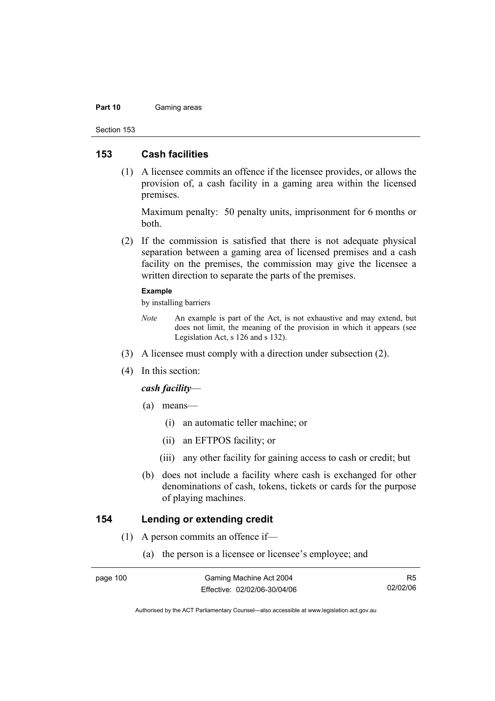#### Part 10 **Gaming areas**

Section 153

#### **153 Cash facilities**

 (1) A licensee commits an offence if the licensee provides, or allows the provision of, a cash facility in a gaming area within the licensed premises.

Maximum penalty: 50 penalty units, imprisonment for 6 months or both.

 (2) If the commission is satisfied that there is not adequate physical separation between a gaming area of licensed premises and a cash facility on the premises, the commission may give the licensee a written direction to separate the parts of the premises.

#### **Example**

by installing barriers

- *Note* An example is part of the Act, is not exhaustive and may extend, but does not limit, the meaning of the provision in which it appears (see Legislation Act, s 126 and s 132).
- (3) A licensee must comply with a direction under subsection (2).
- (4) In this section:

#### *cash facility*—

- (a) means—
	- (i) an automatic teller machine; or
	- (ii) an EFTPOS facility; or
	- (iii) any other facility for gaining access to cash or credit; but
- (b) does not include a facility where cash is exchanged for other denominations of cash, tokens, tickets or cards for the purpose of playing machines.

#### **154 Lending or extending credit**

- (1) A person commits an offence if—
	- (a) the person is a licensee or licensee's employee; and

R5 02/02/06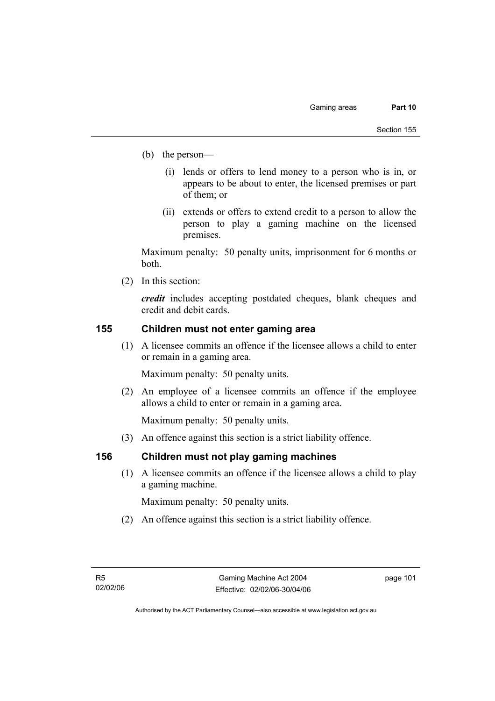- (b) the person—
	- (i) lends or offers to lend money to a person who is in, or appears to be about to enter, the licensed premises or part of them; or
	- (ii) extends or offers to extend credit to a person to allow the person to play a gaming machine on the licensed premises.

Maximum penalty: 50 penalty units, imprisonment for 6 months or both.

(2) In this section:

*credit* includes accepting postdated cheques, blank cheques and credit and debit cards.

### **155 Children must not enter gaming area**

 (1) A licensee commits an offence if the licensee allows a child to enter or remain in a gaming area.

Maximum penalty: 50 penalty units.

 (2) An employee of a licensee commits an offence if the employee allows a child to enter or remain in a gaming area.

Maximum penalty: 50 penalty units.

(3) An offence against this section is a strict liability offence.

### **156 Children must not play gaming machines**

 (1) A licensee commits an offence if the licensee allows a child to play a gaming machine.

Maximum penalty: 50 penalty units.

(2) An offence against this section is a strict liability offence.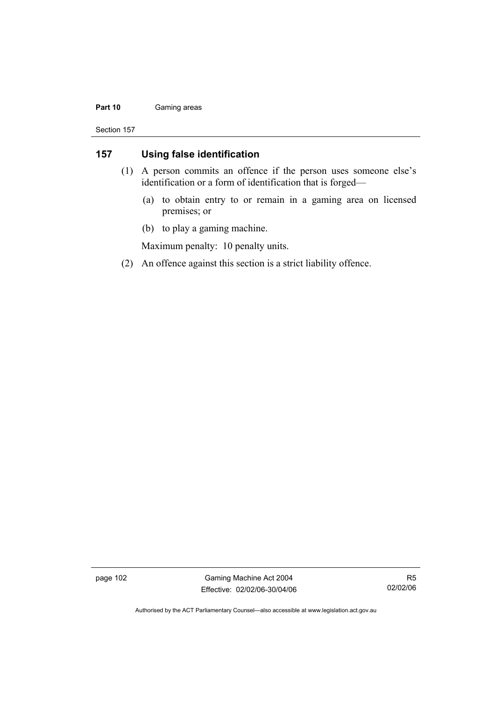#### Part 10 **Gaming areas**

Section 157

### **157 Using false identification**

- (1) A person commits an offence if the person uses someone else's identification or a form of identification that is forged—
	- (a) to obtain entry to or remain in a gaming area on licensed premises; or
	- (b) to play a gaming machine.

Maximum penalty: 10 penalty units.

(2) An offence against this section is a strict liability offence.

page 102 Gaming Machine Act 2004 Effective: 02/02/06-30/04/06

R5 02/02/06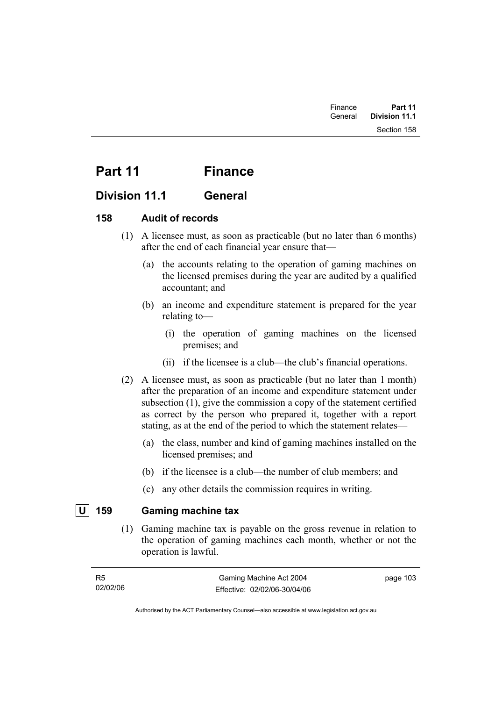# Part 11 Finance

## **Division 11.1 General**

### **158 Audit of records**

- (1) A licensee must, as soon as practicable (but no later than 6 months) after the end of each financial year ensure that—
	- (a) the accounts relating to the operation of gaming machines on the licensed premises during the year are audited by a qualified accountant; and
	- (b) an income and expenditure statement is prepared for the year relating to—
		- (i) the operation of gaming machines on the licensed premises; and
		- (ii) if the licensee is a club—the club's financial operations.
- (2) A licensee must, as soon as practicable (but no later than 1 month) after the preparation of an income and expenditure statement under subsection (1), give the commission a copy of the statement certified as correct by the person who prepared it, together with a report stating, as at the end of the period to which the statement relates—
	- (a) the class, number and kind of gaming machines installed on the licensed premises; and
	- (b) if the licensee is a club—the number of club members; and
	- (c) any other details the commission requires in writing.

## **U 159 Gaming machine tax**

 (1) Gaming machine tax is payable on the gross revenue in relation to the operation of gaming machines each month, whether or not the operation is lawful.

| R <sub>5</sub> | Gaming Machine Act 2004      | page 103 |
|----------------|------------------------------|----------|
| 02/02/06       | Effective: 02/02/06-30/04/06 |          |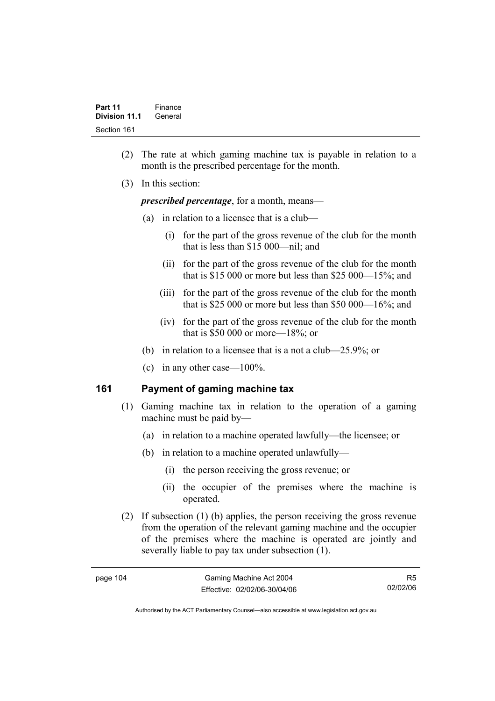- (2) The rate at which gaming machine tax is payable in relation to a month is the prescribed percentage for the month.
- (3) In this section:

*prescribed percentage*, for a month, means—

- (a) in relation to a licensee that is a club—
	- (i) for the part of the gross revenue of the club for the month that is less than \$15 000—nil; and
	- (ii) for the part of the gross revenue of the club for the month that is \$15 000 or more but less than \$25 000—15%; and
	- (iii) for the part of the gross revenue of the club for the month that is \$25,000 or more but less than \$50,000— $16\%$ ; and
	- (iv) for the part of the gross revenue of the club for the month that is \$50 000 or more—18%; or
- (b) in relation to a licensee that is a not a club—25.9%; or
- (c) in any other case—100%.

### **161 Payment of gaming machine tax**

- (1) Gaming machine tax in relation to the operation of a gaming machine must be paid by—
	- (a) in relation to a machine operated lawfully—the licensee; or
	- (b) in relation to a machine operated unlawfully—
		- (i) the person receiving the gross revenue; or
		- (ii) the occupier of the premises where the machine is operated.
- (2) If subsection (1) (b) applies, the person receiving the gross revenue from the operation of the relevant gaming machine and the occupier of the premises where the machine is operated are jointly and severally liable to pay tax under subsection (1).

| page 104 |  |
|----------|--|
|----------|--|

R5 02/02/06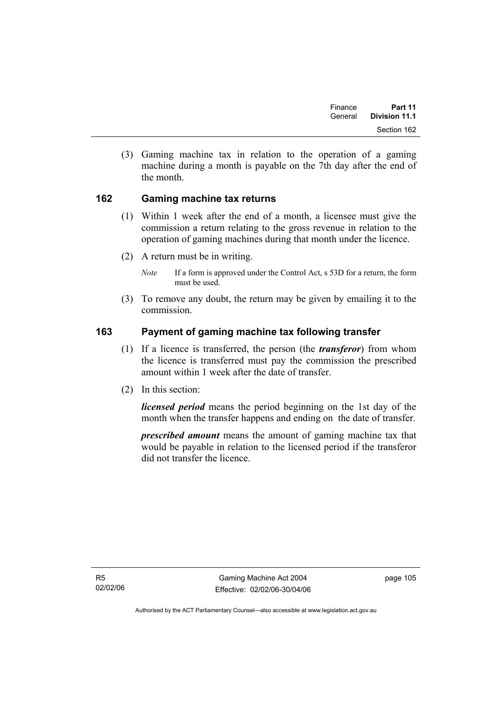| Finance | Part 11              |  |
|---------|----------------------|--|
| General | <b>Division 11.1</b> |  |
|         | Section 162          |  |

 (3) Gaming machine tax in relation to the operation of a gaming machine during a month is payable on the 7th day after the end of the month.

### **162 Gaming machine tax returns**

- (1) Within 1 week after the end of a month, a licensee must give the commission a return relating to the gross revenue in relation to the operation of gaming machines during that month under the licence.
- (2) A return must be in writing.
	- *Note* If a form is approved under the Control Act, s 53D for a return, the form must be used.
- (3) To remove any doubt, the return may be given by emailing it to the commission.

### **163 Payment of gaming machine tax following transfer**

- (1) If a licence is transferred, the person (the *transferor*) from whom the licence is transferred must pay the commission the prescribed amount within 1 week after the date of transfer.
- (2) In this section:

*licensed period* means the period beginning on the 1st day of the month when the transfer happens and ending on the date of transfer.

*prescribed amount* means the amount of gaming machine tax that would be payable in relation to the licensed period if the transferor did not transfer the licence.

R5 02/02/06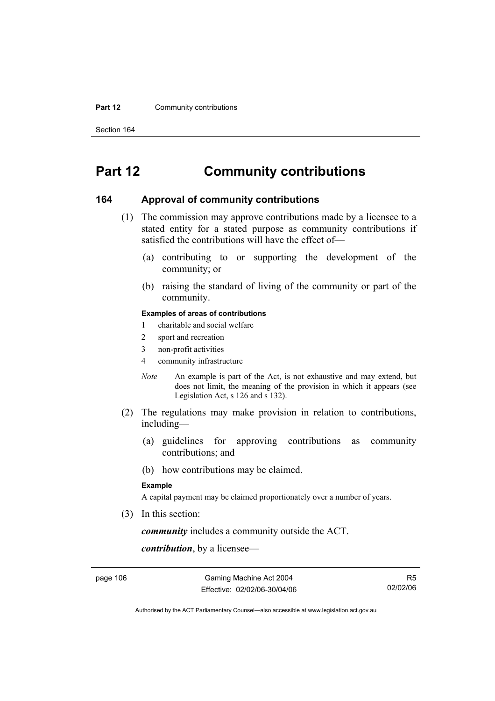#### **Part 12 Community contributions**

Section 164

# **Part 12 Community contributions**

#### **164 Approval of community contributions**

- (1) The commission may approve contributions made by a licensee to a stated entity for a stated purpose as community contributions if satisfied the contributions will have the effect of—
	- (a) contributing to or supporting the development of the community; or
	- (b) raising the standard of living of the community or part of the community.

#### **Examples of areas of contributions**

- 1 charitable and social welfare
- 2 sport and recreation
- 3 non-profit activities
- 4 community infrastructure
- *Note* An example is part of the Act, is not exhaustive and may extend, but does not limit, the meaning of the provision in which it appears (see Legislation Act, s 126 and s 132).
- (2) The regulations may make provision in relation to contributions, including—
	- (a) guidelines for approving contributions as community contributions; and
	- (b) how contributions may be claimed.

#### **Example**

A capital payment may be claimed proportionately over a number of years.

(3) In this section:

*community* includes a community outside the ACT.

*contribution*, by a licensee—

page 106 Gaming Machine Act 2004 Effective: 02/02/06-30/04/06

R5 02/02/06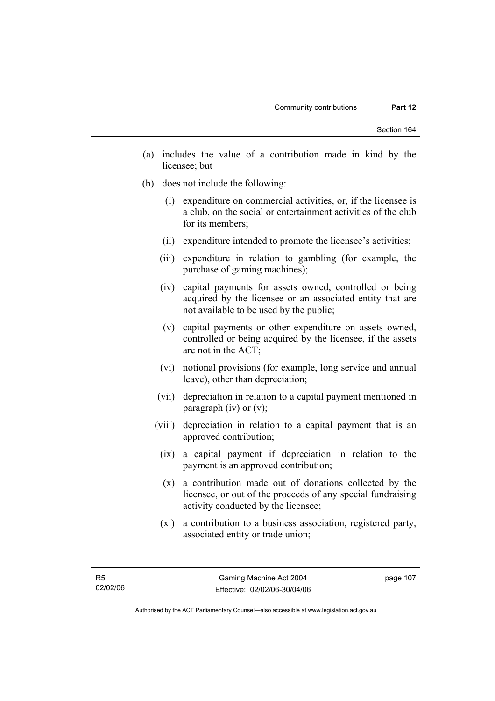- (a) includes the value of a contribution made in kind by the licensee; but
- (b) does not include the following:
	- (i) expenditure on commercial activities, or, if the licensee is a club, on the social or entertainment activities of the club for its members;
	- (ii) expenditure intended to promote the licensee's activities;
	- (iii) expenditure in relation to gambling (for example, the purchase of gaming machines);
	- (iv) capital payments for assets owned, controlled or being acquired by the licensee or an associated entity that are not available to be used by the public;
	- (v) capital payments or other expenditure on assets owned, controlled or being acquired by the licensee, if the assets are not in the ACT;
	- (vi) notional provisions (for example, long service and annual leave), other than depreciation;
	- (vii) depreciation in relation to a capital payment mentioned in paragraph (iv) or  $(v)$ ;
	- (viii) depreciation in relation to a capital payment that is an approved contribution;
		- (ix) a capital payment if depreciation in relation to the payment is an approved contribution;
		- (x) a contribution made out of donations collected by the licensee, or out of the proceeds of any special fundraising activity conducted by the licensee;
		- (xi) a contribution to a business association, registered party, associated entity or trade union;

Authorised by the ACT Parliamentary Counsel—also accessible at www.legislation.act.gov.au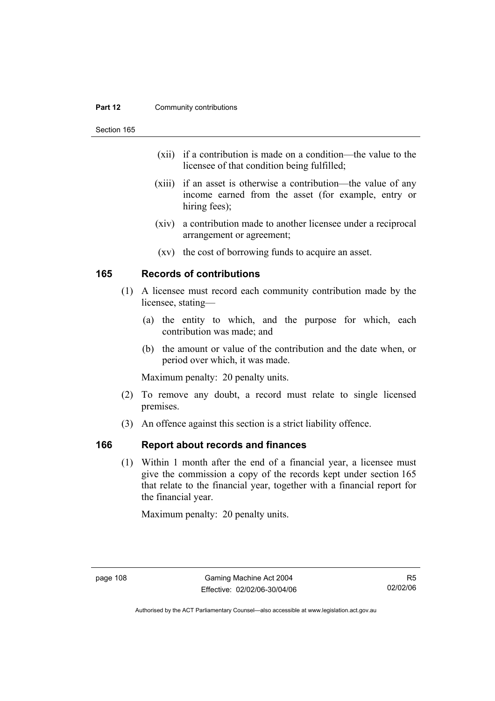#### **Part 12 Community contributions**

Section 165

- (xii) if a contribution is made on a condition—the value to the licensee of that condition being fulfilled;
- (xiii) if an asset is otherwise a contribution—the value of any income earned from the asset (for example, entry or hiring fees);
- (xiv) a contribution made to another licensee under a reciprocal arrangement or agreement;
- (xv) the cost of borrowing funds to acquire an asset.

### **165 Records of contributions**

- (1) A licensee must record each community contribution made by the licensee, stating—
	- (a) the entity to which, and the purpose for which, each contribution was made; and
	- (b) the amount or value of the contribution and the date when, or period over which, it was made.

Maximum penalty: 20 penalty units.

- (2) To remove any doubt, a record must relate to single licensed premises.
- (3) An offence against this section is a strict liability offence.

### **166 Report about records and finances**

 (1) Within 1 month after the end of a financial year, a licensee must give the commission a copy of the records kept under section 165 that relate to the financial year, together with a financial report for the financial year.

Maximum penalty: 20 penalty units.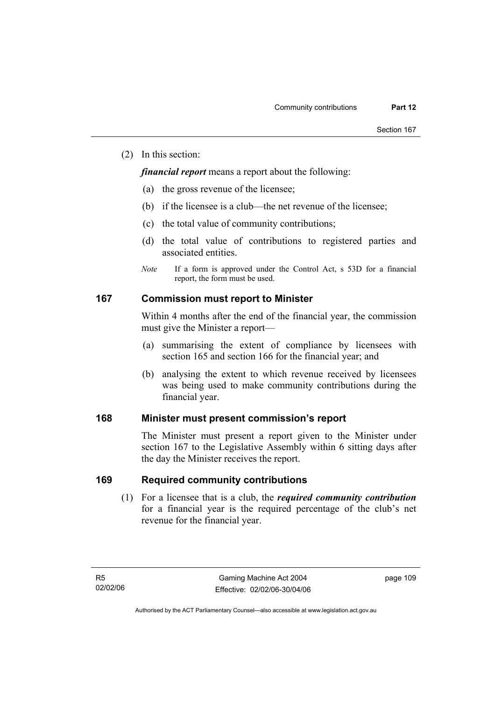(2) In this section:

*financial report* means a report about the following:

- (a) the gross revenue of the licensee;
- (b) if the licensee is a club—the net revenue of the licensee;
- (c) the total value of community contributions;
- (d) the total value of contributions to registered parties and associated entities.
- *Note* If a form is approved under the Control Act, s 53D for a financial report, the form must be used.

#### **167 Commission must report to Minister**

Within 4 months after the end of the financial year, the commission must give the Minister a report—

- (a) summarising the extent of compliance by licensees with section 165 and section 166 for the financial year; and
- (b) analysing the extent to which revenue received by licensees was being used to make community contributions during the financial year.

### **168 Minister must present commission's report**

The Minister must present a report given to the Minister under section 167 to the Legislative Assembly within 6 sitting days after the day the Minister receives the report.

### **169 Required community contributions**

 (1) For a licensee that is a club, the *required community contribution* for a financial year is the required percentage of the club's net revenue for the financial year.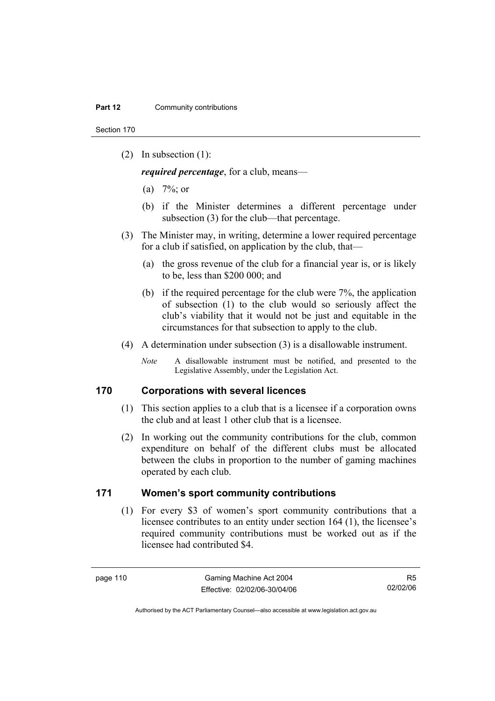Section 170

(2) In subsection (1):

*required percentage*, for a club, means—

- (a)  $7\%$ ; or
- (b) if the Minister determines a different percentage under subsection (3) for the club—that percentage.
- (3) The Minister may, in writing, determine a lower required percentage for a club if satisfied, on application by the club, that—
	- (a) the gross revenue of the club for a financial year is, or is likely to be, less than \$200 000; and
	- (b) if the required percentage for the club were 7%, the application of subsection (1) to the club would so seriously affect the club's viability that it would not be just and equitable in the circumstances for that subsection to apply to the club.
- (4) A determination under subsection (3) is a disallowable instrument.
	- *Note* A disallowable instrument must be notified, and presented to the Legislative Assembly, under the Legislation Act.

#### **170 Corporations with several licences**

- (1) This section applies to a club that is a licensee if a corporation owns the club and at least 1 other club that is a licensee.
- (2) In working out the community contributions for the club, common expenditure on behalf of the different clubs must be allocated between the clubs in proportion to the number of gaming machines operated by each club.

### **171 Women's sport community contributions**

 (1) For every \$3 of women's sport community contributions that a licensee contributes to an entity under section 164 (1), the licensee's required community contributions must be worked out as if the licensee had contributed \$4.

R5 02/02/06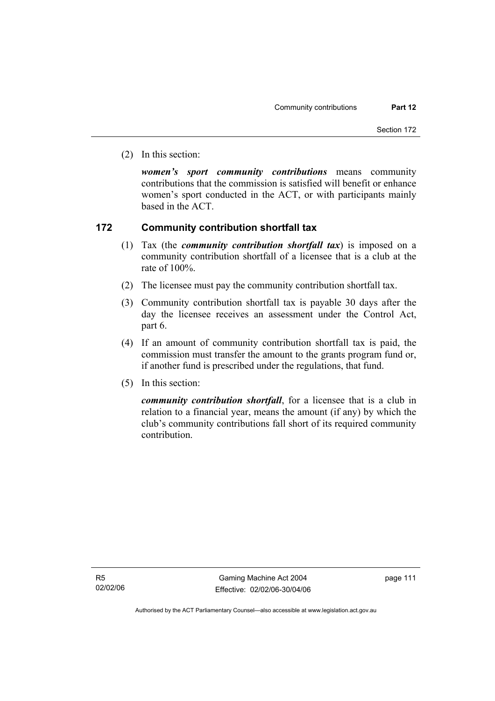(2) In this section:

*women's sport community contributions* means community contributions that the commission is satisfied will benefit or enhance women's sport conducted in the ACT, or with participants mainly based in the ACT.

#### **172 Community contribution shortfall tax**

- (1) Tax (the *community contribution shortfall tax*) is imposed on a community contribution shortfall of a licensee that is a club at the rate of 100%.
- (2) The licensee must pay the community contribution shortfall tax.
- (3) Community contribution shortfall tax is payable 30 days after the day the licensee receives an assessment under the Control Act, part 6.
- (4) If an amount of community contribution shortfall tax is paid, the commission must transfer the amount to the grants program fund or, if another fund is prescribed under the regulations, that fund.
- (5) In this section:

*community contribution shortfall*, for a licensee that is a club in relation to a financial year, means the amount (if any) by which the club's community contributions fall short of its required community contribution.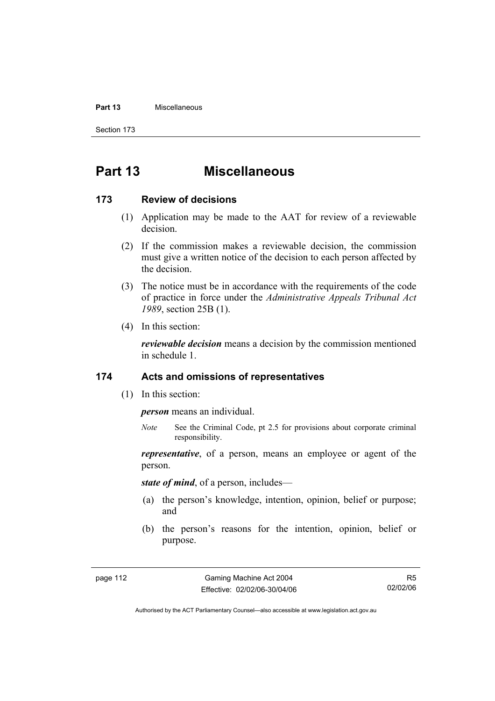#### **Part 13** Miscellaneous

Section 173

# **Part 13 Miscellaneous**

#### **173 Review of decisions**

- (1) Application may be made to the AAT for review of a reviewable decision.
- (2) If the commission makes a reviewable decision, the commission must give a written notice of the decision to each person affected by the decision.
- (3) The notice must be in accordance with the requirements of the code of practice in force under the *Administrative Appeals Tribunal Act 1989*, section 25B (1).
- (4) In this section:

*reviewable decision* means a decision by the commission mentioned in schedule 1.

#### **174 Acts and omissions of representatives**

(1) In this section:

*person* means an individual.

*Note* See the Criminal Code, pt 2.5 for provisions about corporate criminal responsibility.

*representative*, of a person, means an employee or agent of the person.

*state of mind*, of a person, includes—

- (a) the person's knowledge, intention, opinion, belief or purpose; and
- (b) the person's reasons for the intention, opinion, belief or purpose.

R5 02/02/06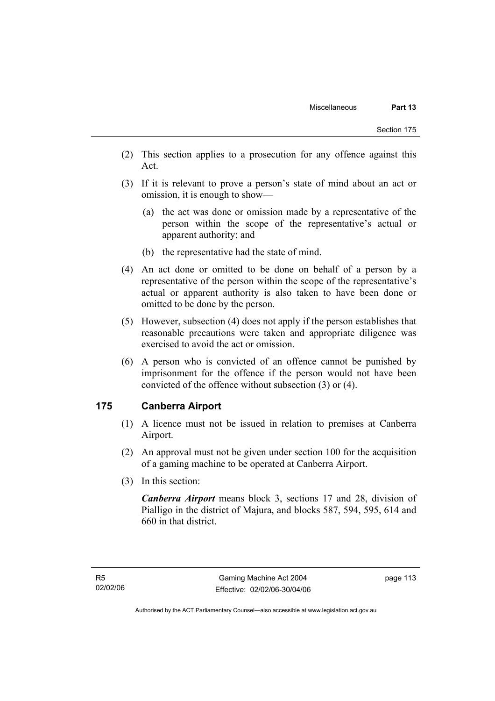- (2) This section applies to a prosecution for any offence against this Act.
- (3) If it is relevant to prove a person's state of mind about an act or omission, it is enough to show—
	- (a) the act was done or omission made by a representative of the person within the scope of the representative's actual or apparent authority; and
	- (b) the representative had the state of mind.
- (4) An act done or omitted to be done on behalf of a person by a representative of the person within the scope of the representative's actual or apparent authority is also taken to have been done or omitted to be done by the person.
- (5) However, subsection (4) does not apply if the person establishes that reasonable precautions were taken and appropriate diligence was exercised to avoid the act or omission.
- (6) A person who is convicted of an offence cannot be punished by imprisonment for the offence if the person would not have been convicted of the offence without subsection (3) or (4).

### **175 Canberra Airport**

- (1) A licence must not be issued in relation to premises at Canberra Airport.
- (2) An approval must not be given under section 100 for the acquisition of a gaming machine to be operated at Canberra Airport.
- (3) In this section:

*Canberra Airport* means block 3, sections 17 and 28, division of Pialligo in the district of Majura, and blocks 587, 594, 595, 614 and 660 in that district.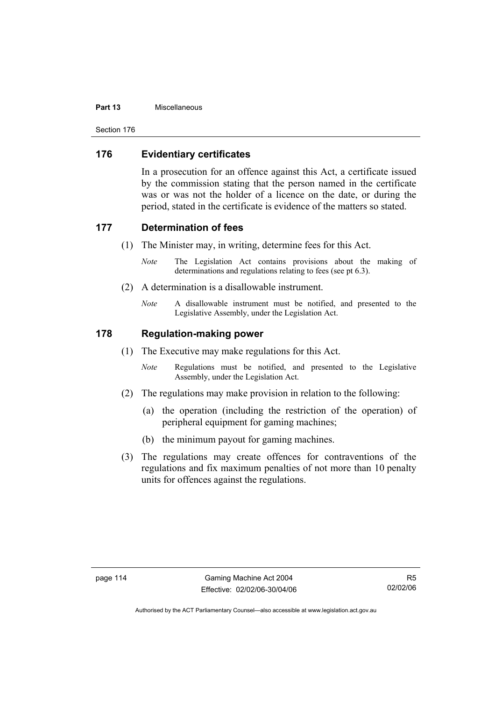#### **Part 13** Miscellaneous

Section 176

### **176 Evidentiary certificates**

In a prosecution for an offence against this Act, a certificate issued by the commission stating that the person named in the certificate was or was not the holder of a licence on the date, or during the period, stated in the certificate is evidence of the matters so stated.

#### **177 Determination of fees**

- (1) The Minister may, in writing, determine fees for this Act.
	- *Note* The Legislation Act contains provisions about the making of determinations and regulations relating to fees (see pt 6.3).
- (2) A determination is a disallowable instrument.
	- *Note* A disallowable instrument must be notified, and presented to the Legislative Assembly, under the Legislation Act.

### **178 Regulation-making power**

- (1) The Executive may make regulations for this Act.
	- *Note* Regulations must be notified, and presented to the Legislative Assembly, under the Legislation Act.
- (2) The regulations may make provision in relation to the following:
	- (a) the operation (including the restriction of the operation) of peripheral equipment for gaming machines;
	- (b) the minimum payout for gaming machines.
- (3) The regulations may create offences for contraventions of the regulations and fix maximum penalties of not more than 10 penalty units for offences against the regulations.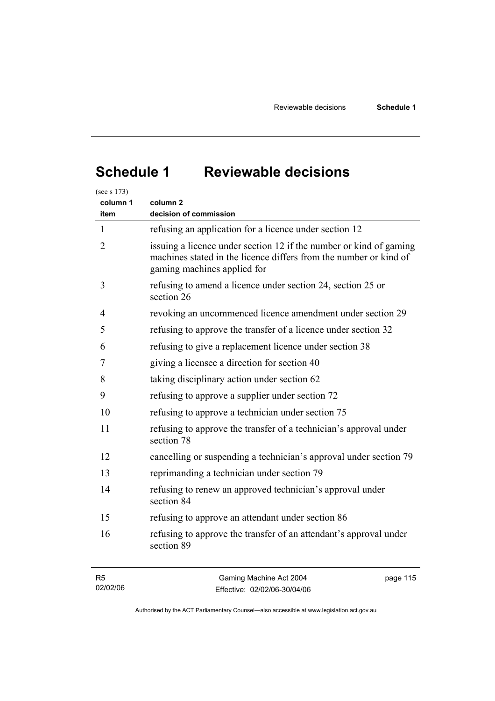# **Schedule 1 Reviewable decisions**

| (see s 173)    |                                                                                                                                                                        |
|----------------|------------------------------------------------------------------------------------------------------------------------------------------------------------------------|
| column 1       | column 2                                                                                                                                                               |
| item           | decision of commission                                                                                                                                                 |
| $\mathbf{1}$   | refusing an application for a licence under section 12                                                                                                                 |
| $\overline{2}$ | issuing a licence under section 12 if the number or kind of gaming<br>machines stated in the licence differs from the number or kind of<br>gaming machines applied for |
| 3              | refusing to amend a licence under section 24, section 25 or<br>section 26                                                                                              |
| 4              | revoking an uncommenced licence amendment under section 29                                                                                                             |
| 5              | refusing to approve the transfer of a licence under section 32                                                                                                         |
| 6              | refusing to give a replacement licence under section 38                                                                                                                |
| 7              | giving a licensee a direction for section 40                                                                                                                           |
| 8              | taking disciplinary action under section 62                                                                                                                            |
| 9              | refusing to approve a supplier under section 72                                                                                                                        |
| 10             | refusing to approve a technician under section 75                                                                                                                      |
| 11             | refusing to approve the transfer of a technician's approval under<br>section 78                                                                                        |
| 12             | cancelling or suspending a technician's approval under section 79                                                                                                      |
| 13             | reprimanding a technician under section 79                                                                                                                             |
| 14             | refusing to renew an approved technician's approval under<br>section 84                                                                                                |
| 15             | refusing to approve an attendant under section 86                                                                                                                      |
| 16             | refusing to approve the transfer of an attendant's approval under<br>section 89                                                                                        |
| R <sub>5</sub> | Gaming Machine Act 2004<br>page 115                                                                                                                                    |

| 02/02/06 | Effective: 02/02/06-30/04/06 |  |
|----------|------------------------------|--|
|          |                              |  |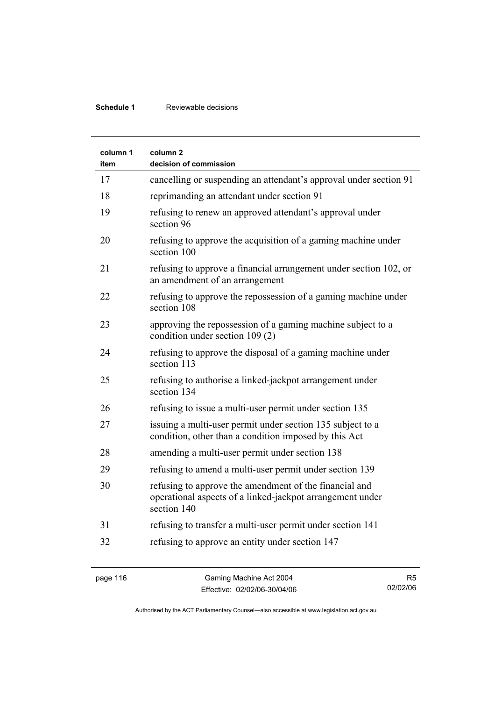### **Schedule 1** Reviewable decisions

| column 1<br>item | column <sub>2</sub><br>decision of commission                                                                                      |
|------------------|------------------------------------------------------------------------------------------------------------------------------------|
| 17               | cancelling or suspending an attendant's approval under section 91                                                                  |
| 18               | reprimanding an attendant under section 91                                                                                         |
| 19               | refusing to renew an approved attendant's approval under<br>section 96                                                             |
| 20               | refusing to approve the acquisition of a gaming machine under<br>section 100                                                       |
| 21               | refusing to approve a financial arrangement under section 102, or<br>an amendment of an arrangement                                |
| 22               | refusing to approve the repossession of a gaming machine under<br>section 108                                                      |
| 23               | approving the repossession of a gaming machine subject to a<br>condition under section 109 (2)                                     |
| 24               | refusing to approve the disposal of a gaming machine under<br>section 113                                                          |
| 25               | refusing to authorise a linked-jackpot arrangement under<br>section 134                                                            |
| 26               | refusing to issue a multi-user permit under section 135                                                                            |
| 27               | issuing a multi-user permit under section 135 subject to a<br>condition, other than a condition imposed by this Act                |
| 28               | amending a multi-user permit under section 138                                                                                     |
| 29               | refusing to amend a multi-user permit under section 139                                                                            |
| 30               | refusing to approve the amendment of the financial and<br>operational aspects of a linked-jackpot arrangement under<br>section 140 |
| 31               | refusing to transfer a multi-user permit under section 141                                                                         |
| 32               | refusing to approve an entity under section 147                                                                                    |

R5 02/02/06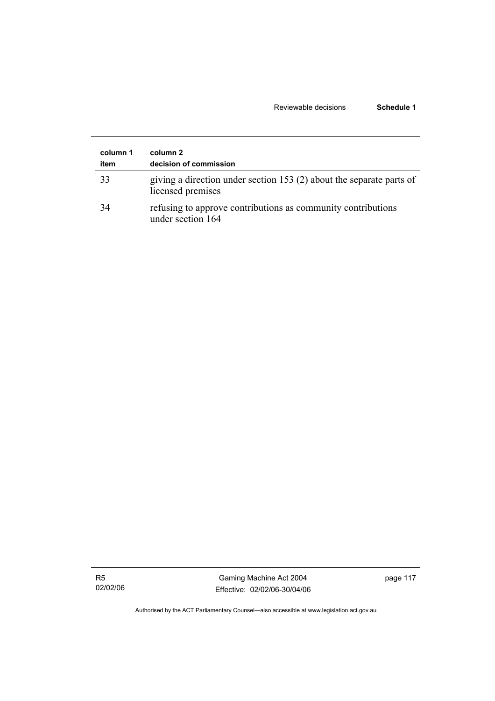#### Reviewable decisions **Schedule 1**

| column 1<br>item | column 2<br>decision of commission                                                        |
|------------------|-------------------------------------------------------------------------------------------|
| 33               | giving a direction under section 153 (2) about the separate parts of<br>licensed premises |
| -34              | refusing to approve contributions as community contributions<br>under section 164         |

R5 02/02/06

Gaming Machine Act 2004 Effective: 02/02/06-30/04/06 page 117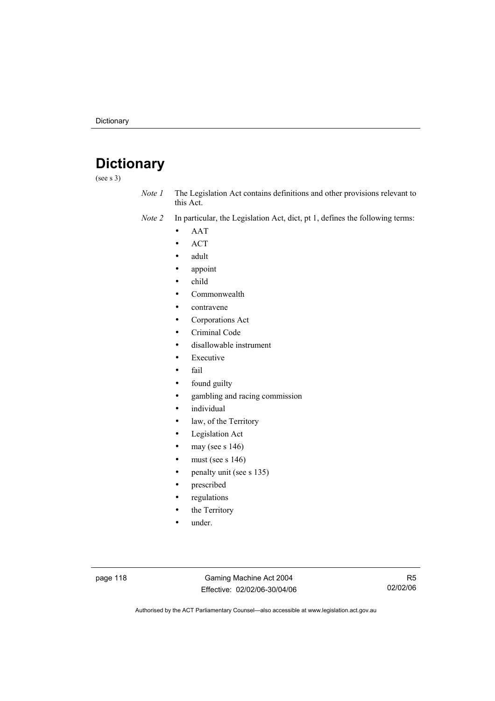# **Dictionary**

(see s 3)

*Note 1* The Legislation Act contains definitions and other provisions relevant to this Act.

*Note 2* In particular, the Legislation Act, dict, pt 1, defines the following terms:

- AAT
- ACT
- adult
- appoint
- child
- Commonwealth
- contravene
- Corporations Act
- Criminal Code
- disallowable instrument
- **Executive**
- fail
- found guilty
- gambling and racing commission
- *individual*
- law, of the Territory
- Legislation Act
- may (see s  $146$ )
- must (see s  $146$ )
- penalty unit (see s 135)
- prescribed
- regulations
- the Territory
- under.

page 118 Gaming Machine Act 2004 Effective: 02/02/06-30/04/06

R5 02/02/06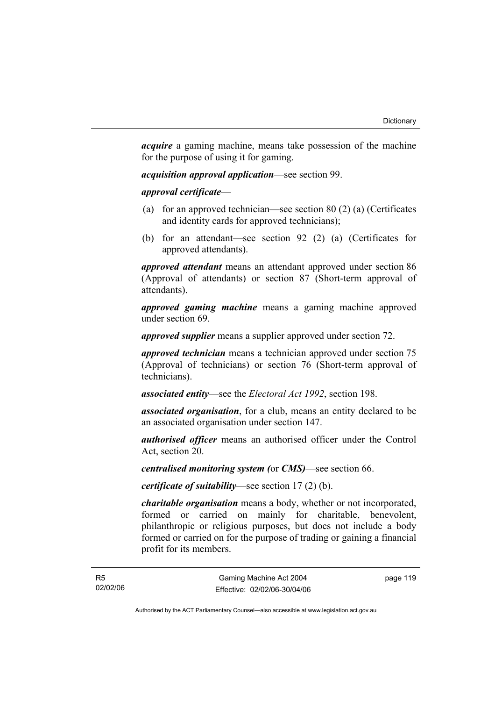*acquire* a gaming machine, means take possession of the machine for the purpose of using it for gaming.

*acquisition approval application*—see section 99.

*approval certificate*—

- (a) for an approved technician—see section 80 (2) (a) (Certificates and identity cards for approved technicians);
- (b) for an attendant—see section 92 (2) (a) (Certificates for approved attendants).

*approved attendant* means an attendant approved under section 86 (Approval of attendants) or section 87 (Short-term approval of attendants).

*approved gaming machine* means a gaming machine approved under section 69.

*approved supplier* means a supplier approved under section 72.

*approved technician* means a technician approved under section 75 (Approval of technicians) or section 76 (Short-term approval of technicians).

*associated entity*—see the *Electoral Act 1992*, section 198.

*associated organisation*, for a club, means an entity declared to be an associated organisation under section 147.

*authorised officer* means an authorised officer under the Control Act, section 20.

*centralised monitoring system (*or *CMS)*—see section 66.

*certificate of suitability*—see section 17 (2) (b).

*charitable organisation* means a body, whether or not incorporated, formed or carried on mainly for charitable, benevolent, philanthropic or religious purposes, but does not include a body formed or carried on for the purpose of trading or gaining a financial profit for its members.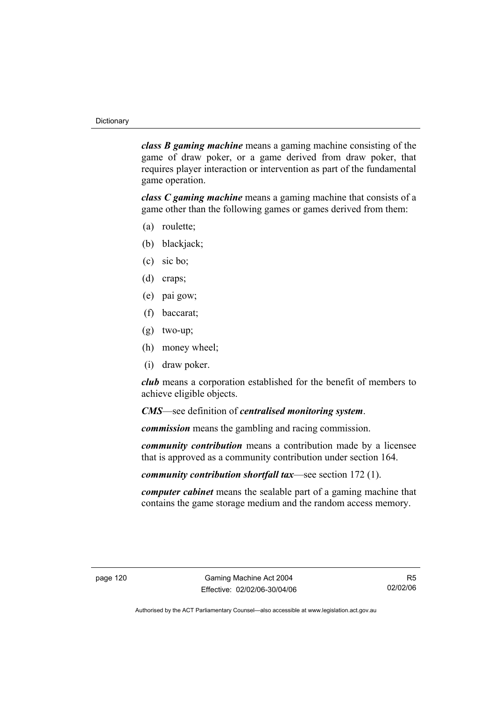*class B gaming machine* means a gaming machine consisting of the game of draw poker, or a game derived from draw poker, that requires player interaction or intervention as part of the fundamental game operation.

*class C gaming machine* means a gaming machine that consists of a game other than the following games or games derived from them:

- (a) roulette;
- (b) blackjack;
- (c) sic bo;
- (d) craps;
- (e) pai gow;
- (f) baccarat;
- (g) two-up;
- (h) money wheel;
- (i) draw poker.

*club* means a corporation established for the benefit of members to achieve eligible objects.

*CMS*—see definition of *centralised monitoring system*.

*commission* means the gambling and racing commission.

*community contribution* means a contribution made by a licensee that is approved as a community contribution under section 164.

*community contribution shortfall tax*—see section 172 (1).

*computer cabinet* means the sealable part of a gaming machine that contains the game storage medium and the random access memory.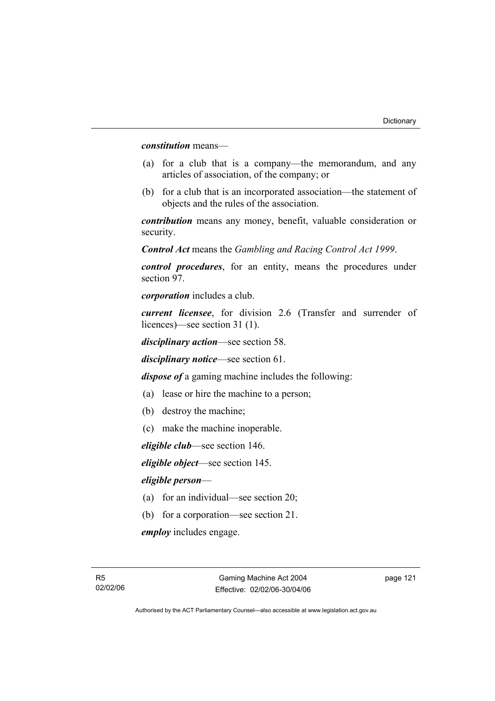*constitution* means—

- (a) for a club that is a company—the memorandum, and any articles of association, of the company; or
- (b) for a club that is an incorporated association—the statement of objects and the rules of the association.

*contribution* means any money, benefit, valuable consideration or security.

*Control Act* means the *Gambling and Racing Control Act 1999*.

*control procedures*, for an entity, means the procedures under section 97.

*corporation* includes a club.

*current licensee*, for division 2.6 (Transfer and surrender of licences)—see section 31 (1).

*disciplinary action*—see section 58.

*disciplinary notice*—see section 61.

*dispose of* a gaming machine includes the following:

- (a) lease or hire the machine to a person;
- (b) destroy the machine;
- (c) make the machine inoperable.

*eligible club*—see section 146.

*eligible object*—see section 145.

#### *eligible person*—

- (a) for an individual—see section 20;
- (b) for a corporation—see section 21.

*employ* includes engage.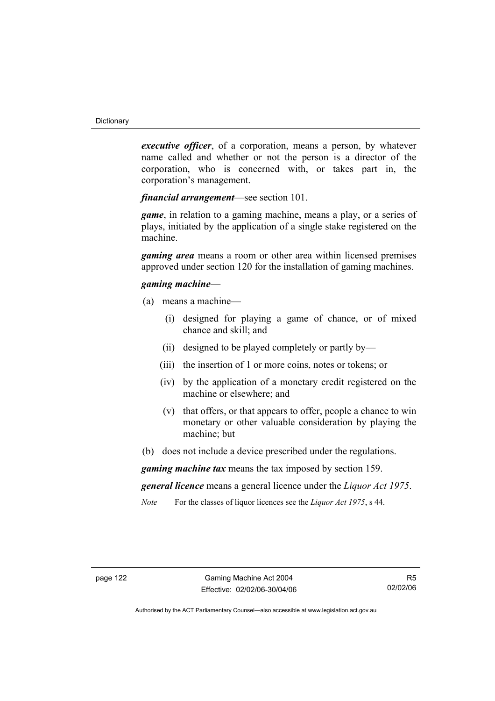*executive officer*, of a corporation, means a person, by whatever name called and whether or not the person is a director of the corporation, who is concerned with, or takes part in, the corporation's management.

*financial arrangement*—see section 101.

*game*, in relation to a gaming machine, means a play, or a series of plays, initiated by the application of a single stake registered on the machine.

*gaming area* means a room or other area within licensed premises approved under section 120 for the installation of gaming machines.

#### *gaming machine*—

- (a) means a machine—
	- (i) designed for playing a game of chance, or of mixed chance and skill; and
	- (ii) designed to be played completely or partly by—
	- (iii) the insertion of 1 or more coins, notes or tokens; or
	- (iv) by the application of a monetary credit registered on the machine or elsewhere; and
	- (v) that offers, or that appears to offer, people a chance to win monetary or other valuable consideration by playing the machine; but
- (b) does not include a device prescribed under the regulations.

*gaming machine tax* means the tax imposed by section 159.

*general licence* means a general licence under the *Liquor Act 1975*.

*Note* For the classes of liquor licences see the *Liquor Act 1975*, s 44.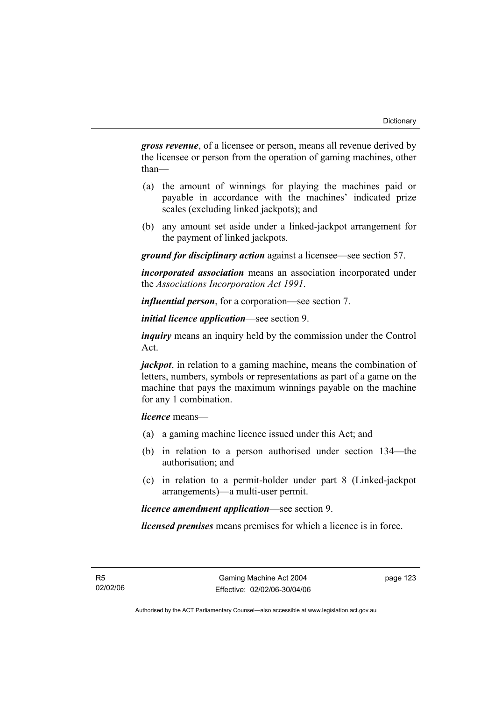*gross revenue*, of a licensee or person, means all revenue derived by the licensee or person from the operation of gaming machines, other than—

- (a) the amount of winnings for playing the machines paid or payable in accordance with the machines' indicated prize scales (excluding linked jackpots); and
- (b) any amount set aside under a linked-jackpot arrangement for the payment of linked jackpots.

*ground for disciplinary action* against a licensee—see section 57.

*incorporated association* means an association incorporated under the *Associations Incorporation Act 1991*.

*influential person*, for a corporation—see section 7.

*initial licence application*—see section 9.

*inquiry* means an inquiry held by the commission under the Control Act.

*jackpot*, in relation to a gaming machine, means the combination of letters, numbers, symbols or representations as part of a game on the machine that pays the maximum winnings payable on the machine for any 1 combination.

*licence* means—

- (a) a gaming machine licence issued under this Act; and
- (b) in relation to a person authorised under section 134—the authorisation; and
- (c) in relation to a permit-holder under part 8 (Linked-jackpot arrangements)—a multi-user permit.

*licence amendment application*—see section 9.

*licensed premises* means premises for which a licence is in force.

R5 02/02/06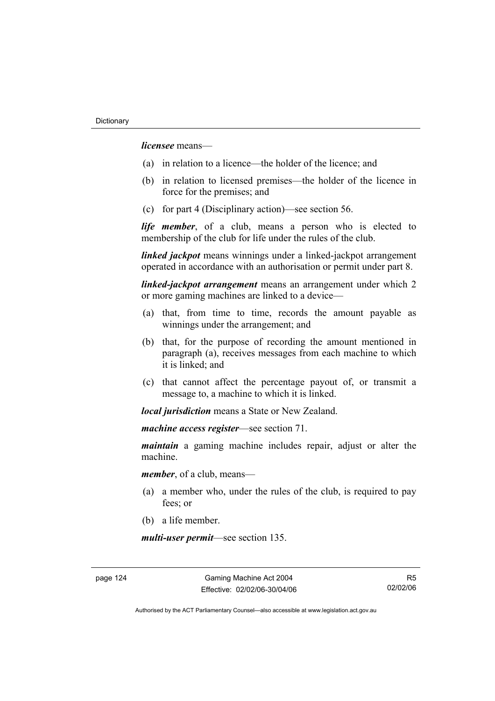*licensee* means—

- (a) in relation to a licence—the holder of the licence; and
- (b) in relation to licensed premises—the holder of the licence in force for the premises; and
- (c) for part 4 (Disciplinary action)—see section 56.

*life member*, of a club, means a person who is elected to membership of the club for life under the rules of the club.

*linked jackpot* means winnings under a linked-jackpot arrangement operated in accordance with an authorisation or permit under part 8.

*linked-jackpot arrangement* means an arrangement under which 2 or more gaming machines are linked to a device—

- (a) that, from time to time, records the amount payable as winnings under the arrangement; and
- (b) that, for the purpose of recording the amount mentioned in paragraph (a), receives messages from each machine to which it is linked; and
- (c) that cannot affect the percentage payout of, or transmit a message to, a machine to which it is linked.

*local jurisdiction* means a State or New Zealand.

*machine access register*—see section 71.

*maintain* a gaming machine includes repair, adjust or alter the machine.

*member*, of a club, means—

- (a) a member who, under the rules of the club, is required to pay fees; or
- (b) a life member.

*multi-user permit*—see section 135.

page 124 Gaming Machine Act 2004 Effective: 02/02/06-30/04/06

R5 02/02/06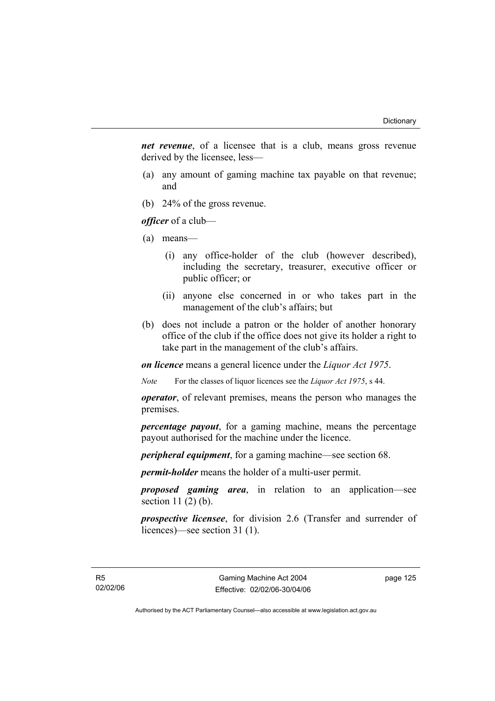*net revenue*, of a licensee that is a club, means gross revenue derived by the licensee, less—

- (a) any amount of gaming machine tax payable on that revenue; and
- (b) 24% of the gross revenue.

*officer* of a club—

- (a) means—
	- (i) any office-holder of the club (however described), including the secretary, treasurer, executive officer or public officer; or
	- (ii) anyone else concerned in or who takes part in the management of the club's affairs; but
- (b) does not include a patron or the holder of another honorary office of the club if the office does not give its holder a right to take part in the management of the club's affairs.

*on licence* means a general licence under the *Liquor Act 1975*.

*Note* For the classes of liquor licences see the *Liquor Act 1975*, s 44.

*operator*, of relevant premises, means the person who manages the premises.

*percentage payout*, for a gaming machine, means the percentage payout authorised for the machine under the licence.

*peripheral equipment*, for a gaming machine—see section 68.

*permit-holder* means the holder of a multi-user permit.

*proposed gaming area*, in relation to an application—see section  $11(2)(b)$ .

*prospective licensee*, for division 2.6 (Transfer and surrender of licences)—see section 31 (1).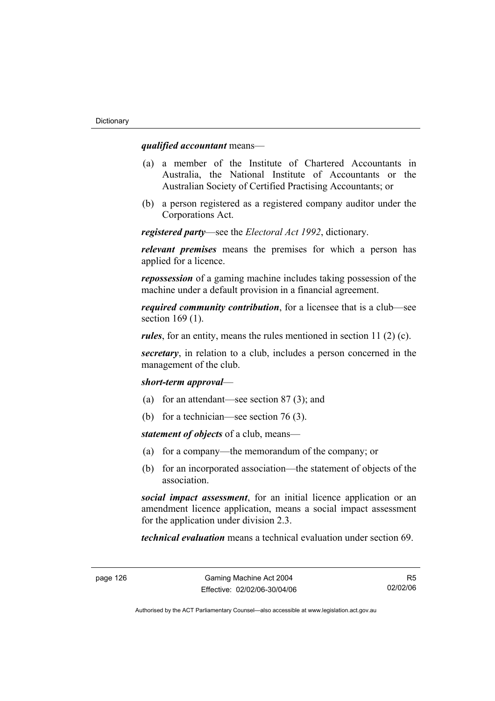#### *qualified accountant* means—

- (a) a member of the Institute of Chartered Accountants in Australia, the National Institute of Accountants or the Australian Society of Certified Practising Accountants; or
- (b) a person registered as a registered company auditor under the Corporations Act.

*registered party*—see the *Electoral Act 1992*, dictionary.

*relevant premises* means the premises for which a person has applied for a licence.

*repossession* of a gaming machine includes taking possession of the machine under a default provision in a financial agreement.

*required community contribution*, for a licensee that is a club—see section 169 (1).

*rules*, for an entity, means the rules mentioned in section 11 (2) (c).

*secretary*, in relation to a club, includes a person concerned in the management of the club.

#### *short-term approval*—

- (a) for an attendant—see section 87 (3); and
- (b) for a technician—see section 76 (3).

*statement of objects* of a club, means—

- (a) for a company—the memorandum of the company; or
- (b) for an incorporated association—the statement of objects of the association.

*social impact assessment*, for an initial licence application or an amendment licence application, means a social impact assessment for the application under division 2.3.

*technical evaluation* means a technical evaluation under section 69.

R5 02/02/06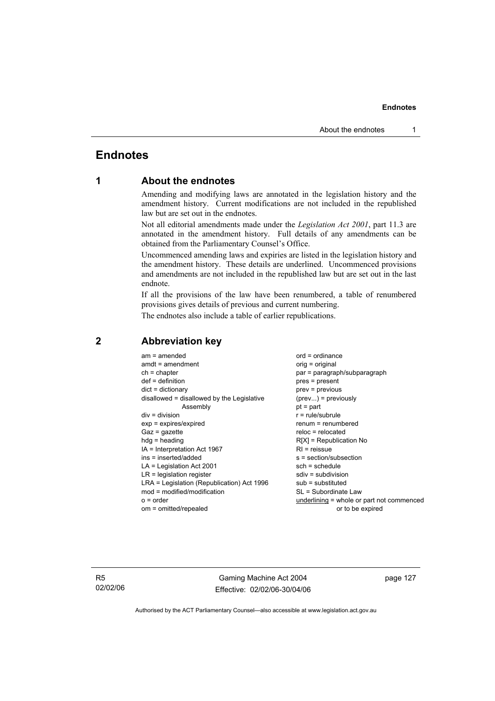### **Endnotes**

### **1 About the endnotes**

Amending and modifying laws are annotated in the legislation history and the amendment history. Current modifications are not included in the republished law but are set out in the endnotes.

Not all editorial amendments made under the *Legislation Act 2001*, part 11.3 are annotated in the amendment history. Full details of any amendments can be obtained from the Parliamentary Counsel's Office.

Uncommenced amending laws and expiries are listed in the legislation history and the amendment history. These details are underlined. Uncommenced provisions and amendments are not included in the republished law but are set out in the last endnote.

If all the provisions of the law have been renumbered, a table of renumbered provisions gives details of previous and current numbering.

The endnotes also include a table of earlier republications.

| $am = amended$<br>$amdt = amendment$<br>$ch = chapter$<br>$def = definition$<br>$dict = dictionary$<br>disallowed = disallowed by the Legislative<br>Assembly<br>$div = division$<br>$exp = expires/expired$<br>$Gaz = gazette$<br>$hdg =$ heading<br>$IA = Interpretation Act 1967$<br>ins = inserted/added<br>$LA =$ Legislation Act 2001<br>$LR =$ legislation register<br>LRA = Legislation (Republication) Act 1996<br>$mod = modified/modification$ | $ord = ordinance$<br>orig = original<br>par = paragraph/subparagraph<br>$pres = present$<br>$prev = previous$<br>$(\text{prev}) = \text{previously}$<br>$pt = part$<br>$r = rule/subrule$<br>$renum = renumbered$<br>$reloc = relocated$<br>$R[X]$ = Republication No<br>$RI =$ reissue<br>s = section/subsection<br>$sch = schedule$<br>$sdiv = subdivision$<br>$sub =$ substituted<br>SL = Subordinate Law |
|-----------------------------------------------------------------------------------------------------------------------------------------------------------------------------------------------------------------------------------------------------------------------------------------------------------------------------------------------------------------------------------------------------------------------------------------------------------|--------------------------------------------------------------------------------------------------------------------------------------------------------------------------------------------------------------------------------------------------------------------------------------------------------------------------------------------------------------------------------------------------------------|
| $o = order$                                                                                                                                                                                                                                                                                                                                                                                                                                               | underlining = whole or part not commenced                                                                                                                                                                                                                                                                                                                                                                    |
| om = omitted/repealed                                                                                                                                                                                                                                                                                                                                                                                                                                     | or to be expired                                                                                                                                                                                                                                                                                                                                                                                             |
|                                                                                                                                                                                                                                                                                                                                                                                                                                                           |                                                                                                                                                                                                                                                                                                                                                                                                              |

#### **2 Abbreviation key**

R5 02/02/06

Gaming Machine Act 2004 Effective: 02/02/06-30/04/06 page 127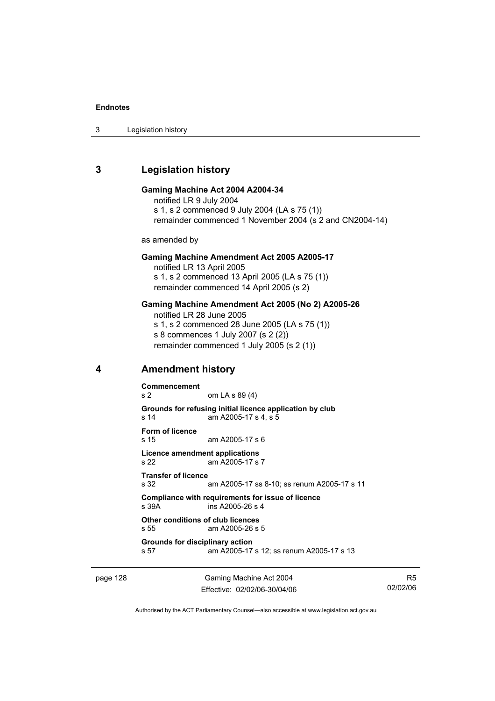3 Legislation history

### **3 Legislation history**

#### **Gaming Machine Act 2004 A2004-34**

notified LR 9 July 2004 s 1, s 2 commenced 9 July 2004 (LA s 75 (1)) remainder commenced 1 November 2004 (s 2 and CN2004-14)

as amended by

#### **Gaming Machine Amendment Act 2005 A2005-17**

notified LR 13 April 2005 s 1, s 2 commenced 13 April 2005 (LA s 75 (1)) remainder commenced 14 April 2005 (s 2)

#### **Gaming Machine Amendment Act 2005 (No 2) A2005-26**

notified LR 28 June 2005 s 1, s 2 commenced 28 June 2005 (LA s 75 (1)) s 8 commences 1 July 2007 (s 2 (2)) remainder commenced 1 July 2005 (s 2 (1))

#### **4 Amendment history**

**Commencement**  s 2 om LA s 89 (4) **Grounds for refusing initial licence application by club**  s 14 am A2005-17 s 4, s 5 **Form of licence**  s 15 am A2005-17 s 6 **Licence amendment applications**  s 22 am A2005-17 s 7 **Transfer of licence**  s 32 am A2005-17 ss 8-10; ss renum A2005-17 s 11 **Compliance with requirements for issue of licence**  s 39A ins A2005-26 s 4 **Other conditions of club licences**  s 55 am A2005-26 s 5 **Grounds for disciplinary action**  s 57 am A2005-17 s 12; ss renum A2005-17 s 13

page 128 Gaming Machine Act 2004 Effective: 02/02/06-30/04/06

R5 02/02/06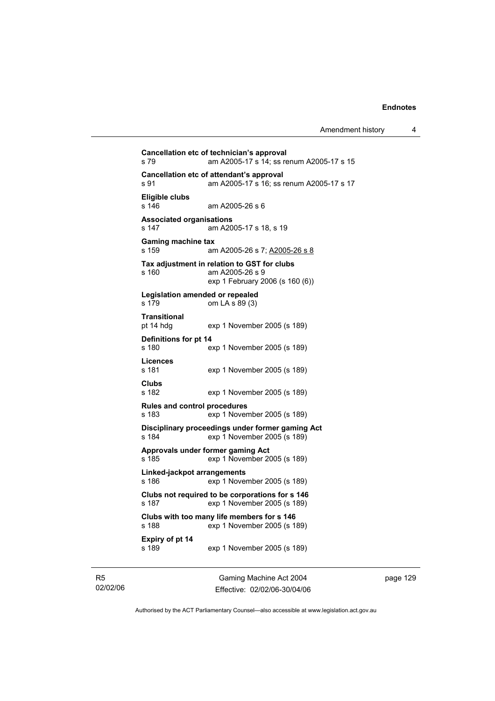```
Cancellation etc of technician's approval 
s 79 am A2005-17 s 14; ss renum A2005-17 s 15 
Cancellation etc of attendant's approval 
s 91 am A2005-17 s 16; ss renum A2005-17 s 17 
Eligible clubs 
                am A2005-26 s 6
Associated organisations 
s 147 am A2005-17 s 18, s 19 
Gaming machine tax 
s 159 am A2005-26 s 7; A2005-26 s 8
Tax adjustment in relation to GST for clubs 
s 160 am A2005-26 s 9
                 exp 1 February 2006 (s 160 (6)) 
Legislation amended or repealed 
s 179 om LA s 89 (3) 
Transitional 
pt 14 hdg exp 1 November 2005 (s 189) 
Definitions for pt 14 
s 180 exp 1 November 2005 (s 189) 
Licences 
                exp 1 November 2005 (s 189)
Clubs 
s 182 exp 1 November 2005 (s 189) 
Rules and control procedures 
                \exp 1 November 2005 (s 189)
Disciplinary proceedings under former gaming Act 
s 184 exp 1 November 2005 (s 189) 
Approvals under former gaming Act 
s 185 exp 1 November 2005 (s 189) 
Linked-jackpot arrangements 
s 186 exp 1 November 2005 (s 189) 
Clubs not required to be corporations for s 146 
s 187 exp 1 November 2005 (s 189) 
Clubs with too many life members for s 146 
s 188 exp 1 November 2005 (s 189) 
Expiry of pt 14 
s 189 exp 1 November 2005 (s 189)
```
R5 02/02/06

Gaming Machine Act 2004 Effective: 02/02/06-30/04/06 page 129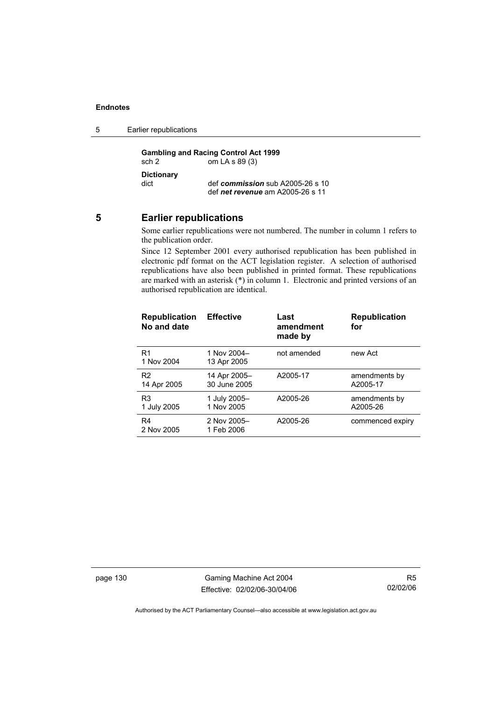5 Earlier republications

**Gambling and Racing Control Act 1999**<br>sch 2 om LA s 89 (3) om LA s  $89(3)$ **Dictionary**  def *commission* sub A2005-26 s 10 def *net revenue* am A2005-26 s 11

#### **5 Earlier republications**

Some earlier republications were not numbered. The number in column 1 refers to the publication order.

Since 12 September 2001 every authorised republication has been published in electronic pdf format on the ACT legislation register. A selection of authorised republications have also been published in printed format. These republications are marked with an asterisk (\*) in column 1. Electronic and printed versions of an authorised republication are identical.

| <b>Republication</b><br>No and date | <b>Effective</b>             | Last<br>amendment<br>made by | <b>Republication</b><br>for |
|-------------------------------------|------------------------------|------------------------------|-----------------------------|
| R1<br>1 Nov 2004                    | 1 Nov 2004-<br>13 Apr 2005   | not amended                  | new Act                     |
| R <sub>2</sub><br>14 Apr 2005       | 14 Apr 2005-<br>30 June 2005 | A2005-17                     | amendments by<br>A2005-17   |
| R <sub>3</sub><br>1 July 2005       | 1 July 2005-<br>1 Nov 2005   | A2005-26                     | amendments by<br>A2005-26   |
| R4<br>2 Nov 2005                    | 2 Nov 2005-<br>1 Feb 2006    | A2005-26                     | commenced expiry            |

page 130 Gaming Machine Act 2004 Effective: 02/02/06-30/04/06

R5 02/02/06